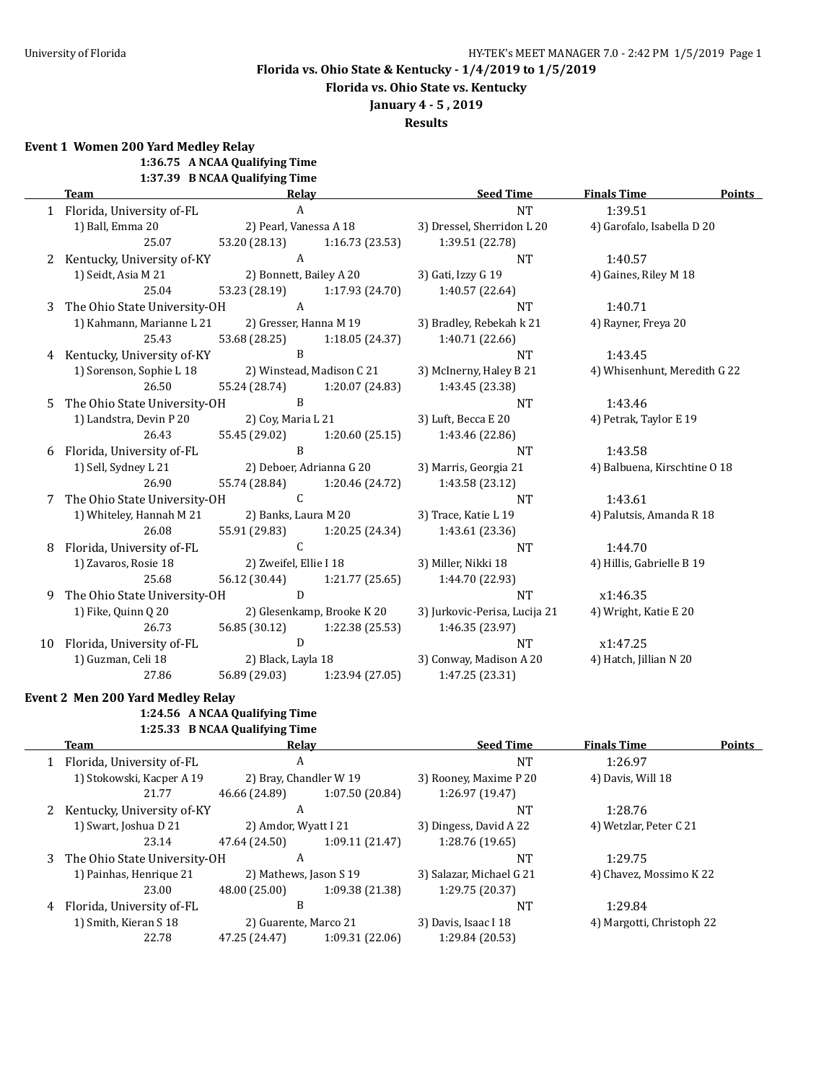**Florida vs. Ohio State vs. Kentucky**

## **January 4 - 5 , 2019**

**Results**

**Event 1 Women 200 Yard Medley Relay**

**1:36.75 A NCAA Qualifying Time**

| 1:37.39 B NCAA Qualifying Time |
|--------------------------------|
|                                |

|    | <b>Team</b>                    | Relay                  |                               | <b>Seed Time</b>                              | <b>Finals Time</b>           | Points |
|----|--------------------------------|------------------------|-------------------------------|-----------------------------------------------|------------------------------|--------|
|    | 1 Florida, University of-FL    | $\overline{A}$         |                               | <b>NT</b>                                     | 1:39.51                      |        |
|    | 1) Ball, Emma 20               |                        | 2) Pearl, Vanessa A 18        | 3) Dressel, Sherridon L 20                    | 4) Garofalo, Isabella D 20   |        |
|    | 25.07                          |                        |                               | 53.20 (28.13) 1:16.73 (23.53) 1:39.51 (22.78) |                              |        |
|    | 2 Kentucky, University of-KY   | A                      |                               | <b>NT</b>                                     | 1:40.57                      |        |
|    | 1) Seidt, Asia M 21            |                        | 2) Bonnett, Bailey A 20       | 3) Gati, Izzy G 19                            | 4) Gaines, Riley M 18        |        |
|    | 25.04                          |                        | 53.23 (28.19) 1:17.93 (24.70) | 1:40.57 (22.64)                               |                              |        |
|    | 3 The Ohio State University-OH | $\overline{A}$         |                               | <b>NT</b>                                     | 1:40.71                      |        |
|    | 1) Kahmann, Marianne L 21      |                        | 2) Gresser, Hanna M 19        | 3) Bradley, Rebekah k 21                      | 4) Rayner, Freya 20          |        |
|    | 25.43                          |                        | 53.68 (28.25) 1:18.05 (24.37) | 1:40.71 (22.66)                               |                              |        |
|    | 4 Kentucky, University of-KY   | $\mathbf{B}$           |                               | <b>NT</b>                                     | 1:43.45                      |        |
|    | 1) Sorenson, Sophie L 18       |                        | 2) Winstead, Madison C 21     | 3) McInerny, Haley B 21                       | 4) Whisenhunt, Meredith G 22 |        |
|    | 26.50                          |                        | 55.24 (28.74) 1:20.07 (24.83) | 1:43.45 (23.38)                               |                              |        |
| 5  | The Ohio State University-OH   | $\overline{B}$         |                               | <b>NT</b>                                     | 1:43.46                      |        |
|    | 1) Landstra, Devin P 20        |                        | 2) Coy, Maria L 21            | 3) Luft, Becca E 20                           | 4) Petrak, Taylor E 19       |        |
|    | 26.43                          |                        | 55.45 (29.02) 1:20.60 (25.15) | 1:43.46 (22.86)                               |                              |        |
| 6  | Florida, University of-FL      | B                      |                               | <b>NT</b>                                     | 1:43.58                      |        |
|    | 1) Sell, Sydney L 21           |                        | 2) Deboer, Adrianna G 20      | 3) Marris, Georgia 21                         | 4) Balbuena, Kirschtine O 18 |        |
|    | 26.90                          |                        | 55.74 (28.84) 1:20.46 (24.72) | 1:43.58 (23.12)                               |                              |        |
| 7  | The Ohio State University-OH   | $\mathsf{C}$           |                               | <b>NT</b>                                     | 1:43.61                      |        |
|    | 1) Whiteley, Hannah M 21       |                        | 2) Banks, Laura M 20          | 3) Trace, Katie L 19                          | 4) Palutsis, Amanda R 18     |        |
|    | 26.08                          | 55.91 (29.83)          | 1:20.25 (24.34)               | 1:43.61 (23.36)                               |                              |        |
| 8  | Florida, University of-FL      | $\mathsf{C}$           |                               | <b>NT</b>                                     | 1:44.70                      |        |
|    | 1) Zavaros, Rosie 18           | 2) Zweifel, Ellie I 18 |                               | 3) Miller, Nikki 18                           | 4) Hillis, Gabrielle B 19    |        |
|    | 25.68                          |                        | 56.12 (30.44) 1:21.77 (25.65) | 1:44.70 (22.93)                               |                              |        |
|    | 9 The Ohio State University-OH | D                      |                               | <b>NT</b>                                     | x1:46.35                     |        |
|    | 1) Fike, Quinn Q 20            |                        | 2) Glesenkamp, Brooke K 20    | 3) Jurkovic-Perisa, Lucija 21                 | 4) Wright, Katie E 20        |        |
|    | 26.73                          |                        | 56.85 (30.12) 1:22.38 (25.53) | 1:46.35 (23.97)                               |                              |        |
| 10 | Florida, University of-FL      | D                      |                               | <b>NT</b>                                     | x1:47.25                     |        |
|    | 1) Guzman, Celi 18             |                        | 2) Black, Layla 18            | 3) Conway, Madison A 20                       | 4) Hatch, Jillian N 20       |        |
|    | 27.86                          |                        | 56.89 (29.03) 1:23.94 (27.05) | 1:47.25 (23.31)                               |                              |        |

## **Event 2 Men 200 Yard Medley Relay 1:24.56 A NCAA Qualifying Time**

**1:25.33 B NCAA Qualifying Time**

| Team                           |               |                                                                | <b>Seed Time</b>                                                                                           | <b>Finals Time</b>     | <b>Points</b>                                        |
|--------------------------------|---------------|----------------------------------------------------------------|------------------------------------------------------------------------------------------------------------|------------------------|------------------------------------------------------|
| 1 Florida, University of-FL    | A             |                                                                | <b>NT</b>                                                                                                  | 1:26.97                |                                                      |
| 1) Stokowski, Kacper A 19      |               |                                                                | 3) Rooney, Maxime P 20                                                                                     | 4) Davis, Will 18      |                                                      |
| 21.77                          | 46.66 (24.89) | 1:07.50 (20.84)                                                | 1:26.97 (19.47)                                                                                            |                        |                                                      |
|                                | A             |                                                                | <b>NT</b>                                                                                                  | 1:28.76                |                                                      |
| 1) Swart, Joshua D 21          |               |                                                                | 3) Dingess, David A 22                                                                                     | 4) Wetzlar, Peter C 21 |                                                      |
| 23.14                          | 47.64 (24.50) | 1:09.11(21.47)                                                 | 1:28.76 (19.65)                                                                                            |                        |                                                      |
|                                | A             |                                                                | <b>NT</b>                                                                                                  | 1:29.75                |                                                      |
| 1) Painhas, Henrique 21        |               |                                                                | 3) Salazar, Michael G 21                                                                                   |                        |                                                      |
| 23.00                          | 48.00 (25.00) | 1:09.38 (21.38)                                                | 1:29.75 (20.37)                                                                                            |                        |                                                      |
| Florida, University of-FL<br>4 | B             |                                                                | <b>NT</b>                                                                                                  | 1:29.84                |                                                      |
| 1) Smith, Kieran S 18          |               |                                                                | 3) Davis, Isaac I 18                                                                                       |                        |                                                      |
| 22.78                          | 47.25 (24.47) | 1:09.31 (22.06)                                                | 1:29.84 (20.53)                                                                                            |                        |                                                      |
|                                |               | 2 Kentucky, University of-KY<br>3 The Ohio State University-OH | Relay<br>2) Bray, Chandler W 19<br>2) Amdor, Wyatt I 21<br>2) Mathews, Jason S 19<br>2) Guarente, Marco 21 |                        | 4) Chavez, Mossimo K 22<br>4) Margotti, Christoph 22 |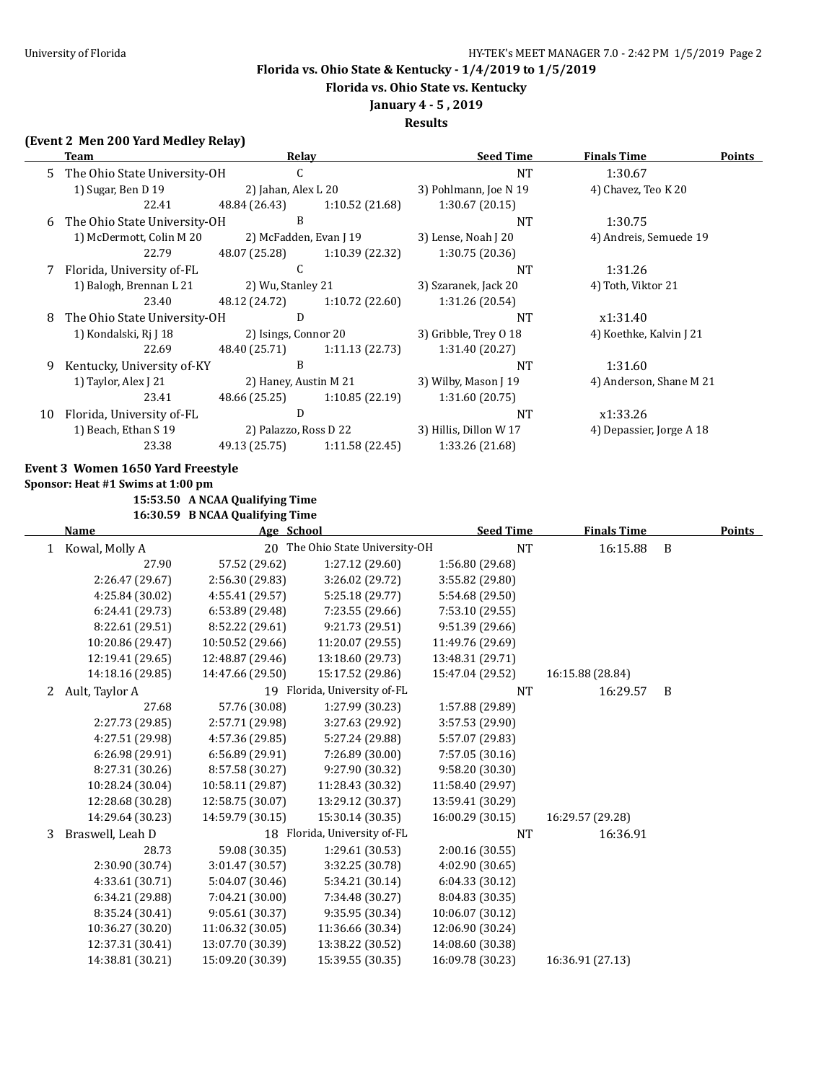**Florida vs. Ohio State vs. Kentucky**

## **January 4 - 5 , 2019**

**Results**

### **(Event 2 Men 200 Yard Medley Relay)**

|    | <b>Team</b>                       |                                 | <b>Relay</b>                    | <b>Seed Time</b>       | <b>Finals Time</b>       |   | <b>Points</b> |
|----|-----------------------------------|---------------------------------|---------------------------------|------------------------|--------------------------|---|---------------|
| 5  | The Ohio State University-OH      |                                 | C                               | <b>NT</b>              | 1:30.67                  |   |               |
|    | 1) Sugar, Ben D 19                | 2) Jahan, Alex L 20             |                                 | 3) Pohlmann, Joe N 19  | 4) Chavez, Teo K 20      |   |               |
|    | 22.41                             | 48.84 (26.43)                   | 1:10.52 (21.68)                 | 1:30.67 (20.15)        |                          |   |               |
| 6  | The Ohio State University-OH      |                                 | B                               | <b>NT</b>              | 1:30.75                  |   |               |
|    | 1) McDermott, Colin M 20          |                                 | 2) McFadden, Evan J 19          | 3) Lense, Noah J 20    | 4) Andreis, Semuede 19   |   |               |
|    | 22.79                             | 48.07 (25.28)                   | 1:10.39 (22.32)                 | 1:30.75 (20.36)        |                          |   |               |
| 7  | Florida, University of-FL         |                                 | C                               | <b>NT</b>              | 1:31.26                  |   |               |
|    | 1) Balogh, Brennan L 21           | 2) Wu, Stanley 21               |                                 | 3) Szaranek, Jack 20   | 4) Toth, Viktor 21       |   |               |
|    | 23.40                             | 48.12 (24.72)                   | 1:10.72 (22.60)                 | 1:31.26 (20.54)        |                          |   |               |
| 8  | The Ohio State University-OH      |                                 | D                               | <b>NT</b>              | x1:31.40                 |   |               |
|    | 1) Kondalski, Rj J 18             |                                 | 2) Isings, Connor 20            | 3) Gribble, Trey O 18  | 4) Koethke, Kalvin J 21  |   |               |
|    | 22.69                             | 48.40 (25.71)                   | 1:11.13 (22.73)                 | 1:31.40 (20.27)        |                          |   |               |
| 9  | Kentucky, University of-KY        |                                 | B                               | NT                     | 1:31.60                  |   |               |
|    | 1) Taylor, Alex J 21              |                                 | 2) Haney, Austin M 21           | 3) Wilby, Mason J 19   | 4) Anderson, Shane M 21  |   |               |
|    | 23.41                             | 48.66 (25.25)                   | 1:10.85 (22.19)                 | 1:31.60 (20.75)        |                          |   |               |
| 10 | Florida, University of-FL         |                                 | $\mathbf D$                     | NT                     | x1:33.26                 |   |               |
|    | 1) Beach, Ethan S 19              |                                 | 2) Palazzo, Ross D 22           | 3) Hillis, Dillon W 17 | 4) Depassier, Jorge A 18 |   |               |
|    | 23.38                             | 49.13 (25.75)                   | 1:11.58 (22.45)                 | 1:33.26 (21.68)        |                          |   |               |
|    | Event 3 Women 1650 Yard Freestyle |                                 |                                 |                        |                          |   |               |
|    | Sponsor: Heat #1 Swims at 1:00 pm |                                 |                                 |                        |                          |   |               |
|    |                                   | 15:53.50 A NCAA Qualifying Time |                                 |                        |                          |   |               |
|    |                                   | 16:30.59 B NCAA Qualifying Time |                                 |                        |                          |   |               |
|    | Name                              | Age School                      |                                 | <b>Seed Time</b>       | <b>Finals Time</b>       |   | <b>Points</b> |
|    | 1 Kowal, Molly A                  |                                 | 20 The Ohio State University-OH | <b>NT</b>              | 16:15.88                 | B |               |
|    | 27.90                             | 57.52 (29.62)                   | 1:27.12 (29.60)                 | 1:56.80 (29.68)        |                          |   |               |
|    | 2:26.47 (29.67)                   | 2:56.30 (29.83)                 | 3:26.02 (29.72)                 | 3:55.82 (29.80)        |                          |   |               |
|    | 4:25.84 (30.02)                   | 4:55.41 (29.57)                 | 5:25.18 (29.77)                 | 5:54.68 (29.50)        |                          |   |               |
|    | 6:24.41 (29.73)                   | 6:53.89 (29.48)                 | 7:23.55 (29.66)                 | 7:53.10 (29.55)        |                          |   |               |
|    | 8:22.61 (29.51)                   | 8:52.22 (29.61)                 | 9:21.73 (29.51)                 | 9:51.39 (29.66)        |                          |   |               |
|    | 10:20.86 (29.47)                  | 10:50.52 (29.66)                | 11:20.07 (29.55)                | 11:49.76 (29.69)       |                          |   |               |
|    | 12:19.41 (29.65)                  | 12:48.87 (29.46)                | 13:18.60 (29.73)                | 13:48.31 (29.71)       |                          |   |               |
|    | 14:18.16 (29.85)                  | 14:47.66 (29.50)                | 15:17.52 (29.86)                | 15:47.04 (29.52)       | 16:15.88 (28.84)         |   |               |
|    | 2 Ault, Taylor A                  |                                 | 19 Florida, University of-FL    | <b>NT</b>              | 16:29.57                 | B |               |
|    | 27.68                             | 57.76 (30.08)                   | 1:27.99 (30.23)                 | 1:57.88 (29.89)        |                          |   |               |
|    | 2:27.73 (29.85)                   | 2:57.71 (29.98)                 | 3:27.63 (29.92)                 | 3:57.53 (29.90)        |                          |   |               |
|    | 4:27.51 (29.98)                   | 4:57.36 (29.85)                 | 5:27.24 (29.88)                 | 5:57.07 (29.83)        |                          |   |               |
|    | 6:26.98 (29.91)                   | 6:56.89 (29.91)                 | 7:26.89 (30.00)                 | 7:57.05 (30.16)        |                          |   |               |
|    | 8:27.31 (30.26)                   | 8:57.58 (30.27)                 | 9:27.90 (30.32)                 | 9:58.20 (30.30)        |                          |   |               |
|    | 10:28.24 (30.04)                  | 10:58.11 (29.87)                | 11:28.43 (30.32)                | 11:58.40 (29.97)       |                          |   |               |
|    | 12:28.68 (30.28)                  | 12:58.75 (30.07)                | 13:29.12 (30.37)                | 13:59.41 (30.29)       |                          |   |               |
|    | 14:29.64 (30.23)                  | 14:59.79 (30.15)                | 15:30.14 (30.35)                | 16:00.29 (30.15)       | 16:29.57 (29.28)         |   |               |
| 3  | Braswell, Leah D                  |                                 | 18 Florida, University of-FL    | <b>NT</b>              | 16:36.91                 |   |               |
|    | 28.73                             | 59.08 (30.35)                   | 1:29.61 (30.53)                 | 2:00.16(30.55)         |                          |   |               |
|    | 2:30.90 (30.74)                   | 3:01.47 (30.57)                 | 3:32.25 (30.78)                 | 4:02.90 (30.65)        |                          |   |               |
|    | 4:33.61 (30.71)                   | 5:04.07 (30.46)                 | 5:34.21 (30.14)                 | 6:04.33 (30.12)        |                          |   |               |
|    | 6:34.21 (29.88)                   | 7:04.21 (30.00)                 | 7:34.48 (30.27)                 | 8:04.83 (30.35)        |                          |   |               |
|    | 8:35.24 (30.41)                   | 9:05.61 (30.37)                 | 9:35.95 (30.34)                 | 10:06.07 (30.12)       |                          |   |               |
|    | 10:36.27 (30.20)                  | 11:06.32 (30.05)                | 11:36.66 (30.34)                | 12:06.90 (30.24)       |                          |   |               |
|    | 12:37.31 (30.41)                  | 13:07.70 (30.39)                | 13:38.22 (30.52)                | 14:08.60 (30.38)       |                          |   |               |
|    | 14:38.81 (30.21)                  | 15:09.20 (30.39)                | 15:39.55 (30.35)                | 16:09.78 (30.23)       | 16:36.91 (27.13)         |   |               |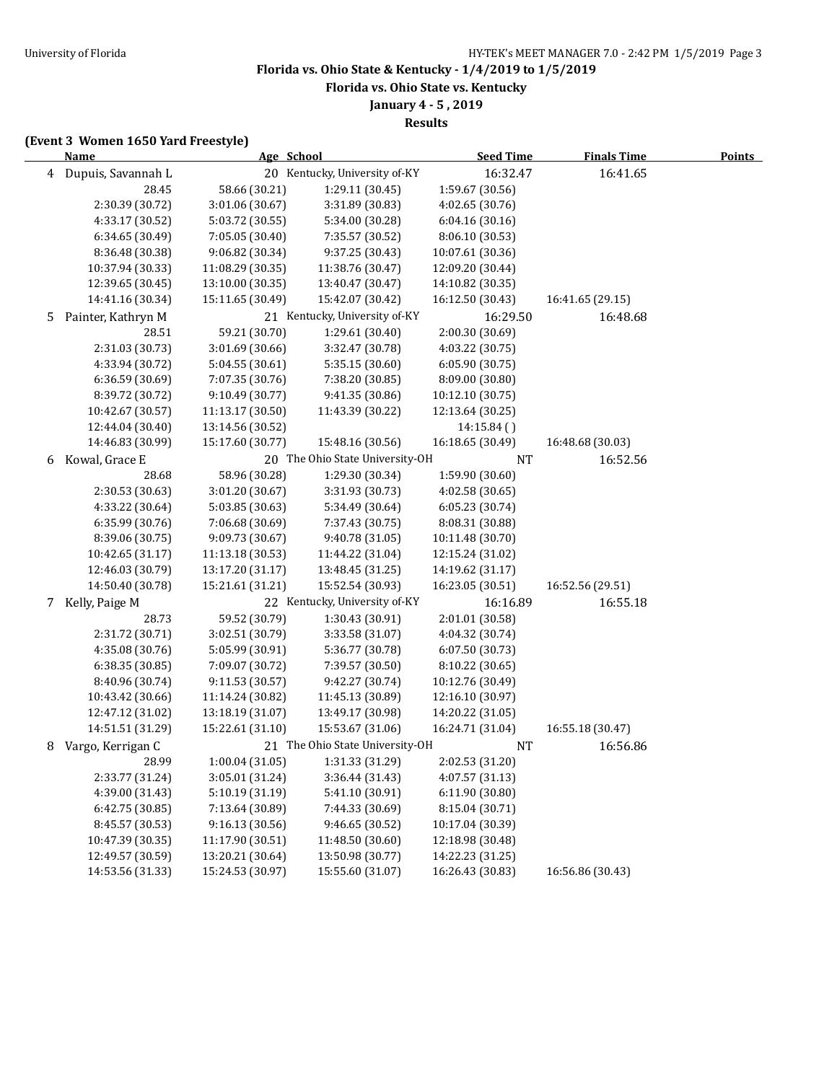**Florida vs. Ohio State vs. Kentucky**

# **January 4 - 5 , 2019**

**Results**

### **(Event 3 Women 1650 Yard Freestyle)**

|   | <b>Name</b>          | Age School       |                                 | <b>Seed Time</b> | <b>Finals Time</b> | <b>Points</b> |
|---|----------------------|------------------|---------------------------------|------------------|--------------------|---------------|
|   | 4 Dupuis, Savannah L |                  | 20 Kentucky, University of-KY   | 16:32.47         | 16:41.65           |               |
|   | 28.45                | 58.66 (30.21)    | 1:29.11 (30.45)                 | 1:59.67 (30.56)  |                    |               |
|   | 2:30.39 (30.72)      | 3:01.06 (30.67)  | 3:31.89 (30.83)                 | 4:02.65 (30.76)  |                    |               |
|   | 4:33.17 (30.52)      | 5:03.72 (30.55)  | 5:34.00 (30.28)                 | 6:04.16 (30.16)  |                    |               |
|   | 6:34.65 (30.49)      | 7:05.05 (30.40)  | 7:35.57 (30.52)                 | 8:06.10 (30.53)  |                    |               |
|   | 8:36.48 (30.38)      | 9:06.82 (30.34)  | 9:37.25 (30.43)                 | 10:07.61 (30.36) |                    |               |
|   | 10:37.94 (30.33)     | 11:08.29 (30.35) | 11:38.76 (30.47)                | 12:09.20 (30.44) |                    |               |
|   | 12:39.65 (30.45)     | 13:10.00 (30.35) | 13:40.47 (30.47)                | 14:10.82 (30.35) |                    |               |
|   | 14:41.16 (30.34)     | 15:11.65 (30.49) | 15:42.07 (30.42)                | 16:12.50 (30.43) | 16:41.65 (29.15)   |               |
| 5 | Painter, Kathryn M   |                  | 21 Kentucky, University of-KY   | 16:29.50         | 16:48.68           |               |
|   | 28.51                | 59.21 (30.70)    | 1:29.61 (30.40)                 | 2:00.30 (30.69)  |                    |               |
|   | 2:31.03 (30.73)      | 3:01.69 (30.66)  | 3:32.47 (30.78)                 | 4:03.22 (30.75)  |                    |               |
|   | 4:33.94 (30.72)      | 5:04.55 (30.61)  | 5:35.15 (30.60)                 | 6:05.90 (30.75)  |                    |               |
|   | 6:36.59 (30.69)      | 7:07.35 (30.76)  | 7:38.20 (30.85)                 | 8:09.00 (30.80)  |                    |               |
|   | 8:39.72 (30.72)      | 9:10.49 (30.77)  | 9:41.35 (30.86)                 | 10:12.10 (30.75) |                    |               |
|   | 10:42.67 (30.57)     | 11:13.17 (30.50) | 11:43.39 (30.22)                | 12:13.64 (30.25) |                    |               |
|   | 12:44.04 (30.40)     | 13:14.56 (30.52) |                                 | 14:15.84()       |                    |               |
|   | 14:46.83 (30.99)     | 15:17.60 (30.77) | 15:48.16 (30.56)                | 16:18.65 (30.49) | 16:48.68 (30.03)   |               |
| 6 | Kowal, Grace E       |                  | 20 The Ohio State University-OH | NT               | 16:52.56           |               |
|   | 28.68                | 58.96 (30.28)    | 1:29.30 (30.34)                 | 1:59.90 (30.60)  |                    |               |
|   | 2:30.53 (30.63)      | 3:01.20 (30.67)  | 3:31.93 (30.73)                 | 4:02.58 (30.65)  |                    |               |
|   | 4:33.22 (30.64)      | 5:03.85 (30.63)  | 5:34.49 (30.64)                 | 6:05.23 (30.74)  |                    |               |
|   | 6:35.99 (30.76)      | 7:06.68 (30.69)  | 7:37.43 (30.75)                 | 8:08.31 (30.88)  |                    |               |
|   | 8:39.06 (30.75)      | 9:09.73 (30.67)  | 9:40.78 (31.05)                 | 10:11.48 (30.70) |                    |               |
|   | 10:42.65 (31.17)     | 11:13.18 (30.53) | 11:44.22 (31.04)                | 12:15.24 (31.02) |                    |               |
|   | 12:46.03 (30.79)     | 13:17.20 (31.17) | 13:48.45 (31.25)                | 14:19.62 (31.17) |                    |               |
|   | 14:50.40 (30.78)     | 15:21.61 (31.21) | 15:52.54 (30.93)                | 16:23.05 (30.51) | 16:52.56 (29.51)   |               |
| 7 | Kelly, Paige M       |                  | 22 Kentucky, University of-KY   | 16:16.89         | 16:55.18           |               |
|   | 28.73                | 59.52 (30.79)    | 1:30.43 (30.91)                 | 2:01.01 (30.58)  |                    |               |
|   | 2:31.72 (30.71)      | 3:02.51 (30.79)  | 3:33.58 (31.07)                 | 4:04.32 (30.74)  |                    |               |
|   | 4:35.08 (30.76)      | 5:05.99 (30.91)  | 5:36.77 (30.78)                 | 6:07.50 (30.73)  |                    |               |
|   | 6:38.35 (30.85)      | 7:09.07 (30.72)  | 7:39.57 (30.50)                 | 8:10.22 (30.65)  |                    |               |
|   | 8:40.96 (30.74)      | 9:11.53 (30.57)  | 9:42.27 (30.74)                 | 10:12.76 (30.49) |                    |               |
|   | 10:43.42 (30.66)     | 11:14.24 (30.82) | 11:45.13 (30.89)                | 12:16.10 (30.97) |                    |               |
|   | 12:47.12 (31.02)     | 13:18.19 (31.07) | 13:49.17 (30.98)                | 14:20.22 (31.05) |                    |               |
|   | 14:51.51 (31.29)     | 15:22.61 (31.10) | 15:53.67 (31.06)                | 16:24.71 (31.04) | 16:55.18 (30.47)   |               |
| 8 | Vargo, Kerrigan C    |                  | 21 The Ohio State University-OH | <b>NT</b>        | 16:56.86           |               |
|   | 28.99                | 1:00.04 (31.05)  | 1:31.33 (31.29)                 | 2:02.53 (31.20)  |                    |               |
|   | 2:33.77 (31.24)      | 3:05.01 (31.24)  | 3:36.44 (31.43)                 | 4:07.57 (31.13)  |                    |               |
|   | 4:39.00 (31.43)      | 5:10.19 (31.19)  | 5:41.10 (30.91)                 | 6:11.90 (30.80)  |                    |               |
|   | 6:42.75 (30.85)      | 7:13.64 (30.89)  | 7:44.33 (30.69)                 | 8:15.04 (30.71)  |                    |               |
|   | 8:45.57 (30.53)      | 9:16.13 (30.56)  | 9:46.65 (30.52)                 | 10:17.04 (30.39) |                    |               |
|   | 10:47.39 (30.35)     | 11:17.90 (30.51) | 11:48.50 (30.60)                | 12:18.98 (30.48) |                    |               |
|   | 12:49.57 (30.59)     | 13:20.21 (30.64) | 13:50.98 (30.77)                | 14:22.23 (31.25) |                    |               |
|   | 14:53.56 (31.33)     | 15:24.53 (30.97) | 15:55.60 (31.07)                | 16:26.43 (30.83) | 16:56.86 (30.43)   |               |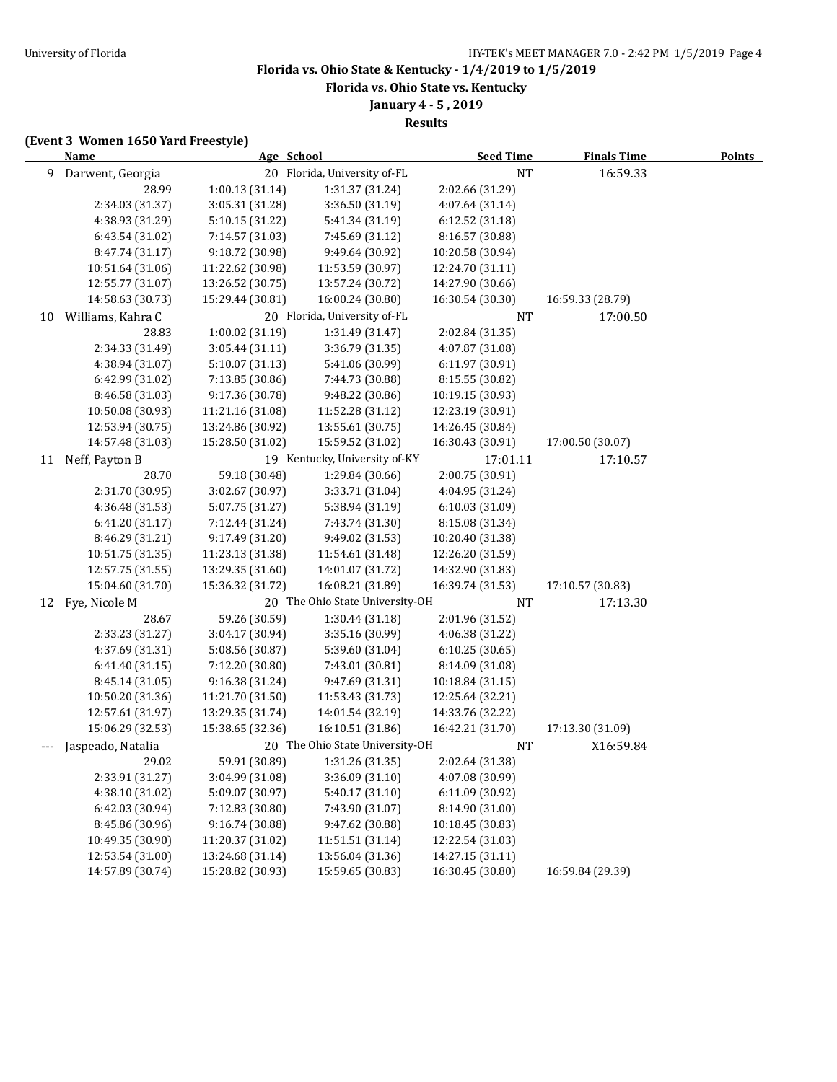**Florida vs. Ohio State vs. Kentucky**

**January 4 - 5 , 2019**

**Results**

### **(Event 3 Women 1650 Yard Freestyle)**

|     | <b>Name</b>       |                  | Age School                      | <b>Seed Time</b> | <b>Finals Time</b> | <b>Points</b> |
|-----|-------------------|------------------|---------------------------------|------------------|--------------------|---------------|
| 9   | Darwent, Georgia  |                  | 20 Florida, University of-FL    | <b>NT</b>        | 16:59.33           |               |
|     | 28.99             | 1:00.13 (31.14)  | 1:31.37 (31.24)                 | 2:02.66 (31.29)  |                    |               |
|     | 2:34.03 (31.37)   | 3:05.31 (31.28)  | 3:36.50 (31.19)                 | 4:07.64 (31.14)  |                    |               |
|     | 4:38.93 (31.29)   | 5:10.15 (31.22)  | 5:41.34 (31.19)                 | 6:12.52 (31.18)  |                    |               |
|     | 6:43.54 (31.02)   | 7:14.57 (31.03)  | 7:45.69 (31.12)                 | 8:16.57 (30.88)  |                    |               |
|     | 8:47.74 (31.17)   | 9:18.72 (30.98)  | 9:49.64 (30.92)                 | 10:20.58 (30.94) |                    |               |
|     | 10:51.64 (31.06)  | 11:22.62 (30.98) | 11:53.59 (30.97)                | 12:24.70 (31.11) |                    |               |
|     | 12:55.77 (31.07)  | 13:26.52 (30.75) | 13:57.24 (30.72)                | 14:27.90 (30.66) |                    |               |
|     | 14:58.63 (30.73)  | 15:29.44 (30.81) | 16:00.24 (30.80)                | 16:30.54 (30.30) | 16:59.33 (28.79)   |               |
| 10  | Williams, Kahra C |                  | 20 Florida, University of-FL    | <b>NT</b>        | 17:00.50           |               |
|     | 28.83             | 1:00.02 (31.19)  | 1:31.49 (31.47)                 | 2:02.84 (31.35)  |                    |               |
|     | 2:34.33 (31.49)   | 3:05.44 (31.11)  | 3:36.79 (31.35)                 | 4:07.87 (31.08)  |                    |               |
|     | 4:38.94 (31.07)   | 5:10.07 (31.13)  | 5:41.06 (30.99)                 | 6:11.97 (30.91)  |                    |               |
|     | 6:42.99 (31.02)   | 7:13.85 (30.86)  | 7:44.73 (30.88)                 | 8:15.55 (30.82)  |                    |               |
|     | 8:46.58 (31.03)   | 9:17.36 (30.78)  | 9:48.22 (30.86)                 | 10:19.15 (30.93) |                    |               |
|     | 10:50.08 (30.93)  | 11:21.16 (31.08) | 11:52.28 (31.12)                | 12:23.19 (30.91) |                    |               |
|     | 12:53.94 (30.75)  | 13:24.86 (30.92) | 13:55.61 (30.75)                | 14:26.45 (30.84) |                    |               |
|     | 14:57.48 (31.03)  | 15:28.50 (31.02) | 15:59.52 (31.02)                | 16:30.43 (30.91) | 17:00.50 (30.07)   |               |
|     | 11 Neff, Payton B |                  | 19 Kentucky, University of-KY   | 17:01.11         | 17:10.57           |               |
|     | 28.70             | 59.18 (30.48)    | 1:29.84 (30.66)                 | 2:00.75 (30.91)  |                    |               |
|     | 2:31.70 (30.95)   | 3:02.67 (30.97)  | 3:33.71 (31.04)                 | 4:04.95 (31.24)  |                    |               |
|     | 4:36.48 (31.53)   | 5:07.75 (31.27)  | 5:38.94 (31.19)                 | 6:10.03 (31.09)  |                    |               |
|     | 6:41.20 (31.17)   | 7:12.44 (31.24)  | 7:43.74 (31.30)                 | 8:15.08 (31.34)  |                    |               |
|     | 8:46.29 (31.21)   | 9:17.49 (31.20)  | 9:49.02 (31.53)                 | 10:20.40 (31.38) |                    |               |
|     | 10:51.75 (31.35)  | 11:23.13 (31.38) | 11:54.61 (31.48)                | 12:26.20 (31.59) |                    |               |
|     | 12:57.75 (31.55)  | 13:29.35 (31.60) | 14:01.07 (31.72)                | 14:32.90 (31.83) |                    |               |
|     | 15:04.60 (31.70)  | 15:36.32 (31.72) | 16:08.21 (31.89)                | 16:39.74 (31.53) | 17:10.57 (30.83)   |               |
|     | 12 Fye, Nicole M  |                  | 20 The Ohio State University-OH | <b>NT</b>        | 17:13.30           |               |
|     | 28.67             | 59.26 (30.59)    | 1:30.44 (31.18)                 | 2:01.96 (31.52)  |                    |               |
|     | 2:33.23 (31.27)   | 3:04.17 (30.94)  | 3:35.16 (30.99)                 | 4:06.38 (31.22)  |                    |               |
|     | 4:37.69 (31.31)   | 5:08.56 (30.87)  | 5:39.60 (31.04)                 | 6:10.25(30.65)   |                    |               |
|     | 6:41.40 (31.15)   | 7:12.20 (30.80)  | 7:43.01 (30.81)                 | 8:14.09 (31.08)  |                    |               |
|     | 8:45.14 (31.05)   | 9:16.38 (31.24)  | 9:47.69 (31.31)                 | 10:18.84 (31.15) |                    |               |
|     | 10:50.20 (31.36)  | 11:21.70 (31.50) | 11:53.43 (31.73)                | 12:25.64 (32.21) |                    |               |
|     | 12:57.61 (31.97)  | 13:29.35 (31.74) | 14:01.54 (32.19)                | 14:33.76 (32.22) |                    |               |
|     | 15:06.29 (32.53)  | 15:38.65 (32.36) | 16:10.51 (31.86)                | 16:42.21 (31.70) | 17:13.30 (31.09)   |               |
| --- | Jaspeado, Natalia |                  | 20 The Ohio State University-OH | NT               | X16:59.84          |               |
|     | 29.02             | 59.91 (30.89)    | 1:31.26 (31.35)                 | 2:02.64 (31.38)  |                    |               |
|     | 2:33.91 (31.27)   | 3:04.99 (31.08)  | 3:36.09 (31.10)                 | 4:07.08 (30.99)  |                    |               |
|     | 4:38.10 (31.02)   | 5:09.07 (30.97)  | 5:40.17 (31.10)                 | 6:11.09 (30.92)  |                    |               |
|     | 6:42.03 (30.94)   | 7:12.83 (30.80)  | 7:43.90 (31.07)                 | 8:14.90 (31.00)  |                    |               |
|     | 8:45.86 (30.96)   | 9:16.74 (30.88)  | 9:47.62 (30.88)                 | 10:18.45 (30.83) |                    |               |
|     | 10:49.35 (30.90)  | 11:20.37 (31.02) | 11:51.51 (31.14)                | 12:22.54 (31.03) |                    |               |
|     | 12:53.54 (31.00)  | 13:24.68 (31.14) | 13:56.04 (31.36)                | 14:27.15 (31.11) |                    |               |
|     | 14:57.89 (30.74)  | 15:28.82 (30.93) | 15:59.65 (30.83)                | 16:30.45 (30.80) | 16:59.84 (29.39)   |               |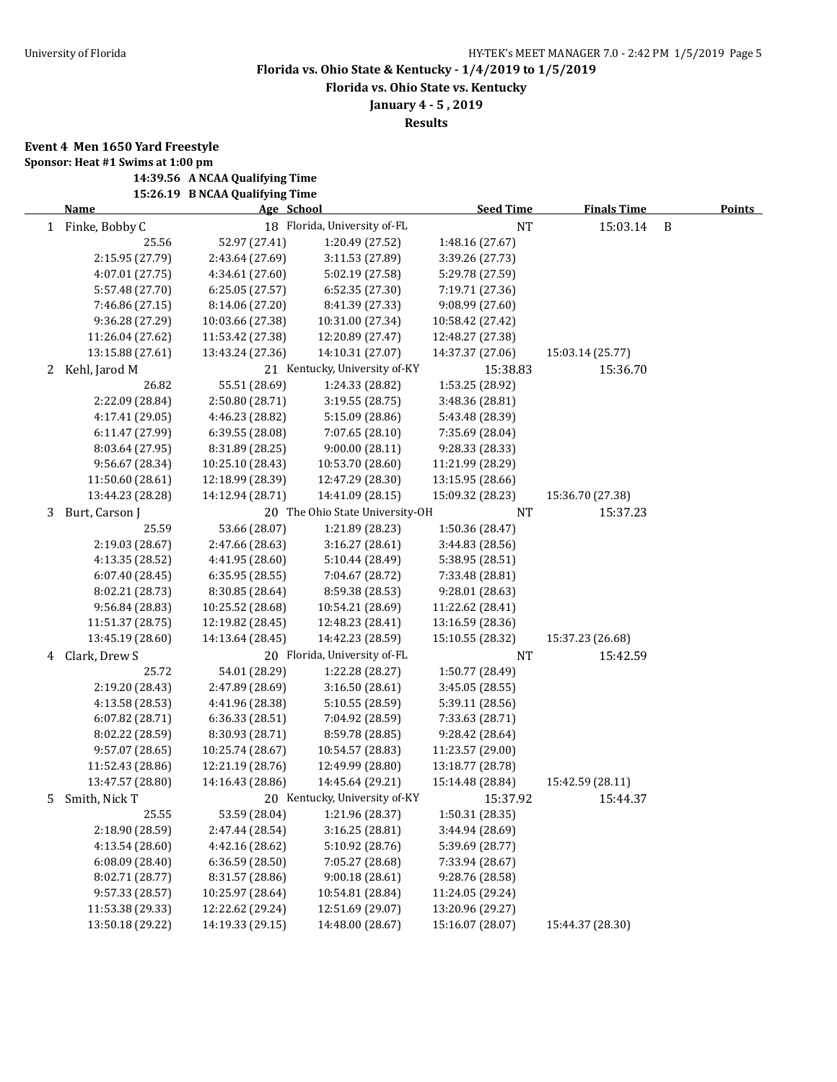**Florida vs. Ohio State vs. Kentucky**

**January 4 - 5 , 2019**

**Results**

**Event 4 Men 1650 Yard Freestyle**

**Sponsor: Heat #1 Swims at 1:00 pm 14:39.56 A NCAA Qualifying Time**

**15:26.19 B NCAA Qualifying Time**

|   | <b>Name</b>      | Age School       |                                 | <b>Seed Time</b> | <b>Finals Time</b> |   | <b>Points</b> |
|---|------------------|------------------|---------------------------------|------------------|--------------------|---|---------------|
|   | 1 Finke, Bobby C |                  | 18 Florida, University of-FL    | <b>NT</b>        | 15:03.14           | B |               |
|   | 25.56            | 52.97 (27.41)    | 1:20.49 (27.52)                 | 1:48.16 (27.67)  |                    |   |               |
|   | 2:15.95 (27.79)  | 2:43.64 (27.69)  | 3:11.53 (27.89)                 | 3:39.26 (27.73)  |                    |   |               |
|   | 4:07.01 (27.75)  | 4:34.61 (27.60)  | 5:02.19 (27.58)                 | 5:29.78 (27.59)  |                    |   |               |
|   | 5:57.48 (27.70)  | 6:25.05 (27.57)  | 6:52.35 (27.30)                 | 7:19.71 (27.36)  |                    |   |               |
|   | 7:46.86 (27.15)  | 8:14.06 (27.20)  | 8:41.39 (27.33)                 | 9:08.99 (27.60)  |                    |   |               |
|   | 9:36.28 (27.29)  | 10:03.66 (27.38) | 10:31.00 (27.34)                | 10:58.42 (27.42) |                    |   |               |
|   | 11:26.04 (27.62) | 11:53.42 (27.38) | 12:20.89 (27.47)                | 12:48.27 (27.38) |                    |   |               |
|   | 13:15.88 (27.61) | 13:43.24 (27.36) | 14:10.31 (27.07)                | 14:37.37 (27.06) | 15:03.14 (25.77)   |   |               |
| 2 | Kehl, Jarod M    |                  | 21 Kentucky, University of-KY   | 15:38.83         | 15:36.70           |   |               |
|   | 26.82            | 55.51 (28.69)    | 1:24.33 (28.82)                 | 1:53.25 (28.92)  |                    |   |               |
|   | 2:22.09 (28.84)  | 2:50.80 (28.71)  | 3:19.55 (28.75)                 | 3:48.36 (28.81)  |                    |   |               |
|   | 4:17.41 (29.05)  | 4:46.23 (28.82)  | 5:15.09 (28.86)                 | 5:43.48 (28.39)  |                    |   |               |
|   | 6:11.47 (27.99)  | 6:39.55 (28.08)  | 7:07.65 (28.10)                 | 7:35.69 (28.04)  |                    |   |               |
|   | 8:03.64 (27.95)  | 8:31.89 (28.25)  | 9:00.00(28.11)                  | 9:28.33 (28.33)  |                    |   |               |
|   | 9:56.67 (28.34)  | 10:25.10 (28.43) | 10:53.70 (28.60)                | 11:21.99 (28.29) |                    |   |               |
|   | 11:50.60 (28.61) | 12:18.99 (28.39) | 12:47.29 (28.30)                | 13:15.95 (28.66) |                    |   |               |
|   | 13:44.23 (28.28) | 14:12.94 (28.71) | 14:41.09 (28.15)                | 15:09.32 (28.23) | 15:36.70 (27.38)   |   |               |
| 3 | Burt, Carson J   |                  | 20 The Ohio State University-OH | <b>NT</b>        | 15:37.23           |   |               |
|   | 25.59            | 53.66 (28.07)    | 1:21.89 (28.23)                 | 1:50.36 (28.47)  |                    |   |               |
|   | 2:19.03 (28.67)  | 2:47.66 (28.63)  | 3:16.27(28.61)                  | 3:44.83 (28.56)  |                    |   |               |
|   | 4:13.35 (28.52)  | 4:41.95 (28.60)  | 5:10.44 (28.49)                 | 5:38.95 (28.51)  |                    |   |               |
|   | 6:07.40 (28.45)  | 6:35.95 (28.55)  | 7:04.67 (28.72)                 | 7:33.48 (28.81)  |                    |   |               |
|   | 8:02.21 (28.73)  | 8:30.85 (28.64)  | 8:59.38 (28.53)                 | 9:28.01 (28.63)  |                    |   |               |
|   | 9:56.84 (28.83)  | 10:25.52 (28.68) | 10:54.21 (28.69)                | 11:22.62 (28.41) |                    |   |               |
|   | 11:51.37 (28.75) | 12:19.82 (28.45) | 12:48.23 (28.41)                | 13:16.59 (28.36) |                    |   |               |
|   | 13:45.19 (28.60) | 14:13.64 (28.45) | 14:42.23 (28.59)                | 15:10.55 (28.32) | 15:37.23 (26.68)   |   |               |
| 4 | Clark, Drew S    |                  | 20 Florida, University of-FL    | <b>NT</b>        | 15:42.59           |   |               |
|   | 25.72            | 54.01 (28.29)    | 1:22.28 (28.27)                 | 1:50.77 (28.49)  |                    |   |               |
|   | 2:19.20 (28.43)  | 2:47.89 (28.69)  | 3:16.50 (28.61)                 | 3:45.05 (28.55)  |                    |   |               |
|   | 4:13.58 (28.53)  | 4:41.96 (28.38)  | 5:10.55 (28.59)                 | 5:39.11 (28.56)  |                    |   |               |
|   | 6:07.82 (28.71)  | 6:36.33 (28.51)  | 7:04.92 (28.59)                 | 7:33.63 (28.71)  |                    |   |               |
|   | 8:02.22 (28.59)  | 8:30.93 (28.71)  | 8:59.78 (28.85)                 | 9:28.42 (28.64)  |                    |   |               |
|   | 9:57.07 (28.65)  | 10:25.74 (28.67) | 10:54.57 (28.83)                | 11:23.57 (29.00) |                    |   |               |
|   | 11:52.43 (28.86) | 12:21.19 (28.76) | 12:49.99 (28.80)                | 13:18.77 (28.78) |                    |   |               |
|   | 13:47.57 (28.80) | 14:16.43 (28.86) | 14:45.64 (29.21)                | 15:14.48 (28.84) | 15:42.59 (28.11)   |   |               |
|   | 5 Smith, Nick T  |                  | 20 Kentucky, University of-KY   | 15:37.92         | 15:44.37           |   |               |
|   | 25.55            | 53.59 (28.04)    | 1:21.96 (28.37)                 | 1:50.31 (28.35)  |                    |   |               |
|   | 2:18.90 (28.59)  | 2:47.44 (28.54)  | 3:16.25 (28.81)                 | 3:44.94 (28.69)  |                    |   |               |
|   | 4:13.54 (28.60)  | 4:42.16 (28.62)  | 5:10.92 (28.76)                 | 5:39.69 (28.77)  |                    |   |               |
|   | 6:08.09(28.40)   | 6:36.59 (28.50)  | 7:05.27 (28.68)                 | 7:33.94 (28.67)  |                    |   |               |
|   | 8:02.71 (28.77)  | 8:31.57 (28.86)  | 9:00.18 (28.61)                 | 9:28.76 (28.58)  |                    |   |               |
|   | 9:57.33 (28.57)  | 10:25.97 (28.64) | 10:54.81 (28.84)                | 11:24.05 (29.24) |                    |   |               |
|   | 11:53.38 (29.33) | 12:22.62 (29.24) | 12:51.69 (29.07)                | 13:20.96 (29.27) |                    |   |               |
|   | 13:50.18 (29.22) | 14:19.33 (29.15) | 14:48.00 (28.67)                | 15:16.07 (28.07) | 15:44.37 (28.30)   |   |               |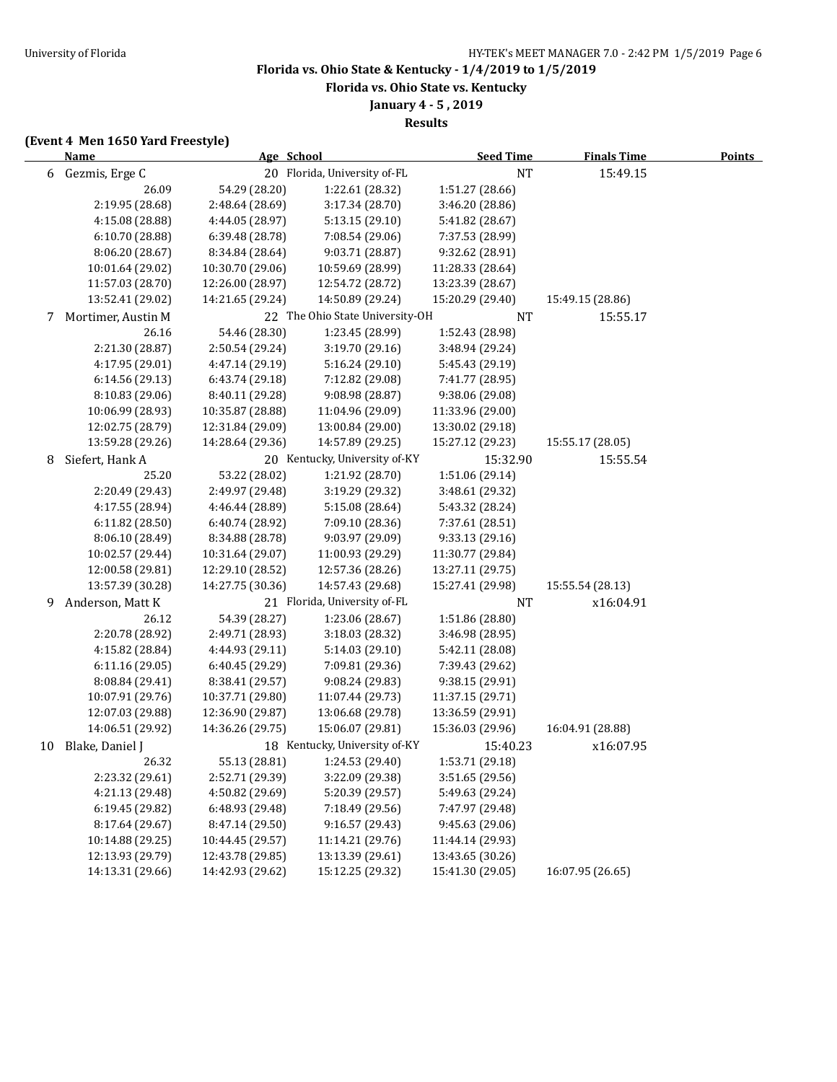**Florida vs. Ohio State vs. Kentucky**

**January 4 - 5 , 2019**

**Results**

## **(Event 4 Men 1650 Yard Freestyle)**

|    | <b>Name</b>        | Age School       |                                 | <b>Seed Time</b> | <b>Finals Time</b> | <b>Points</b> |
|----|--------------------|------------------|---------------------------------|------------------|--------------------|---------------|
|    | 6 Gezmis, Erge C   |                  | 20 Florida, University of-FL    | <b>NT</b>        | 15:49.15           |               |
|    | 26.09              | 54.29 (28.20)    | 1:22.61 (28.32)                 | 1:51.27 (28.66)  |                    |               |
|    | 2:19.95 (28.68)    | 2:48.64 (28.69)  | 3:17.34 (28.70)                 | 3:46.20 (28.86)  |                    |               |
|    | 4:15.08 (28.88)    | 4:44.05 (28.97)  | 5:13.15 (29.10)                 | 5:41.82 (28.67)  |                    |               |
|    | 6:10.70 (28.88)    | 6:39.48 (28.78)  | 7:08.54 (29.06)                 | 7:37.53 (28.99)  |                    |               |
|    | 8:06.20 (28.67)    | 8:34.84 (28.64)  | 9:03.71 (28.87)                 | 9:32.62 (28.91)  |                    |               |
|    | 10:01.64 (29.02)   | 10:30.70 (29.06) | 10:59.69 (28.99)                | 11:28.33 (28.64) |                    |               |
|    | 11:57.03 (28.70)   | 12:26.00 (28.97) | 12:54.72 (28.72)                | 13:23.39 (28.67) |                    |               |
|    | 13:52.41 (29.02)   | 14:21.65 (29.24) | 14:50.89 (29.24)                | 15:20.29 (29.40) | 15:49.15 (28.86)   |               |
| 7  | Mortimer, Austin M |                  | 22 The Ohio State University-OH | NT               | 15:55.17           |               |
|    | 26.16              | 54.46 (28.30)    | 1:23.45 (28.99)                 | 1:52.43 (28.98)  |                    |               |
|    | 2:21.30 (28.87)    | 2:50.54 (29.24)  | 3:19.70 (29.16)                 | 3:48.94 (29.24)  |                    |               |
|    | 4:17.95 (29.01)    | 4:47.14 (29.19)  | 5:16.24 (29.10)                 | 5:45.43 (29.19)  |                    |               |
|    | 6:14.56 (29.13)    | 6:43.74 (29.18)  | 7:12.82 (29.08)                 | 7:41.77 (28.95)  |                    |               |
|    | 8:10.83 (29.06)    | 8:40.11 (29.28)  | 9:08.98 (28.87)                 | 9:38.06 (29.08)  |                    |               |
|    | 10:06.99 (28.93)   | 10:35.87 (28.88) | 11:04.96 (29.09)                | 11:33.96 (29.00) |                    |               |
|    | 12:02.75 (28.79)   | 12:31.84 (29.09) | 13:00.84 (29.00)                | 13:30.02 (29.18) |                    |               |
|    | 13:59.28 (29.26)   | 14:28.64 (29.36) | 14:57.89 (29.25)                | 15:27.12 (29.23) | 15:55.17 (28.05)   |               |
| 8  | Siefert, Hank A    |                  | 20 Kentucky, University of-KY   | 15:32.90         | 15:55.54           |               |
|    | 25.20              | 53.22 (28.02)    | 1:21.92 (28.70)                 | 1:51.06 (29.14)  |                    |               |
|    | 2:20.49 (29.43)    | 2:49.97 (29.48)  | 3:19.29 (29.32)                 | 3:48.61 (29.32)  |                    |               |
|    | 4:17.55 (28.94)    | 4:46.44 (28.89)  | 5:15.08 (28.64)                 | 5:43.32 (28.24)  |                    |               |
|    | 6:11.82(28.50)     | 6:40.74 (28.92)  | 7:09.10 (28.36)                 | 7:37.61 (28.51)  |                    |               |
|    | 8:06.10 (28.49)    | 8:34.88 (28.78)  | 9:03.97 (29.09)                 | 9:33.13 (29.16)  |                    |               |
|    | 10:02.57 (29.44)   | 10:31.64 (29.07) | 11:00.93 (29.29)                | 11:30.77 (29.84) |                    |               |
|    | 12:00.58 (29.81)   | 12:29.10 (28.52) | 12:57.36 (28.26)                | 13:27.11 (29.75) |                    |               |
|    | 13:57.39 (30.28)   | 14:27.75 (30.36) | 14:57.43 (29.68)                | 15:27.41 (29.98) | 15:55.54 (28.13)   |               |
| 9  | Anderson, Matt K   |                  | 21 Florida, University of-FL    | <b>NT</b>        | x16:04.91          |               |
|    | 26.12              | 54.39 (28.27)    | 1:23.06 (28.67)                 | 1:51.86 (28.80)  |                    |               |
|    | 2:20.78 (28.92)    | 2:49.71 (28.93)  | 3:18.03 (28.32)                 | 3:46.98 (28.95)  |                    |               |
|    | 4:15.82 (28.84)    | 4:44.93 (29.11)  | 5:14.03 (29.10)                 | 5:42.11 (28.08)  |                    |               |
|    | 6:11.16 (29.05)    | 6:40.45 (29.29)  | 7:09.81 (29.36)                 | 7:39.43 (29.62)  |                    |               |
|    | 8:08.84 (29.41)    | 8:38.41 (29.57)  | 9:08.24 (29.83)                 | 9:38.15 (29.91)  |                    |               |
|    | 10:07.91 (29.76)   | 10:37.71 (29.80) | 11:07.44 (29.73)                | 11:37.15 (29.71) |                    |               |
|    | 12:07.03 (29.88)   | 12:36.90 (29.87) | 13:06.68 (29.78)                | 13:36.59 (29.91) |                    |               |
|    | 14:06.51 (29.92)   | 14:36.26 (29.75) | 15:06.07 (29.81)                | 15:36.03 (29.96) | 16:04.91 (28.88)   |               |
| 10 | Blake, Daniel J    |                  | 18 Kentucky, University of-KY   | 15:40.23         | x16:07.95          |               |
|    | 26.32              | 55.13 (28.81)    | 1:24.53 (29.40)                 | 1:53.71 (29.18)  |                    |               |
|    | 2:23.32 (29.61)    | 2:52.71 (29.39)  | 3:22.09 (29.38)                 | 3:51.65 (29.56)  |                    |               |
|    | 4:21.13 (29.48)    | 4:50.82 (29.69)  | 5:20.39 (29.57)                 | 5:49.63 (29.24)  |                    |               |
|    | 6:19.45 (29.82)    | 6:48.93 (29.48)  | 7:18.49 (29.56)                 | 7:47.97 (29.48)  |                    |               |
|    | 8:17.64 (29.67)    | 8:47.14 (29.50)  | 9:16.57 (29.43)                 | 9:45.63 (29.06)  |                    |               |
|    | 10:14.88 (29.25)   | 10:44.45 (29.57) | 11:14.21 (29.76)                | 11:44.14 (29.93) |                    |               |
|    | 12:13.93 (29.79)   | 12:43.78 (29.85) | 13:13.39 (29.61)                | 13:43.65 (30.26) |                    |               |
|    | 14:13.31 (29.66)   | 14:42.93 (29.62) | 15:12.25 (29.32)                | 15:41.30 (29.05) | 16:07.95 (26.65)   |               |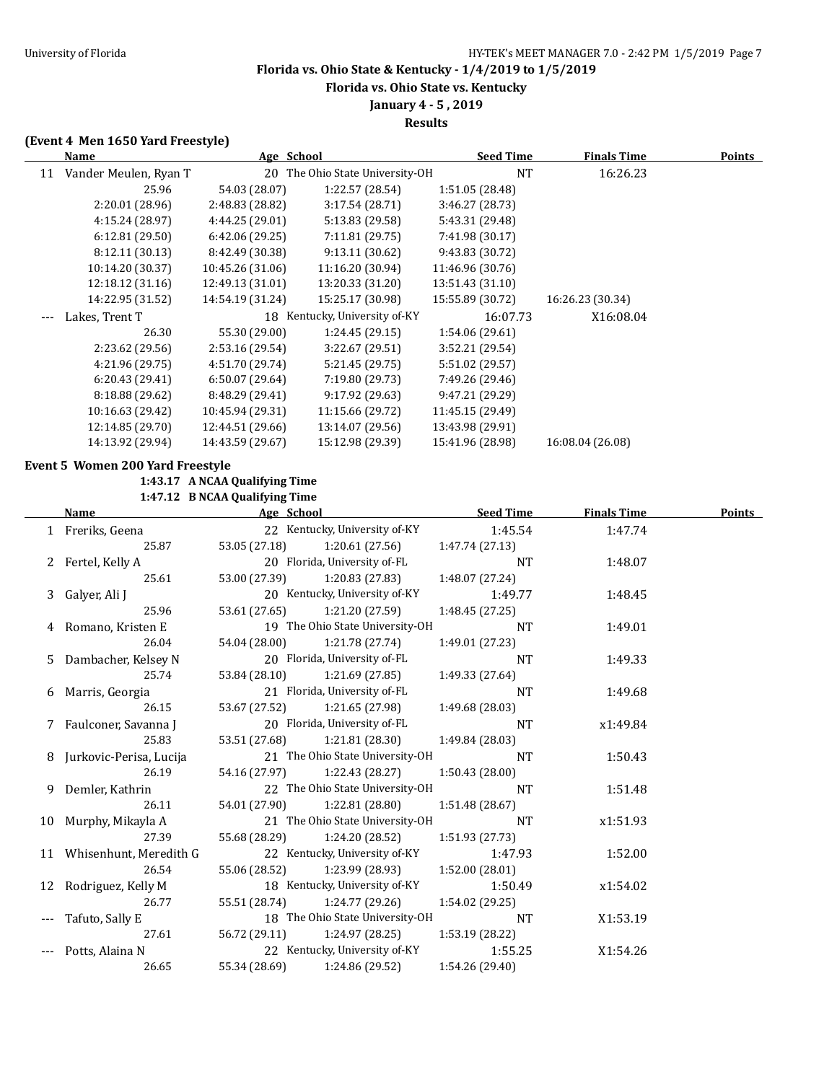**Florida vs. Ohio State vs. Kentucky**

### **January 4 - 5 , 2019 Results**

### **(Event 4 Men 1650 Yard Freestyle)**

|       | Name                             | Age School                     |                                 | <b>Seed Time</b> | <b>Finals Time</b> | <b>Points</b> |
|-------|----------------------------------|--------------------------------|---------------------------------|------------------|--------------------|---------------|
|       | 11 Vander Meulen, Ryan T         |                                | 20 The Ohio State University-OH | <b>NT</b>        | 16:26.23           |               |
|       | 25.96                            | 54.03 (28.07)                  | 1:22.57 (28.54)                 | 1:51.05 (28.48)  |                    |               |
|       | 2:20.01 (28.96)                  | 2:48.83 (28.82)                | 3:17.54 (28.71)                 | 3:46.27 (28.73)  |                    |               |
|       | 4:15.24 (28.97)                  | 4:44.25 (29.01)                | 5:13.83 (29.58)                 | 5:43.31 (29.48)  |                    |               |
|       | 6:12.81 (29.50)                  | 6:42.06 (29.25)                | 7:11.81 (29.75)                 | 7:41.98 (30.17)  |                    |               |
|       | 8:12.11 (30.13)                  | 8:42.49 (30.38)                | 9:13.11 (30.62)                 | 9:43.83 (30.72)  |                    |               |
|       | 10:14.20 (30.37)                 | 10:45.26 (31.06)               | 11:16.20 (30.94)                | 11:46.96 (30.76) |                    |               |
|       | 12:18.12 (31.16)                 | 12:49.13 (31.01)               | 13:20.33 (31.20)                | 13:51.43 (31.10) |                    |               |
|       | 14:22.95 (31.52)                 | 14:54.19 (31.24)               | 15:25.17 (30.98)                | 15:55.89 (30.72) | 16:26.23 (30.34)   |               |
|       | Lakes, Trent T                   |                                | 18 Kentucky, University of-KY   | 16:07.73         | X16:08.04          |               |
|       | 26.30                            | 55.30 (29.00)                  | 1:24.45 (29.15)                 | 1:54.06 (29.61)  |                    |               |
|       | 2:23.62 (29.56)                  | 2:53.16 (29.54)                | 3:22.67 (29.51)                 | 3:52.21 (29.54)  |                    |               |
|       | 4:21.96 (29.75)                  | 4:51.70 (29.74)                | 5:21.45 (29.75)                 | 5:51.02 (29.57)  |                    |               |
|       | 6:20.43 (29.41)                  | 6:50.07 (29.64)                | 7:19.80 (29.73)                 | 7:49.26 (29.46)  |                    |               |
|       | 8:18.88 (29.62)                  | 8:48.29 (29.41)                | 9:17.92 (29.63)                 | 9:47.21 (29.29)  |                    |               |
|       | 10:16.63 (29.42)                 | 10:45.94 (29.31)               | 11:15.66 (29.72)                | 11:45.15 (29.49) |                    |               |
|       | 12:14.85 (29.70)                 | 12:44.51 (29.66)               | 13:14.07 (29.56)                | 13:43.98 (29.91) |                    |               |
|       | 14:13.92 (29.94)                 | 14:43.59 (29.67)               | 15:12.98 (29.39)                | 15:41.96 (28.98) | 16:08.04 (26.08)   |               |
|       |                                  |                                |                                 |                  |                    |               |
|       | Event 5 Women 200 Yard Freestyle |                                |                                 |                  |                    |               |
|       |                                  | 1:43.17 A NCAA Qualifying Time |                                 |                  |                    |               |
|       |                                  | 1:47.12 B NCAA Qualifying Time |                                 |                  |                    |               |
|       | <b>Name</b>                      | Age School                     |                                 | <b>Seed Time</b> | <b>Finals Time</b> | Points        |
|       | 1 Freriks, Geena                 | 53.05 (27.18)                  | 22 Kentucky, University of-KY   | 1:45.54          | 1:47.74            |               |
|       | 25.87                            |                                | 1:20.61 (27.56)                 | 1:47.74 (27.13)  |                    |               |
| 2     | Fertel, Kelly A                  |                                | 20 Florida, University of-FL    | <b>NT</b>        | 1:48.07            |               |
|       | 25.61                            | 53.00 (27.39)                  | 1:20.83 (27.83)                 | 1:48.07 (27.24)  |                    |               |
| 3     | Galyer, Ali J                    |                                | 20 Kentucky, University of-KY   | 1:49.77          | 1:48.45            |               |
|       | 25.96                            | 53.61 (27.65)                  | 1:21.20 (27.59)                 | 1:48.45 (27.25)  |                    |               |
| 4     | Romano, Kristen E                |                                | 19 The Ohio State University-OH | <b>NT</b>        | 1:49.01            |               |
|       | 26.04                            | 54.04 (28.00)                  | 1:21.78 (27.74)                 | 1:49.01 (27.23)  |                    |               |
| 5.    | Dambacher, Kelsey N              |                                | 20 Florida, University of-FL    | <b>NT</b>        | 1:49.33            |               |
|       | 25.74                            | 53.84 (28.10)                  | 1:21.69 (27.85)                 | 1:49.33 (27.64)  |                    |               |
| 6     | Marris, Georgia                  |                                | 21 Florida, University of-FL    | <b>NT</b>        | 1:49.68            |               |
|       | 26.15                            | 53.67 (27.52)                  | 1:21.65 (27.98)                 | 1:49.68 (28.03)  |                    |               |
| 7     | Faulconer, Savanna J             |                                | 20 Florida, University of-FL    | <b>NT</b>        | x1:49.84           |               |
|       | 25.83                            | 53.51 (27.68)                  | 1:21.81 (28.30)                 | 1:49.84 (28.03)  |                    |               |
| 8     | Jurkovic-Perisa, Lucija          |                                | 21 The Ohio State University-OH | NT               | 1:50.43            |               |
|       | 26.19                            | 54.16 (27.97)                  | 1:22.43 (28.27)                 | 1:50.43 (28.00)  |                    |               |
| 9.    | Demler, Kathrin                  |                                | 22 The Ohio State University-OH | NT               | 1:51.48            |               |
|       | 26.11                            | 54.01 (27.90)                  | 1:22.81 (28.80)                 | 1:51.48 (28.67)  |                    |               |
| 10    | Murphy, Mikayla A                |                                | 21 The Ohio State University-OH | NT               | x1:51.93           |               |
|       | 27.39                            | 55.68 (28.29)                  | 1:24.20 (28.52)                 | 1:51.93 (27.73)  |                    |               |
| 11    | Whisenhunt, Meredith G           |                                | 22 Kentucky, University of-KY   | 1:47.93          | 1:52.00            |               |
|       | 26.54                            | 55.06 (28.52)                  | 1:23.99 (28.93)                 | 1:52.00 (28.01)  |                    |               |
| 12    | Rodriguez, Kelly M               |                                | 18 Kentucky, University of-KY   | 1:50.49          | x1:54.02           |               |
|       | 26.77                            | 55.51 (28.74)                  | 1:24.77 (29.26)                 | 1:54.02 (29.25)  |                    |               |
| $---$ | Tafuto, Sally E                  |                                | 18 The Ohio State University-OH | NT               | X1:53.19           |               |
|       | 27.61                            | 56.72 (29.11)                  | 1:24.97 (28.25)                 | 1:53.19 (28.22)  |                    |               |

--- Potts, Alaina N 22 Kentucky, University of-KY 1:55.25 X1:54.26 26.65 55.34 (28.69) 1:24.86 (29.52) 1:54.26 (29.40)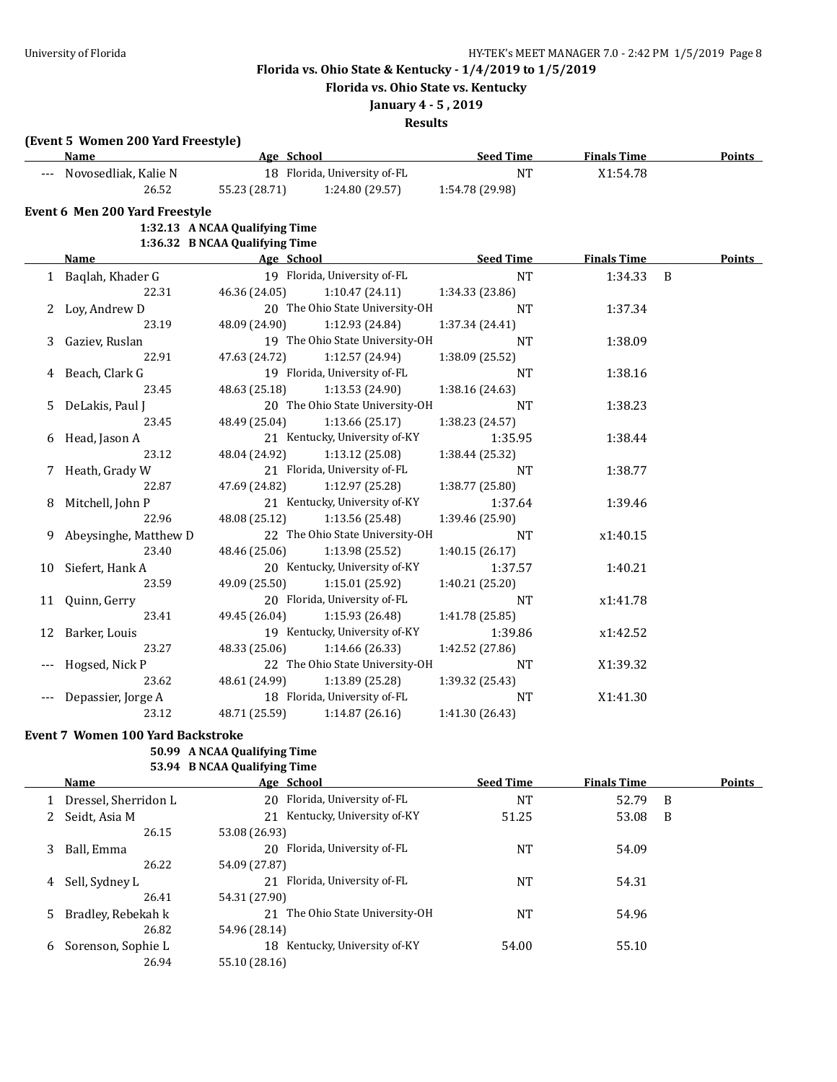**Florida vs. Ohio State vs. Kentucky**

## **January 4 - 5 , 2019**

**Results**

## **(Event 5 Women 200 Yard Freestyle)**

|    | Name                           | Age School                     |                                 | <b>Seed Time</b> | <b>Finals Time</b> |                | <b>Points</b> |
|----|--------------------------------|--------------------------------|---------------------------------|------------------|--------------------|----------------|---------------|
|    | Novosedliak, Kalie N           |                                | 18 Florida, University of-FL    | <b>NT</b>        | X1:54.78           |                |               |
|    | 26.52                          | 55.23 (28.71)                  | 1:24.80 (29.57)                 | 1:54.78 (29.98)  |                    |                |               |
|    | Event 6 Men 200 Yard Freestyle |                                |                                 |                  |                    |                |               |
|    |                                | 1:32.13 A NCAA Qualifying Time |                                 |                  |                    |                |               |
|    |                                | 1:36.32 B NCAA Qualifying Time |                                 |                  |                    |                |               |
|    | Name                           | age School                     |                                 | <u>Seed Time</u> | <b>Finals Time</b> |                | <b>Points</b> |
|    | 1 Baqlah, Khader G             |                                | 19 Florida, University of-FL    | <b>NT</b>        | 1:34.33            | $\overline{B}$ |               |
|    | 22.31                          | 46.36 (24.05)                  | 1:10.47(24.11)                  | 1:34.33 (23.86)  |                    |                |               |
|    | 2 Loy, Andrew D                |                                | 20 The Ohio State University-OH | NT               | 1:37.34            |                |               |
|    | 23.19                          | 48.09 (24.90)                  | 1:12.93 (24.84)                 | 1:37.34 (24.41)  |                    |                |               |
|    | Gaziev, Ruslan                 |                                | 19 The Ohio State University-OH | NT               | 1:38.09            |                |               |
|    | 22.91                          | 47.63 (24.72)                  | 1:12.57(24.94)                  | 1:38.09 (25.52)  |                    |                |               |
| 4  | Beach, Clark G                 |                                | 19 Florida, University of-FL    | <b>NT</b>        | 1:38.16            |                |               |
|    | 23.45                          | 48.63 (25.18)                  | 1:13.53(24.90)                  | 1:38.16 (24.63)  |                    |                |               |
| 5. | DeLakis, Paul J                |                                | 20 The Ohio State University-OH | <b>NT</b>        | 1:38.23            |                |               |
|    | 23.45                          | 48.49 (25.04)                  | 1:13.66(25.17)                  | 1:38.23 (24.57)  |                    |                |               |
| 6  | Head, Jason A                  |                                | 21 Kentucky, University of-KY   | 1:35.95          | 1:38.44            |                |               |
|    | 23.12                          | 48.04 (24.92)                  | 1:13.12(25.08)                  | 1:38.44 (25.32)  |                    |                |               |
| 7  | Heath, Grady W                 |                                | 21 Florida, University of-FL    | <b>NT</b>        | 1:38.77            |                |               |
|    | 22.87                          | 47.69 (24.82)                  | 1:12.97 (25.28)                 | 1:38.77 (25.80)  |                    |                |               |
| 8  | Mitchell, John P               |                                | 21 Kentucky, University of-KY   | 1:37.64          | 1:39.46            |                |               |
|    | 22.96                          | 48.08 (25.12)                  | 1:13.56(25.48)                  | 1:39.46 (25.90)  |                    |                |               |
| 9  | Abeysinghe, Matthew D          |                                | 22 The Ohio State University-OH | <b>NT</b>        | x1:40.15           |                |               |
|    | 23.40                          | 48.46 (25.06)                  | 1:13.98 (25.52)                 | 1:40.15 (26.17)  |                    |                |               |
|    | 10 Siefert, Hank A             |                                | 20 Kentucky, University of-KY   | 1:37.57          | 1:40.21            |                |               |
|    | 23.59                          | 49.09 (25.50)                  | 1:15.01 (25.92)                 | 1:40.21 (25.20)  |                    |                |               |
|    | 11 Quinn, Gerry                |                                | 20 Florida, University of-FL    | <b>NT</b>        | x1:41.78           |                |               |
|    | 23.41                          | 49.45 (26.04)                  | 1:15.93(26.48)                  | 1:41.78 (25.85)  |                    |                |               |
| 12 | Barker, Louis                  |                                | 19 Kentucky, University of-KY   | 1:39.86          | x1:42.52           |                |               |
|    | 23.27                          | 48.33 (25.06)                  | 1:14.66 (26.33)                 | 1:42.52 (27.86)  |                    |                |               |
|    | Hogsed, Nick P                 |                                | 22 The Ohio State University-OH | <b>NT</b>        | X1:39.32           |                |               |
|    | 23.62                          | 48.61 (24.99)                  | 1:13.89(25.28)                  | 1:39.32 (25.43)  |                    |                |               |
|    | Depassier, Jorge A             |                                | 18 Florida, University of-FL    | <b>NT</b>        | X1:41.30           |                |               |
|    | 23.12                          | 48.71 (25.59)                  | 1:14.87(26.16)                  | 1:41.30 (26.43)  |                    |                |               |
|    |                                |                                |                                 |                  |                    |                |               |

### **Event 7 Women 100 Yard Backstroke**

### **50.99 A NCAA Qualifying Time 53.94 B NCAA Qualifying Time**

|    | <b>Name</b>          | Age School                       | <b>Seed Time</b> | <b>Finals Time</b> | <b>Points</b> |
|----|----------------------|----------------------------------|------------------|--------------------|---------------|
|    | Dressel, Sherridon L | 20 Florida, University of-FL     | NT               | 52.79<br>- B       |               |
|    | Seidt, Asia M        | Kentucky, University of-KY<br>21 | 51.25            | 53.08<br>B         |               |
|    | 26.15                | 53.08 (26.93)                    |                  |                    |               |
| 3  | Ball, Emma           | Florida, University of-FL<br>20. | NT               | 54.09              |               |
|    | 26.22                | 54.09 (27.87)                    |                  |                    |               |
| 4  | Sell, Sydney L       | Florida, University of-FL        | NT               | 54.31              |               |
|    | 26.41                | 54.31 (27.90)                    |                  |                    |               |
| 5. | Bradley, Rebekah k   | 21 The Ohio State University-OH  | NT               | 54.96              |               |
|    | 26.82                | 54.96 (28.14)                    |                  |                    |               |
| 6  | Sorenson, Sophie L   | Kentucky, University of-KY<br>18 | 54.00            | 55.10              |               |
|    | 26.94                | 55.10 (28.16)                    |                  |                    |               |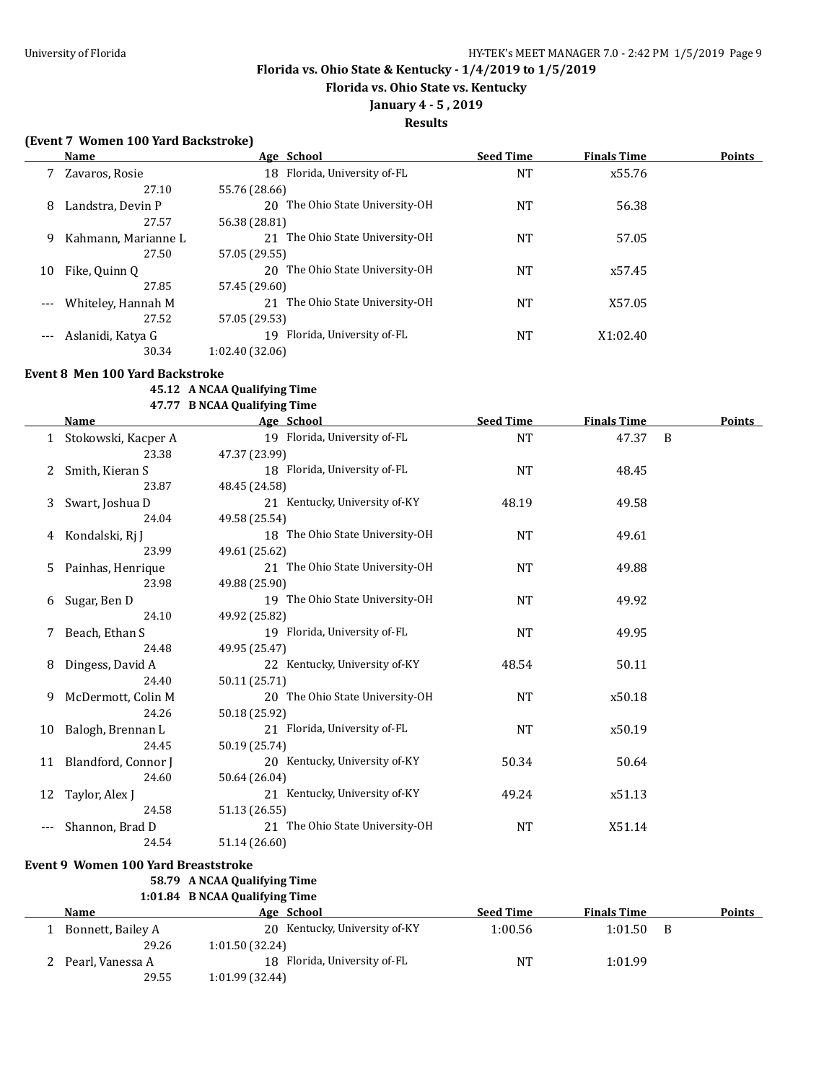**Florida vs. Ohio State vs. Kentucky**

## **January 4 - 5 , 2019**

## **Results**

### **(Event 7 Women 100 Yard Backstroke)**

|    | Name                | Age School                         | <b>Seed Time</b> | <b>Finals Time</b> | <b>Points</b> |
|----|---------------------|------------------------------------|------------------|--------------------|---------------|
|    | Zavaros, Rosie      | 18 Florida, University of-FL       | <b>NT</b>        | x55.76             |               |
|    | 27.10               | 55.76 (28.66)                      |                  |                    |               |
| 8  | Landstra, Devin P   | The Ohio State University-OH<br>20 | NT               | 56.38              |               |
|    | 27.57               | 56.38 (28.81)                      |                  |                    |               |
| 9  | Kahmann, Marianne L | The Ohio State University-OH<br>21 | <b>NT</b>        | 57.05              |               |
|    | 27.50               | 57.05 (29.55)                      |                  |                    |               |
| 10 | Fike, Quinn Q       | 20 The Ohio State University-OH    | <b>NT</b>        | x57.45             |               |
|    | 27.85               | 57.45 (29.60)                      |                  |                    |               |
|    | Whiteley, Hannah M  | 21 The Ohio State University-OH    | <b>NT</b>        | X57.05             |               |
|    | 27.52               | 57.05 (29.53)                      |                  |                    |               |
|    | Aslanidi, Katya G   | Florida, University of-FL<br>19    | <b>NT</b>        | X1:02.40           |               |
|    | 30.34               | 1:02.40 (32.06)                    |                  |                    |               |

#### **Event 8 Men 100 Yard Backstroke**

#### **45.12 A NCAA Qualifying Time 47.77 B NCAA Qualifying Time**

|    | <b>Name</b>                                | Age School                      | <b>Seed Time</b> | <b>Finals Time</b> | <b>Points</b> |
|----|--------------------------------------------|---------------------------------|------------------|--------------------|---------------|
|    | 1 Stokowski, Kacper A                      | 19 Florida, University of-FL    | NT               | 47.37 B            |               |
|    | 23.38                                      | 47.37 (23.99)                   |                  |                    |               |
| 2  | Smith, Kieran S                            | 18 Florida, University of-FL    | <b>NT</b>        | 48.45              |               |
|    | 23.87                                      | 48.45 (24.58)                   |                  |                    |               |
| 3  | Swart, Joshua D                            | 21 Kentucky, University of-KY   | 48.19            | 49.58              |               |
|    | 24.04                                      | 49.58 (25.54)                   |                  |                    |               |
| 4  | Kondalski, Rj J                            | 18 The Ohio State University-OH | <b>NT</b>        | 49.61              |               |
|    | 23.99                                      | 49.61 (25.62)                   |                  |                    |               |
| 5. | Painhas, Henrique                          | 21 The Ohio State University-OH | <b>NT</b>        | 49.88              |               |
|    | 23.98                                      | 49.88 (25.90)                   |                  |                    |               |
| 6  | Sugar, Ben D                               | 19 The Ohio State University-OH | <b>NT</b>        | 49.92              |               |
|    | 24.10                                      | 49.92 (25.82)                   |                  |                    |               |
|    | Beach, Ethan S                             | 19 Florida, University of-FL    | <b>NT</b>        | 49.95              |               |
|    | 24.48                                      | 49.95 (25.47)                   |                  |                    |               |
| 8  | Dingess, David A                           | 22 Kentucky, University of-KY   | 48.54            | 50.11              |               |
|    | 24.40                                      | 50.11 (25.71)                   |                  |                    |               |
| 9  | McDermott, Colin M                         | 20 The Ohio State University-OH | <b>NT</b>        | x50.18             |               |
|    | 24.26                                      | 50.18 (25.92)                   |                  |                    |               |
| 10 | Balogh, Brennan L                          | 21 Florida, University of-FL    | NT               | x50.19             |               |
|    | 24.45                                      | 50.19 (25.74)                   |                  |                    |               |
|    | 11 Blandford, Connor J                     | 20 Kentucky, University of-KY   | 50.34            | 50.64              |               |
|    | 24.60                                      | 50.64 (26.04)                   |                  |                    |               |
| 12 | Taylor, Alex J                             | 21 Kentucky, University of-KY   | 49.24            | x51.13             |               |
|    | 24.58                                      | 51.13 (26.55)                   |                  |                    |               |
|    | Shannon, Brad D                            | 21 The Ohio State University-OH | NT               | X51.14             |               |
|    | 24.54                                      | 51.14 (26.60)                   |                  |                    |               |
|    | <b>Event 9 Women 100 Yard Breaststroke</b> |                                 |                  |                    |               |

## **58.79 A NCAA Qualifying Time**

## **1:01.84 B NCAA Qualifying Time**

| Name              | Age School                    | <b>Seed Time</b> | <b>Finals Time</b> | <b>Points</b> |
|-------------------|-------------------------------|------------------|--------------------|---------------|
| Bonnett, Bailey A | 20 Kentucky, University of-KY | 1:00.56          | 1:01.50            |               |
| 29.26             | 1:01.50 (32.24)               |                  |                    |               |
| Pearl, Vanessa A  | 18 Florida, University of-FL  | NT               | 1:01.99            |               |
| 29.55             | 1:01.99(32.44)                |                  |                    |               |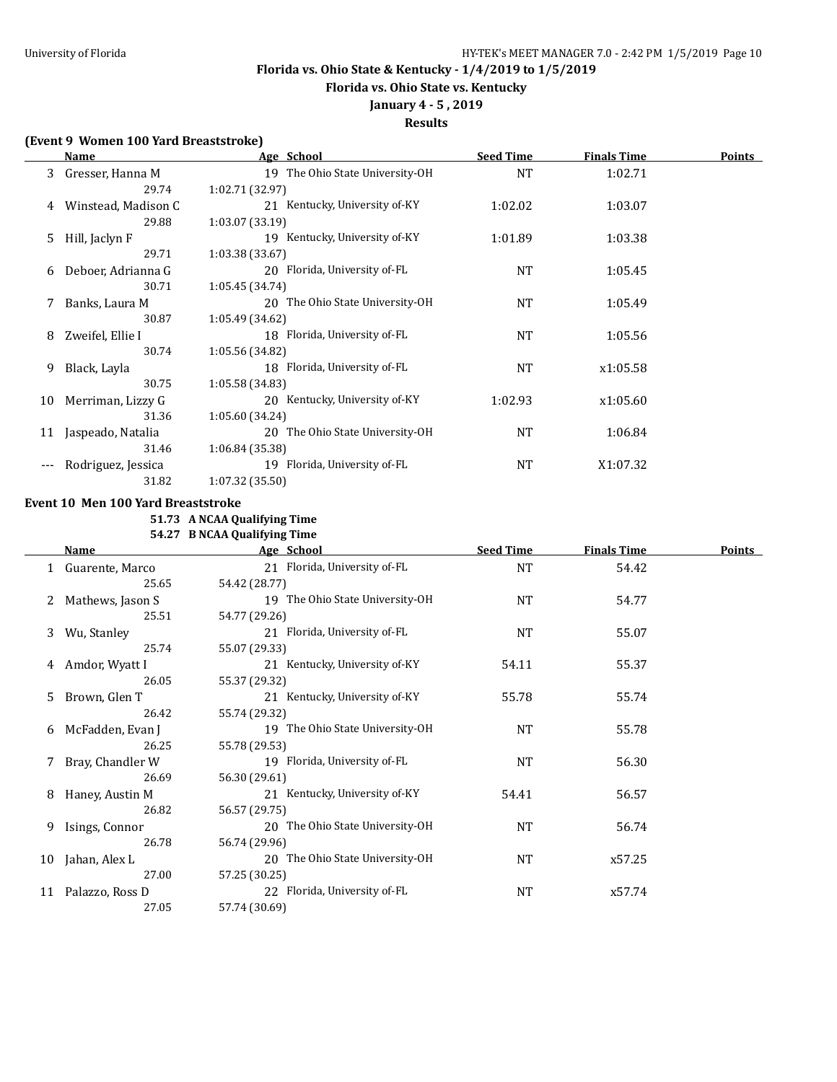**Florida vs. Ohio State vs. Kentucky**

## **January 4 - 5 , 2019**

**Results**

### **(Event 9 Women 100 Yard Breaststroke)**

|    | Name                | Age School                      | <b>Seed Time</b> | <b>Finals Time</b> | <b>Points</b> |
|----|---------------------|---------------------------------|------------------|--------------------|---------------|
| 3  | Gresser, Hanna M    | 19 The Ohio State University-OH | <b>NT</b>        | 1:02.71            |               |
|    | 29.74               | 1:02.71 (32.97)                 |                  |                    |               |
| 4  | Winstead, Madison C | 21 Kentucky, University of-KY   | 1:02.02          | 1:03.07            |               |
|    | 29.88               | 1:03.07(33.19)                  |                  |                    |               |
| 5. | Hill, Jaclyn F      | 19 Kentucky, University of-KY   | 1:01.89          | 1:03.38            |               |
|    | 29.71               | 1:03.38 (33.67)                 |                  |                    |               |
| 6  | Deboer, Adrianna G  | 20 Florida, University of-FL    | NT               | 1:05.45            |               |
|    | 30.71               | 1:05.45(34.74)                  |                  |                    |               |
| 7  | Banks, Laura M      | 20 The Ohio State University-OH | <b>NT</b>        | 1:05.49            |               |
|    | 30.87               | 1:05.49 (34.62)                 |                  |                    |               |
| 8  | Zweifel, Ellie I    | 18 Florida, University of-FL    | NT               | 1:05.56            |               |
|    | 30.74               | 1:05.56 (34.82)                 |                  |                    |               |
| 9  | Black, Layla        | 18 Florida, University of-FL    | NT               | x1:05.58           |               |
|    | 30.75               | 1:05.58(34.83)                  |                  |                    |               |
| 10 | Merriman, Lizzy G   | 20 Kentucky, University of-KY   | 1:02.93          | x1:05.60           |               |
|    | 31.36               | 1:05.60 (34.24)                 |                  |                    |               |
| 11 | Jaspeado, Natalia   | 20 The Ohio State University-OH | <b>NT</b>        | 1:06.84            |               |
|    | 31.46               | 1:06.84(35.38)                  |                  |                    |               |
|    | Rodriguez, Jessica  | 19 Florida, University of-FL    | NT               | X1:07.32           |               |
|    | 31.82               | 1:07.32(35.50)                  |                  |                    |               |

### **Event 10 Men 100 Yard Breaststroke**

**51.73 A NCAA Qualifying Time**

**54.27 B NCAA Qualifying Time**

|    | Name             | Age School                      | <b>Seed Time</b> | <b>Finals Time</b> | Points |
|----|------------------|---------------------------------|------------------|--------------------|--------|
|    | Guarente, Marco  | 21 Florida, University of-FL    | <b>NT</b>        | 54.42              |        |
|    | 25.65            | 54.42 (28.77)                   |                  |                    |        |
|    | Mathews, Jason S | 19 The Ohio State University-OH | <b>NT</b>        | 54.77              |        |
|    | 25.51            | 54.77 (29.26)                   |                  |                    |        |
| 3  | Wu, Stanley      | 21 Florida, University of-FL    | NT               | 55.07              |        |
|    | 25.74            | 55.07 (29.33)                   |                  |                    |        |
| 4  | Amdor, Wyatt I   | 21 Kentucky, University of-KY   | 54.11            | 55.37              |        |
|    | 26.05            | 55.37 (29.32)                   |                  |                    |        |
| 5. | Brown, Glen T    | 21 Kentucky, University of-KY   | 55.78            | 55.74              |        |
|    | 26.42            | 55.74 (29.32)                   |                  |                    |        |
| 6  | McFadden, Evan J | 19 The Ohio State University-OH | NT               | 55.78              |        |
|    | 26.25            | 55.78 (29.53)                   |                  |                    |        |
|    | Bray, Chandler W | 19 Florida, University of-FL    | NT               | 56.30              |        |
|    | 26.69            | 56.30 (29.61)                   |                  |                    |        |
| 8  | Haney, Austin M  | 21 Kentucky, University of-KY   | 54.41            | 56.57              |        |
|    | 26.82            | 56.57 (29.75)                   |                  |                    |        |
| 9  | Isings, Connor   | 20 The Ohio State University-OH | NT               | 56.74              |        |
|    | 26.78            | 56.74 (29.96)                   |                  |                    |        |
| 10 | Jahan, Alex L    | 20 The Ohio State University-OH | NT               | x57.25             |        |
|    | 27.00            | 57.25 (30.25)                   |                  |                    |        |
| 11 | Palazzo, Ross D  | 22 Florida, University of-FL    | NT               | x57.74             |        |
|    | 27.05            | 57.74 (30.69)                   |                  |                    |        |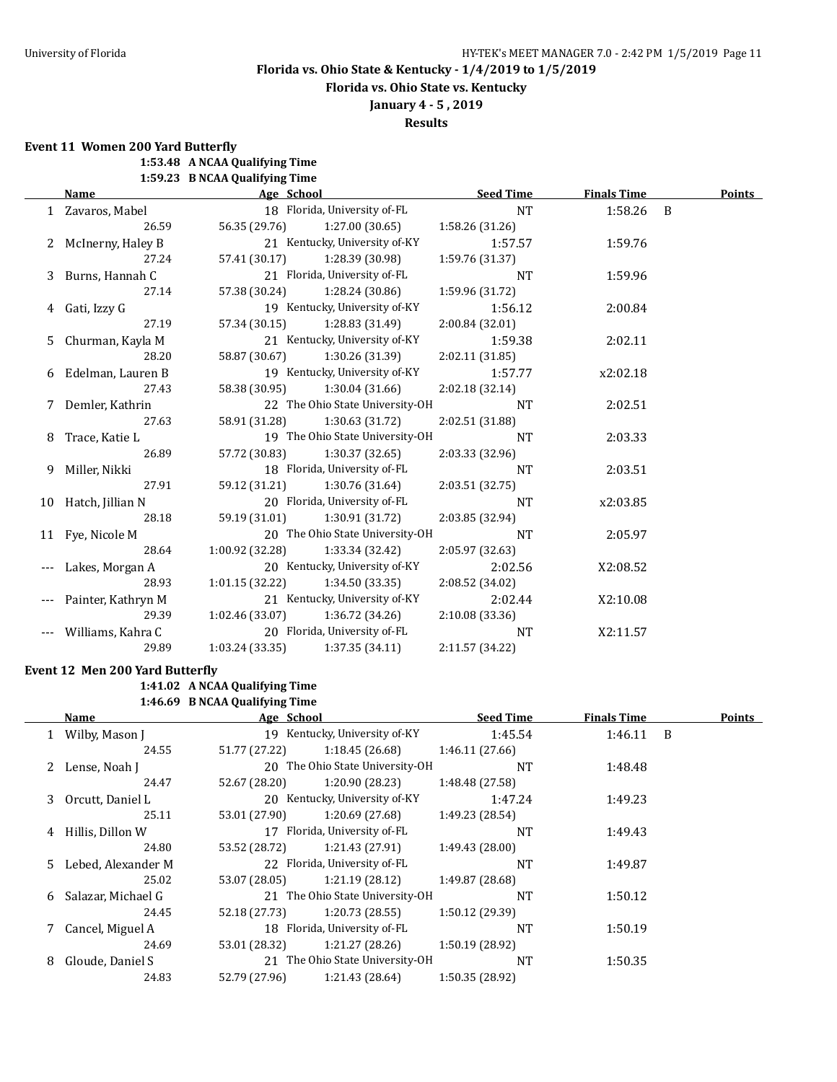**Florida vs. Ohio State vs. Kentucky**

**January 4 - 5 , 2019**

**Results**

**Event 11 Women 200 Yard Butterfly**

**1:53.48 A NCAA Qualifying Time**

**1:59.23 B NCAA Qualifying Time**

|   | Name                | Age School      |                                   | <b>Seed Time</b> | <b>Finals Time</b> | <b>Points</b> |
|---|---------------------|-----------------|-----------------------------------|------------------|--------------------|---------------|
|   | 1 Zavaros, Mabel    |                 | 18 Florida, University of-FL      | <b>NT</b>        | 1:58.26 B          |               |
|   | 26.59               | 56.35 (29.76)   | 1:27.00 (30.65)                   | 1:58.26 (31.26)  |                    |               |
|   | 2 McInerny, Haley B |                 | 21 Kentucky, University of-KY     | 1:57.57          | 1:59.76            |               |
|   | 27.24               | 57.41 (30.17)   | 1:28.39 (30.98)                   | 1:59.76 (31.37)  |                    |               |
|   | 3 Burns, Hannah C   |                 | 21 Florida, University of-FL      | <b>NT</b>        | 1:59.96            |               |
|   | 27.14               |                 | 57.38 (30.24) 1:28.24 (30.86)     | 1:59.96 (31.72)  |                    |               |
|   | 4 Gati, Izzy G      |                 | 19 Kentucky, University of-KY     | 1:56.12          | 2:00.84            |               |
|   | 27.19               |                 | 57.34 (30.15) 1:28.83 (31.49)     | 2:00.84 (32.01)  |                    |               |
| 5 | Churman, Kayla M    |                 | 21 Kentucky, University of-KY     | 1:59.38          | 2:02.11            |               |
|   | 28.20               |                 | 58.87 (30.67) 1:30.26 (31.39)     | 2:02.11 (31.85)  |                    |               |
|   | 6 Edelman, Lauren B |                 | 19 Kentucky, University of-KY     | 1:57.77          | x2:02.18           |               |
|   | 27.43               | 58.38 (30.95)   | 1:30.04 (31.66)                   | 2:02.18 (32.14)  |                    |               |
|   | 7 Demler, Kathrin   |                 | 22 The Ohio State University-OH   | <b>NT</b>        | 2:02.51            |               |
|   | 27.63               | 58.91 (31.28)   | 1:30.63 (31.72)                   | 2:02.51 (31.88)  |                    |               |
| 8 | Trace, Katie L      |                 | 19 The Ohio State University-OH   | <b>NT</b>        | 2:03.33            |               |
|   | 26.89               |                 | 57.72 (30.83) 1:30.37 (32.65)     | 2:03.33 (32.96)  |                    |               |
|   | Miller, Nikki       |                 | 18 Florida, University of-FL      | <b>NT</b>        | 2:03.51            |               |
|   | 27.91               |                 | 59.12 (31.21) 1:30.76 (31.64)     | 2:03.51(32.75)   |                    |               |
|   | 10 Hatch, Jillian N |                 | 20 Florida, University of-FL      | <b>NT</b>        | x2:03.85           |               |
|   | 28.18               |                 | 59.19 (31.01) 1:30.91 (31.72)     | 2:03.85 (32.94)  |                    |               |
|   | 11 Fye, Nicole M    |                 | 20 The Ohio State University-OH   | <b>NT</b>        | 2:05.97            |               |
|   | 28.64               | 1:00.92 (32.28) | 1:33.34 (32.42)                   | 2:05.97 (32.63)  |                    |               |
|   | Lakes, Morgan A     |                 | 20 Kentucky, University of-KY     | 2:02.56          | X2:08.52           |               |
|   | 28.93               | 1:01.15 (32.22) | 1:34.50 (33.35)                   | 2:08.52 (34.02)  |                    |               |
|   | Painter, Kathryn M  |                 | 21 Kentucky, University of-KY     | 2:02.44          | X2:10.08           |               |
|   | 29.39               |                 | $1:02.46(33.07)$ $1:36.72(34.26)$ | 2:10.08(33.36)   |                    |               |
|   | Williams, Kahra C   |                 | 20 Florida, University of-FL      | NT               | X2:11.57           |               |
|   | 29.89               | 1:03.24(33.35)  | 1:37.35(34.11)                    | 2:11.57 (34.22)  |                    |               |

## **Event 12 Men 200 Yard Butterfly**

## **1:41.02 A NCAA Qualifying Time**

**1:46.69 B NCAA Qualifying Time**

|   | Name                 | Age School    |                                 | <b>Seed Time</b> | <b>Finals Time</b> | Points |
|---|----------------------|---------------|---------------------------------|------------------|--------------------|--------|
|   | 1 Wilby, Mason J     |               | 19 Kentucky, University of-KY   | 1:45.54          | $1:46.11$ B        |        |
|   | 24.55                | 51.77 (27.22) | 1:18.45(26.68)                  | 1:46.11(27.66)   |                    |        |
|   | 2 Lense, Noah J      |               | 20 The Ohio State University-OH | <b>NT</b>        | 1:48.48            |        |
|   | 24.47                | 52.67 (28.20) | 1:20.90 (28.23)                 | 1:48.48 (27.58)  |                    |        |
| 3 | Orcutt, Daniel L     |               | 20 Kentucky, University of-KY   | 1:47.24          | 1:49.23            |        |
|   | 25.11                | 53.01 (27.90) | 1:20.69(27.68)                  | 1:49.23 (28.54)  |                    |        |
|   | 4 Hillis, Dillon W   |               | 17 Florida, University of-FL    | <b>NT</b>        | 1:49.43            |        |
|   | 24.80                | 53.52 (28.72) | 1:21.43 (27.91)                 | 1:49.43(28.00)   |                    |        |
|   | 5 Lebed, Alexander M |               | 22 Florida, University of-FL    | <b>NT</b>        | 1:49.87            |        |
|   | 25.02                | 53.07 (28.05) | 1:21.19(28.12)                  | 1:49.87 (28.68)  |                    |        |
| 6 | Salazar, Michael G   |               | 21 The Ohio State University-OH | <b>NT</b>        | 1:50.12            |        |
|   | 24.45                | 52.18 (27.73) | 1:20.73(28.55)                  | 1:50.12(29.39)   |                    |        |
|   | 7 Cancel, Miguel A   |               | 18 Florida, University of-FL    | NT               | 1:50.19            |        |
|   | 24.69                | 53.01 (28.32) | 1:21.27(28.26)                  | 1:50.19(28.92)   |                    |        |
| 8 | Gloude, Daniel S     |               | 21 The Ohio State University-OH | <b>NT</b>        | 1:50.35            |        |
|   | 24.83                | 52.79 (27.96) | 1:21.43 (28.64)                 | 1:50.35 (28.92)  |                    |        |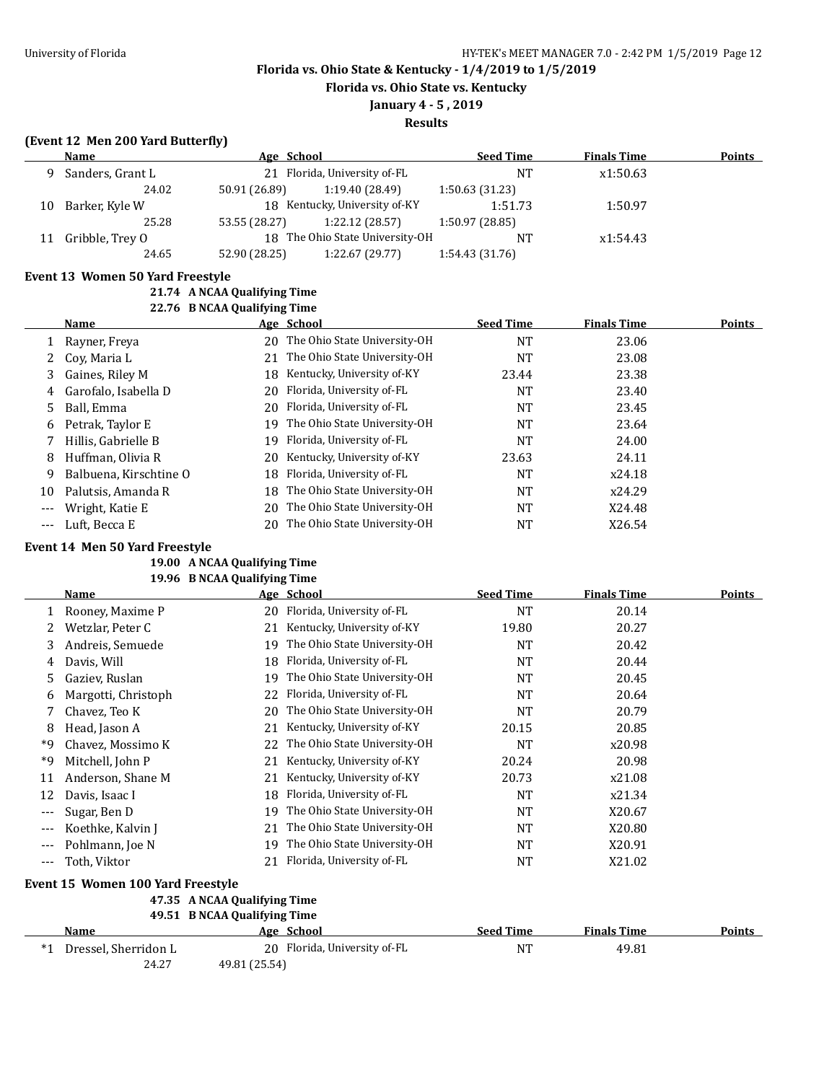**Florida vs. Ohio State vs. Kentucky**

# **January 4 - 5 , 2019**

**Results**

## **(Event 12 Men 200 Yard Butterfly)**

|    | Name             | Age School    |                                 | <b>Seed Time</b> | <b>Finals Time</b> | <b>Points</b> |
|----|------------------|---------------|---------------------------------|------------------|--------------------|---------------|
| Q  | Sanders, Grant L |               | 21 Florida, University of-FL    | NT               | x1:50.63           |               |
|    | 24.02            | 50.91 (26.89) | 1:19.40 (28.49)                 | 1:50.63(31.23)   |                    |               |
| 10 | Barker, Kyle W   |               | 18 Kentucky, University of-KY   | 1:51.73          | 1:50.97            |               |
|    | 25.28            | 53.55 (28.27) | 1:22.12(28.57)                  | 1:50.97 (28.85)  |                    |               |
| 11 | Gribble, Trey O  |               | 18 The Ohio State University-OH | <b>NT</b>        | x1:54.43           |               |
|    | 24.65            | 52.90 (28.25) | 1:22.67(29.77)                  | 1:54.43(31.76)   |                    |               |

#### **Event 13 Women 50 Yard Freestyle**

**21.74 A NCAA Qualifying Time**

|       | Name                   |     | Age School                      | <b>Seed Time</b> | <b>Finals Time</b> | <b>Points</b> |
|-------|------------------------|-----|---------------------------------|------------------|--------------------|---------------|
|       | Rayner, Freya          | 20  | The Ohio State University-OH    | NT               | 23.06              |               |
| 2     | Cov, Maria L           |     | 21 The Ohio State University-OH | NT               | 23.08              |               |
| 3     | Gaines, Riley M        | 18. | Kentucky, University of-KY      | 23.44            | 23.38              |               |
| 4     | Garofalo, Isabella D   | 20. | Florida, University of-FL       | <b>NT</b>        | 23.40              |               |
| 5     | Ball. Emma             | 20  | Florida, University of-FL       | <b>NT</b>        | 23.45              |               |
| 6     | Petrak, Taylor E       | 19. | The Ohio State University-OH    | <b>NT</b>        | 23.64              |               |
|       | Hillis, Gabrielle B    | 19. | Florida, University of-FL       | NT               | 24.00              |               |
| 8     | Huffman, Olivia R      | 20  | Kentucky, University of-KY      | 23.63            | 24.11              |               |
| 9     | Balbuena, Kirschtine O | 18  | Florida, University of-FL       | <b>NT</b>        | x24.18             |               |
| 10    | Palutsis, Amanda R     | 18  | The Ohio State University-OH    | <b>NT</b>        | x24.29             |               |
| $---$ | Wright, Katie E        | 20  | The Ohio State University-OH    | NT               | X24.48             |               |
| $---$ | Luft, Becca E          | 20  | The Ohio State University-OH    | NT               | X26.54             |               |

#### **Event 14 Men 50 Yard Freestyle**

#### **19.00 A NCAA Qualifying Time 19.96 B NCAA Qualifying Time**

|         | Name                              |    | Age School                   | <b>Seed Time</b> | <b>Finals Time</b> | <b>Points</b> |
|---------|-----------------------------------|----|------------------------------|------------------|--------------------|---------------|
|         | Rooney, Maxime P                  | 20 | Florida, University of-FL    | <b>NT</b>        | 20.14              |               |
|         | Wetzlar, Peter C                  | 21 | Kentucky, University of-KY   | 19.80            | 20.27              |               |
| 3       | Andreis, Semuede                  | 19 | The Ohio State University-OH | <b>NT</b>        | 20.42              |               |
| 4       | Davis, Will                       | 18 | Florida, University of-FL    | <b>NT</b>        | 20.44              |               |
| 5.      | Gaziev, Ruslan                    | 19 | The Ohio State University-OH | NT               | 20.45              |               |
| 6       | Margotti, Christoph               | 22 | Florida, University of-FL    | NT               | 20.64              |               |
|         | Chavez, Teo K                     | 20 | The Ohio State University-OH | NT               | 20.79              |               |
| 8       | Head, Jason A                     | 21 | Kentucky, University of-KY   | 20.15            | 20.85              |               |
| *9      | Chavez, Mossimo K                 | 22 | The Ohio State University-OH | NT               | x20.98             |               |
| *9      | Mitchell, John P                  | 21 | Kentucky, University of-KY   | 20.24            | 20.98              |               |
| 11      | Anderson, Shane M                 | 21 | Kentucky, University of-KY   | 20.73            | x21.08             |               |
| 12      | Davis, Isaac I                    | 18 | Florida, University of-FL    | <b>NT</b>        | x21.34             |               |
| $---$   | Sugar, Ben D                      | 19 | The Ohio State University-OH | <b>NT</b>        | X20.67             |               |
| $---$   | Koethke, Kalvin J                 | 21 | The Ohio State University-OH | NT               | X20.80             |               |
| $---$   | Pohlmann, Joe N                   | 19 | The Ohio State University-OH | <b>NT</b>        | X20.91             |               |
| $- - -$ | Toth, Viktor                      | 21 | Florida, University of-FL    | NT               | X21.02             |               |
|         | Event 15 Women 100 Yard Freestyle |    |                              |                  |                    |               |

## **47.35 A NCAA Qualifying Time**

**49.51 B NCAA Qualifying Time**

| Name                    |               | Age School                   | <b>Seed Time</b> | <b>Finals Time</b> | <b>Points</b> |
|-------------------------|---------------|------------------------------|------------------|--------------------|---------------|
| *1 Dressel. Sherridon L |               | 20 Florida, University of-FL | NΤ               | 49.81              |               |
| 24.27                   | 49.81 (25.54) |                              |                  |                    |               |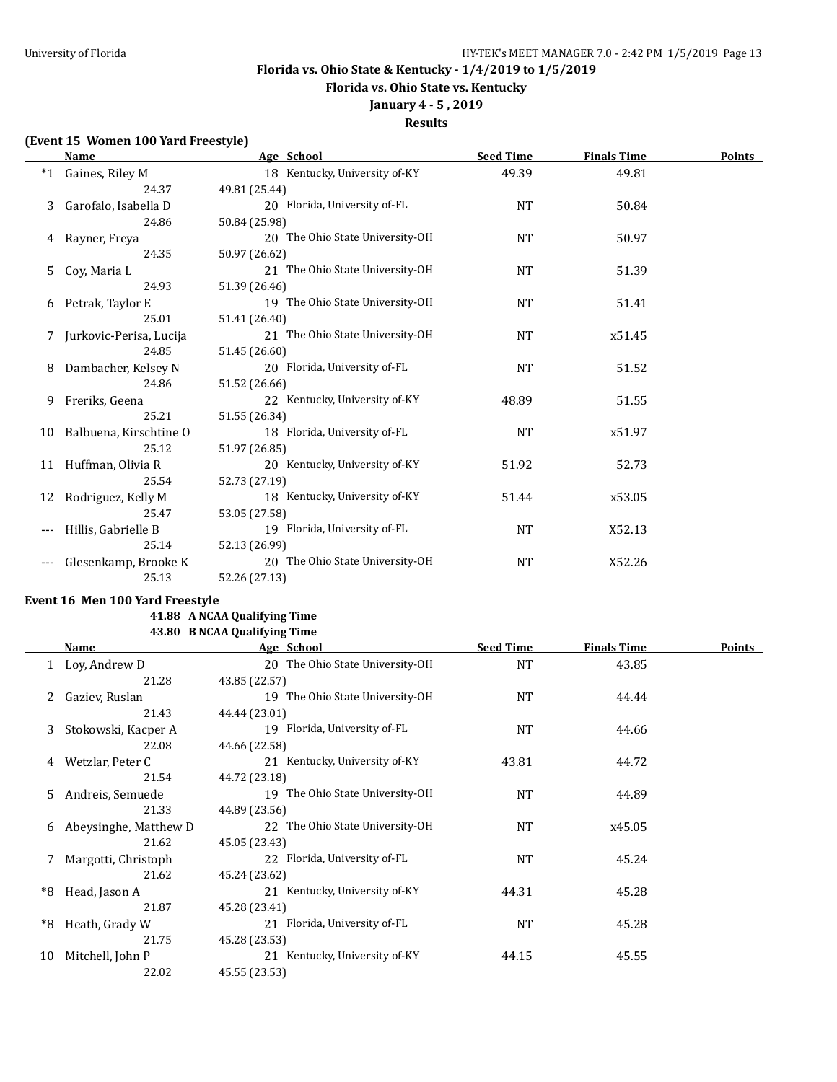**Florida vs. Ohio State vs. Kentucky**

# **January 4 - 5 , 2019**

## **Results**

### **(Event 15 Women 100 Yard Freestyle)**

|      | <b>Name</b>             | Age School                      | <b>Seed Time</b> | <b>Finals Time</b> | Points |
|------|-------------------------|---------------------------------|------------------|--------------------|--------|
| $*1$ | Gaines, Riley M         | 18 Kentucky, University of-KY   | 49.39            | 49.81              |        |
|      | 24.37                   | 49.81 (25.44)                   |                  |                    |        |
| 3    | Garofalo, Isabella D    | 20 Florida, University of-FL    | <b>NT</b>        | 50.84              |        |
|      | 24.86                   | 50.84 (25.98)                   |                  |                    |        |
|      | 4 Rayner, Freya         | 20 The Ohio State University-OH | <b>NT</b>        | 50.97              |        |
|      | 24.35                   | 50.97 (26.62)                   |                  |                    |        |
| 5    | Coy, Maria L            | 21 The Ohio State University-OH | <b>NT</b>        | 51.39              |        |
|      | 24.93                   | 51.39 (26.46)                   |                  |                    |        |
| 6    | Petrak, Taylor E        | 19 The Ohio State University-OH | <b>NT</b>        | 51.41              |        |
|      | 25.01                   | 51.41 (26.40)                   |                  |                    |        |
|      | Jurkovic-Perisa, Lucija | 21 The Ohio State University-OH | <b>NT</b>        | x51.45             |        |
|      | 24.85                   | 51.45 (26.60)                   |                  |                    |        |
| 8    | Dambacher, Kelsey N     | 20 Florida, University of-FL    | <b>NT</b>        | 51.52              |        |
|      | 24.86                   | 51.52 (26.66)                   |                  |                    |        |
| 9    | Freriks, Geena          | 22 Kentucky, University of-KY   | 48.89            | 51.55              |        |
|      | 25.21                   | 51.55 (26.34)                   |                  |                    |        |
| 10   | Balbuena, Kirschtine O  | 18 Florida, University of-FL    | <b>NT</b>        | x51.97             |        |
|      | 25.12                   | 51.97 (26.85)                   |                  |                    |        |
|      | 11 Huffman, Olivia R    | 20 Kentucky, University of-KY   | 51.92            | 52.73              |        |
|      | 25.54                   | 52.73 (27.19)                   |                  |                    |        |
| 12   | Rodriguez, Kelly M      | 18 Kentucky, University of-KY   | 51.44            | x53.05             |        |
|      | 25.47                   | 53.05 (27.58)                   |                  |                    |        |
|      | Hillis, Gabrielle B     | 19 Florida, University of-FL    | NT               | X52.13             |        |
|      | 25.14                   | 52.13 (26.99)                   |                  |                    |        |
|      | Glesenkamp, Brooke K    | 20 The Ohio State University-OH | <b>NT</b>        | X52.26             |        |
|      | 25.13                   | 52.26 (27.13)                   |                  |                    |        |

### **Event 16 Men 100 Yard Freestyle**

## **41.88 A NCAA Qualifying Time 43.80 B NCAA Qualifying Time**

|    | Name                  | Age School                      | <b>Seed Time</b> | <b>Finals Time</b> | <b>Points</b> |
|----|-----------------------|---------------------------------|------------------|--------------------|---------------|
|    | 1 Loy, Andrew D       | 20 The Ohio State University-OH | <b>NT</b>        | 43.85              |               |
|    | 21.28                 | 43.85 (22.57)                   |                  |                    |               |
|    | Gaziev, Ruslan        | 19 The Ohio State University-OH | <b>NT</b>        | 44.44              |               |
|    | 21.43                 | 44.44 (23.01)                   |                  |                    |               |
| 3  | Stokowski, Kacper A   | 19 Florida, University of-FL    | NT               | 44.66              |               |
|    | 22.08                 | 44.66 (22.58)                   |                  |                    |               |
| 4  | Wetzlar, Peter C      | 21 Kentucky, University of-KY   | 43.81            | 44.72              |               |
|    | 21.54                 | 44.72 (23.18)                   |                  |                    |               |
| 5  | Andreis, Semuede      | 19 The Ohio State University-OH | <b>NT</b>        | 44.89              |               |
|    | 21.33                 | 44.89 (23.56)                   |                  |                    |               |
| 6  | Abeysinghe, Matthew D | 22 The Ohio State University-OH | NT               | x45.05             |               |
|    | 21.62                 | 45.05 (23.43)                   |                  |                    |               |
|    | Margotti, Christoph   | 22 Florida, University of-FL    | <b>NT</b>        | 45.24              |               |
|    | 21.62                 | 45.24 (23.62)                   |                  |                    |               |
| *8 | Head, Jason A         | 21 Kentucky, University of-KY   | 44.31            | 45.28              |               |
|    | 21.87                 | 45.28 (23.41)                   |                  |                    |               |
| *8 | Heath, Grady W        | 21 Florida, University of-FL    | <b>NT</b>        | 45.28              |               |
|    | 21.75                 | 45.28 (23.53)                   |                  |                    |               |
| 10 | Mitchell, John P      | 21 Kentucky, University of-KY   | 44.15            | 45.55              |               |
|    | 22.02                 | 45.55 (23.53)                   |                  |                    |               |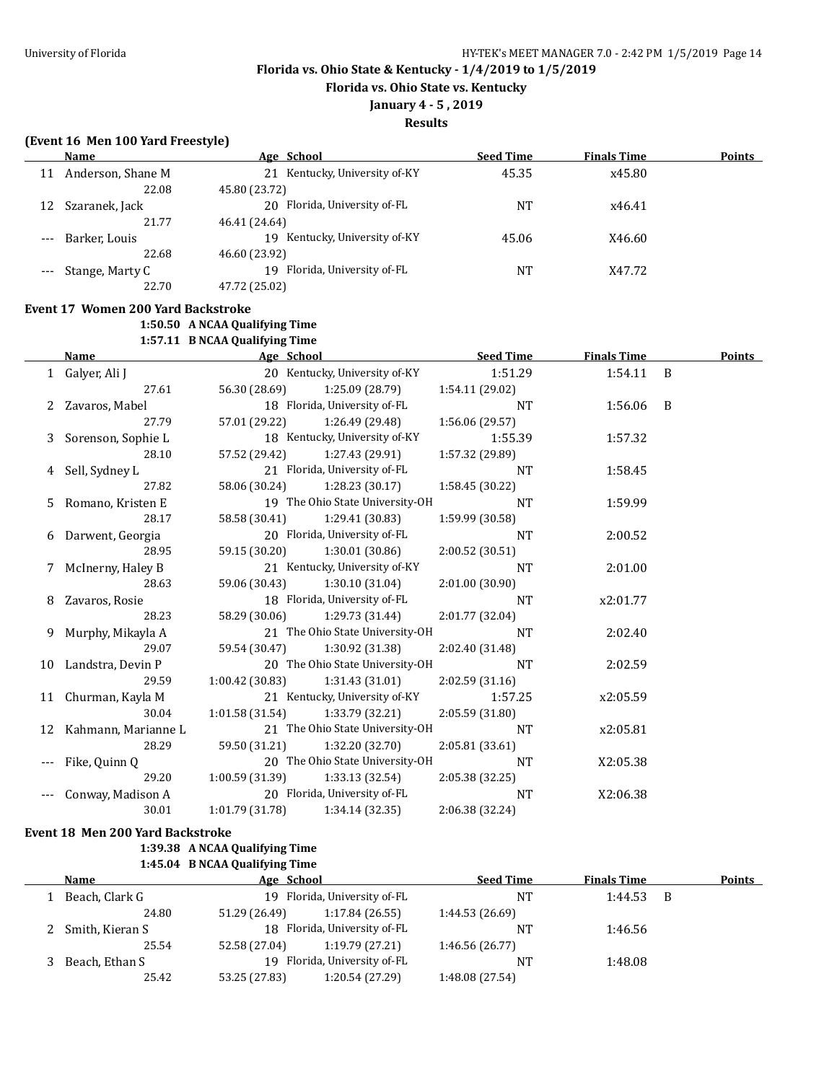**Florida vs. Ohio State vs. Kentucky**

## **January 4 - 5 , 2019**

#### **Results**

## **(Event 16 Men 100 Yard Freestyle)**

|       | Name                | Age School                       | <b>Seed Time</b> | <b>Finals Time</b> | <b>Points</b> |
|-------|---------------------|----------------------------------|------------------|--------------------|---------------|
| 11    | Anderson, Shane M   | 21 Kentucky, University of-KY    | 45.35            | x45.80             |               |
|       | 22.08               | 45.80 (23.72)                    |                  |                    |               |
| 12    | Szaranek, Jack      | 20 Florida, University of-FL     | <b>NT</b>        | x46.41             |               |
|       | 21.77               | 46.41 (24.64)                    |                  |                    |               |
| $---$ | Barker, Louis       | Kentucky, University of-KY<br>19 | 45.06            | X46.60             |               |
|       | 22.68               | 46.60 (23.92)                    |                  |                    |               |
|       | --- Stange, Marty C | Florida, University of-FL<br>19  | NT               | X47.72             |               |
|       | 22.70               | 47.72 (25.02)                    |                  |                    |               |
|       |                     |                                  |                  |                    |               |

## **Event 17 Women 200 Yard Backstroke**

**1:50.50 A NCAA Qualifying Time**

**1:57.11 B NCAA Qualifying Time**

|   | <b>Name</b>            | Age School      |                                 | <b>Seed Time</b> | <b>Finals Time</b> |     | Points |
|---|------------------------|-----------------|---------------------------------|------------------|--------------------|-----|--------|
|   | 1 Galyer, Ali J        |                 | 20 Kentucky, University of-KY   | 1:51.29          | 1:54.11 B          |     |        |
|   | 27.61                  | 56.30 (28.69)   | 1:25.09 (28.79)                 | 1:54.11 (29.02)  |                    |     |        |
|   | 2 Zavaros, Mabel       |                 | 18 Florida, University of-FL    | <b>NT</b>        | 1:56.06            | - B |        |
|   | 27.79                  | 57.01 (29.22)   | 1:26.49 (29.48)                 | 1:56.06 (29.57)  |                    |     |        |
| 3 | Sorenson, Sophie L     |                 | 18 Kentucky, University of-KY   | 1:55.39          | 1:57.32            |     |        |
|   | 28.10                  | 57.52 (29.42)   | 1:27.43 (29.91)                 | 1:57.32 (29.89)  |                    |     |        |
| 4 | Sell, Sydney L         |                 | 21 Florida, University of-FL    | <b>NT</b>        | 1:58.45            |     |        |
|   | 27.82                  | 58.06 (30.24)   | 1:28.23(30.17)                  | 1:58.45 (30.22)  |                    |     |        |
| 5 | Romano, Kristen E      |                 | 19 The Ohio State University-OH | <b>NT</b>        | 1:59.99            |     |        |
|   | 28.17                  | 58.58 (30.41)   | 1:29.41(30.83)                  | 1:59.99 (30.58)  |                    |     |        |
| 6 | Darwent, Georgia       |                 | 20 Florida, University of-FL    | <b>NT</b>        | 2:00.52            |     |        |
|   | 28.95                  | 59.15 (30.20)   | 1:30.01(30.86)                  | 2:00.52 (30.51)  |                    |     |        |
|   | McInerny, Haley B      |                 | 21 Kentucky, University of-KY   | <b>NT</b>        | 2:01.00            |     |        |
|   | 28.63                  | 59.06 (30.43)   | 1:30.10(31.04)                  | 2:01.00 (30.90)  |                    |     |        |
| 8 | Zavaros, Rosie         |                 | 18 Florida, University of-FL    | <b>NT</b>        | x2:01.77           |     |        |
|   | 28.23                  | 58.29 (30.06)   | 1:29.73 (31.44)                 | 2:01.77 (32.04)  |                    |     |        |
| 9 | Murphy, Mikayla A      |                 | 21 The Ohio State University-OH | <b>NT</b>        | 2:02.40            |     |        |
|   | 29.07                  | 59.54 (30.47)   | 1:30.92 (31.38)                 | 2:02.40 (31.48)  |                    |     |        |
|   | 10 Landstra, Devin P   |                 | 20 The Ohio State University-OH | <b>NT</b>        | 2:02.59            |     |        |
|   | 29.59                  | 1:00.42 (30.83) | 1:31.43 (31.01)                 | 2:02.59 (31.16)  |                    |     |        |
|   | 11 Churman, Kayla M    |                 | 21 Kentucky, University of-KY   | 1:57.25          | x2:05.59           |     |        |
|   | 30.04                  | 1:01.58 (31.54) | 1:33.79 (32.21)                 | 2:05.59 (31.80)  |                    |     |        |
|   | 12 Kahmann, Marianne L |                 | 21 The Ohio State University-OH | <b>NT</b>        | x2:05.81           |     |        |
|   | 28.29                  | 59.50 (31.21)   | 1:32.20(32.70)                  | 2:05.81 (33.61)  |                    |     |        |
|   | Fike, Quinn Q          |                 | 20 The Ohio State University-OH | <b>NT</b>        | X2:05.38           |     |        |
|   | 29.20                  | 1:00.59 (31.39) | 1:33.13(32.54)                  | 2:05.38 (32.25)  |                    |     |        |
|   | Conway, Madison A      |                 | 20 Florida, University of-FL    | <b>NT</b>        | X2:06.38           |     |        |
|   | 30.01                  | 1:01.79(31.78)  | 1:34.14 (32.35)                 | 2:06.38 (32.24)  |                    |     |        |

**Event 18 Men 200 Yard Backstroke**

### **1:39.38 A NCAA Qualifying Time 1:45.04 B NCAA Qualifying Time**

| Name              | Age School                   |                              | <b>Seed Time</b> | <b>Finals Time</b> |     | Points |
|-------------------|------------------------------|------------------------------|------------------|--------------------|-----|--------|
| Beach, Clark G    | 19 Florida, University of-FL |                              | NΤ               | 1:44.53            | - B |        |
| 24.80             | 51.29 (26.49)                | 1:17.84(26.55)               | 1:44.53 (26.69)  |                    |     |        |
| 2 Smith, Kieran S |                              | 18 Florida, University of-FL | NΤ               | 1:46.56            |     |        |
| 25.54             | 52.58 (27.04)                | 1:19.79(27.21)               | 1:46.56(26.77)   |                    |     |        |
| Beach, Ethan S    |                              | 19 Florida, University of-FL | NΤ               | 1:48.08            |     |        |
| 25.42             | 53.25 (27.83)                | 1:20.54 (27.29)              | 1:48.08 (27.54)  |                    |     |        |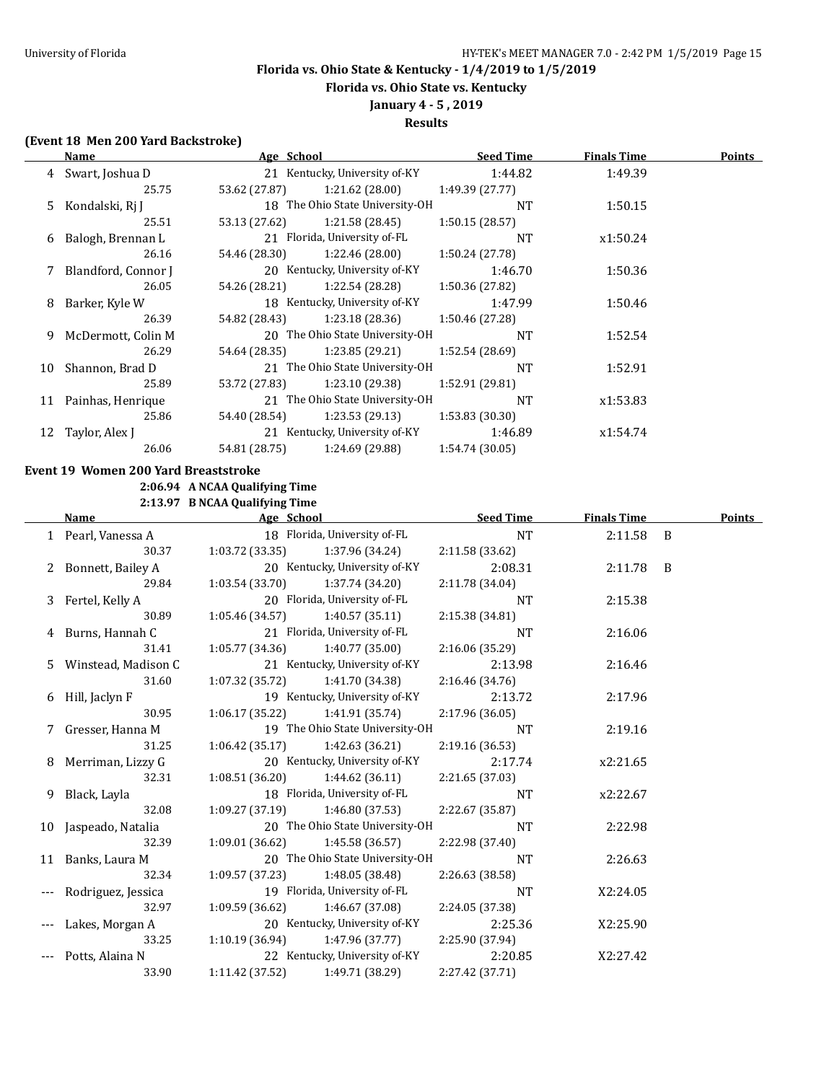**Florida vs. Ohio State vs. Kentucky**

# **January 4 - 5 , 2019**

## **Results**

## **(Event 18 Men 200 Yard Backstroke)**

|    | Name                | Age School    |                                 | <b>Seed Time</b> | <b>Finals Time</b> | <b>Points</b> |
|----|---------------------|---------------|---------------------------------|------------------|--------------------|---------------|
|    | 4 Swart, Joshua D   |               | 21 Kentucky, University of-KY   | 1:44.82          | 1:49.39            |               |
|    | 25.75               | 53.62 (27.87) | 1:21.62(28.00)                  | 1:49.39(27.77)   |                    |               |
|    | 5 Kondalski, Rj J   |               | 18 The Ohio State University-OH | <b>NT</b>        | 1:50.15            |               |
|    | 25.51               | 53.13 (27.62) | 1:21.58 (28.45)                 | 1:50.15(28.57)   |                    |               |
| 6  | Balogh, Brennan L   |               | 21 Florida, University of-FL    | <b>NT</b>        | x1:50.24           |               |
|    | 26.16               | 54.46 (28.30) | 1:22.46 (28.00)                 | 1:50.24 (27.78)  |                    |               |
|    | Blandford, Connor J |               | 20 Kentucky, University of-KY   | 1:46.70          | 1:50.36            |               |
|    | 26.05               | 54.26 (28.21) | 1:22.54 (28.28)                 | 1:50.36 (27.82)  |                    |               |
| 8  | Barker, Kyle W      |               | 18 Kentucky, University of-KY   | 1:47.99          | 1:50.46            |               |
|    | 26.39               | 54.82 (28.43) | 1:23.18 (28.36)                 | 1:50.46 (27.28)  |                    |               |
| 9  | McDermott, Colin M  |               | 20 The Ohio State University-OH | <b>NT</b>        | 1:52.54            |               |
|    | 26.29               | 54.64 (28.35) | 1:23.85(29.21)                  | 1:52.54 (28.69)  |                    |               |
| 10 | Shannon, Brad D     |               | 21 The Ohio State University-OH | <b>NT</b>        | 1:52.91            |               |
|    | 25.89               | 53.72 (27.83) | 1:23.10 (29.38)                 | 1:52.91 (29.81)  |                    |               |
| 11 | Painhas, Henrique   |               | 21 The Ohio State University-OH | <b>NT</b>        | x1:53.83           |               |
|    | 25.86               | 54.40 (28.54) | 1:23.53(29.13)                  | 1:53.83 (30.30)  |                    |               |
| 12 | Taylor, Alex J      |               | 21 Kentucky, University of-KY   | 1:46.89          | x1:54.74           |               |
|    | 26.06               | 54.81 (28.75) | 1:24.69 (29.88)                 | 1:54.74 (30.05)  |                    |               |

### **Event 19 Women 200 Yard Breaststroke**

**2:06.94 A NCAA Qualifying Time**

**2:13.97 B NCAA Qualifying Time**

|   | Name                  | Age School                          |                                   | <b>Seed Time</b> | <b>Finals Time</b> | <b>Points</b> |
|---|-----------------------|-------------------------------------|-----------------------------------|------------------|--------------------|---------------|
|   | 1 Pearl, Vanessa A    |                                     | 18 Florida, University of-FL      | <b>NT</b>        | $2:11.58$ B        |               |
|   | 30.37                 |                                     | $1:03.72(33.35)$ $1:37.96(34.24)$ | 2:11.58 (33.62)  |                    |               |
|   | 2 Bonnett, Bailey A   |                                     | 20 Kentucky, University of-KY     | 2:08.31          | 2:11.78 B          |               |
|   | 29.84                 | $1:03.54(33.70)$ $1:37.74(34.20)$   |                                   | 2:11.78 (34.04)  |                    |               |
|   | 3 Fertel, Kelly A     |                                     | 20 Florida, University of-FL      | <b>NT</b>        | 2:15.38            |               |
|   | 30.89                 |                                     | $1:05.46(34.57)$ $1:40.57(35.11)$ | 2:15.38 (34.81)  |                    |               |
|   | 4 Burns, Hannah C     |                                     | 21 Florida, University of-FL      | <b>NT</b>        | 2:16.06            |               |
|   | 31.41                 |                                     | $1:05.77(34.36)$ $1:40.77(35.00)$ | 2:16.06 (35.29)  |                    |               |
|   | 5 Winstead, Madison C |                                     | 21 Kentucky, University of-KY     | 2:13.98          | 2:16.46            |               |
|   | 31.60                 | $1:07.32$ (35.72) $1:41.70$ (34.38) |                                   | 2:16.46(34.76)   |                    |               |
|   | 6 Hill, Jaclyn F      |                                     | 19 Kentucky, University of-KY     | 2:13.72          | 2:17.96            |               |
|   | 30.95                 |                                     | $1:06.17(35.22)$ $1:41.91(35.74)$ | 2:17.96 (36.05)  |                    |               |
|   | 7 Gresser, Hanna M    |                                     | 19 The Ohio State University-OH   | <b>NT</b>        | 2:19.16            |               |
|   | 31.25                 |                                     | $1:06.42(35.17)$ $1:42.63(36.21)$ | 2:19.16 (36.53)  |                    |               |
|   | 8 Merriman, Lizzy G   |                                     | 20 Kentucky, University of-KY     | 2:17.74          | x2:21.65           |               |
|   | 32.31                 |                                     | $1:08.51(36.20)$ $1:44.62(36.11)$ | 2:21.65(37.03)   |                    |               |
| 9 | Black, Layla          |                                     | 18 Florida, University of-FL      | <b>NT</b>        | x2:22.67           |               |
|   | 32.08                 |                                     | $1:09.27(37.19)$ $1:46.80(37.53)$ | 2:22.67 (35.87)  |                    |               |
|   | 10 Jaspeado, Natalia  |                                     | 20 The Ohio State University-OH   | <b>NT</b>        | 2:22.98            |               |
|   | 32.39                 | $1:09.01(36.62)$ $1:45.58(36.57)$   |                                   | 2:22.98 (37.40)  |                    |               |
|   | 11 Banks, Laura M     |                                     | 20 The Ohio State University-OH   | <b>NT</b>        | 2:26.63            |               |
|   | 32.34                 | $1:09.57(37.23)$ $1:48.05(38.48)$   |                                   | 2:26.63 (38.58)  |                    |               |
|   | Rodriguez, Jessica    |                                     | 19 Florida, University of-FL      | <b>NT</b>        | X2:24.05           |               |
|   | 32.97                 |                                     | $1:09.59(36.62)$ $1:46.67(37.08)$ | 2:24.05 (37.38)  |                    |               |
|   | Lakes, Morgan A       |                                     | 20 Kentucky, University of-KY     | 2:25.36          | X2:25.90           |               |
|   | 33.25                 |                                     | $1:10.19(36.94)$ $1:47.96(37.77)$ | 2:25.90 (37.94)  |                    |               |
|   | Potts, Alaina N       |                                     | 22 Kentucky, University of-KY     | 2:20.85          | X2:27.42           |               |
|   | 33.90                 | 1:11.42 (37.52)                     | 1:49.71 (38.29)                   | 2:27.42 (37.71)  |                    |               |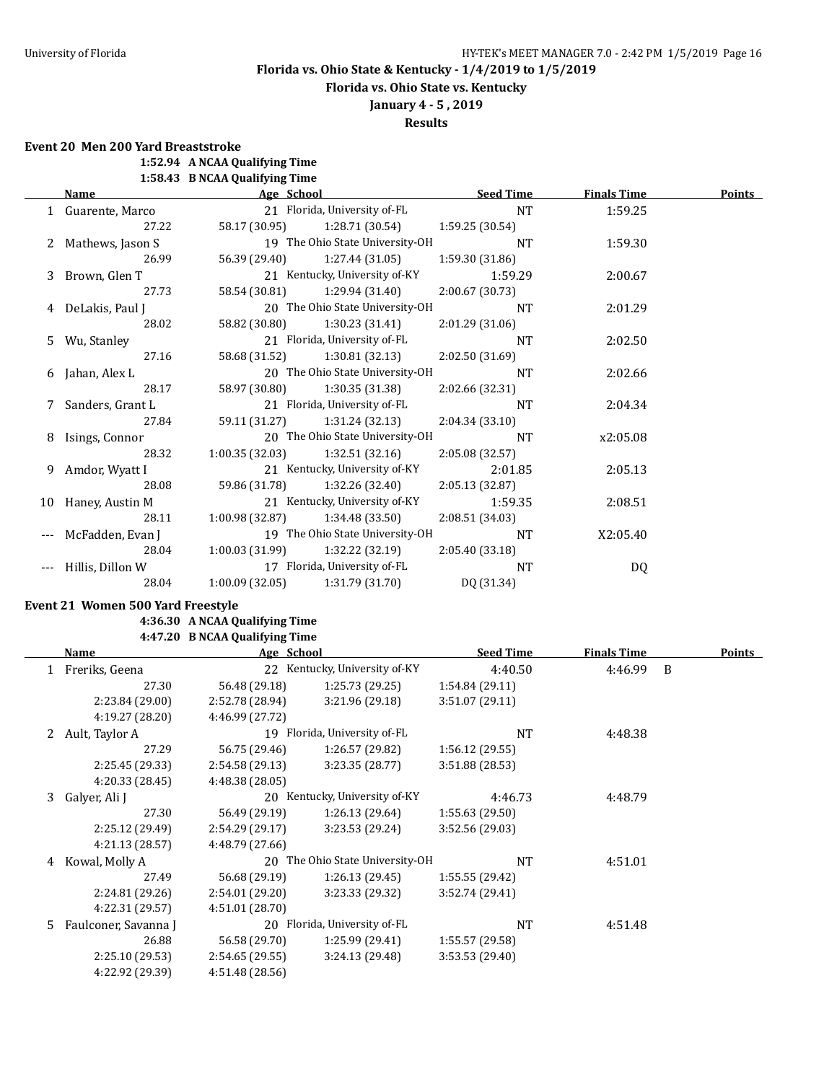**Florida vs. Ohio State vs. Kentucky**

**January 4 - 5 , 2019**

**Results**

**Event 20 Men 200 Yard Breaststroke**

**1:52.94 A NCAA Qualifying Time**

**1:58.43 B NCAA Qualifying Time**

|    | Name               | Age School      |                                 | <b>Seed Time</b> | <b>Finals Time</b> | <b>Points</b> |
|----|--------------------|-----------------|---------------------------------|------------------|--------------------|---------------|
|    | 1 Guarente, Marco  |                 | 21 Florida, University of-FL    | NT               | 1:59.25            |               |
|    | 27.22              | 58.17 (30.95)   | 1:28.71 (30.54)                 | 1:59.25 (30.54)  |                    |               |
|    | 2 Mathews, Jason S |                 | 19 The Ohio State University-OH | <b>NT</b>        | 1:59.30            |               |
|    | 26.99              | 56.39 (29.40)   | 1:27.44(31.05)                  | 1:59.30 (31.86)  |                    |               |
|    | 3 Brown, Glen T    |                 | 21 Kentucky, University of-KY   | 1:59.29          | 2:00.67            |               |
|    | 27.73              | 58.54 (30.81)   | 1:29.94 (31.40)                 | 2:00.67 (30.73)  |                    |               |
|    | 4 DeLakis, Paul J  |                 | 20 The Ohio State University-OH | <b>NT</b>        | 2:01.29            |               |
|    | 28.02              | 58.82 (30.80)   | 1:30.23(31.41)                  | 2:01.29 (31.06)  |                    |               |
| 5. | Wu, Stanley        |                 | 21 Florida, University of-FL    | <b>NT</b>        | 2:02.50            |               |
|    | 27.16              | 58.68 (31.52)   | 1:30.81(32.13)                  | 2:02.50 (31.69)  |                    |               |
| 6  | Jahan, Alex L      |                 | 20 The Ohio State University-OH | <b>NT</b>        | 2:02.66            |               |
|    | 28.17              | 58.97 (30.80)   | 1:30.35 (31.38)                 | 2:02.66 (32.31)  |                    |               |
| 7  | Sanders, Grant L   |                 | 21 Florida, University of-FL    | <b>NT</b>        | 2:04.34            |               |
|    | 27.84              | 59.11 (31.27)   | 1:31.24 (32.13)                 | 2:04.34 (33.10)  |                    |               |
| 8  | Isings, Connor     |                 | 20 The Ohio State University-OH | <b>NT</b>        | x2:05.08           |               |
|    | 28.32              | 1:00.35(32.03)  | 1:32.51(32.16)                  | 2:05.08 (32.57)  |                    |               |
| 9. | Amdor, Wyatt I     |                 | 21 Kentucky, University of-KY   | 2:01.85          | 2:05.13            |               |
|    | 28.08              | 59.86 (31.78)   | 1:32.26 (32.40)                 | 2:05.13 (32.87)  |                    |               |
| 10 | Haney, Austin M    |                 | 21 Kentucky, University of-KY   | 1:59.35          | 2:08.51            |               |
|    | 28.11              | 1:00.98 (32.87) | 1:34.48 (33.50)                 | 2:08.51 (34.03)  |                    |               |
|    | McFadden, Evan J   |                 | 19 The Ohio State University-OH | <b>NT</b>        | X2:05.40           |               |
|    | 28.04              | 1:00.03 (31.99) | 1:32.22 (32.19)                 | 2:05.40 (33.18)  |                    |               |
|    | Hillis, Dillon W   |                 | 17 Florida, University of-FL    | <b>NT</b>        | DQ                 |               |
|    | 28.04              | 1:00.09(32.05)  | 1:31.79 (31.70)                 | DQ (31.34)       |                    |               |

#### **Event 21 Women 500 Yard Freestyle**

### **4:36.30 A NCAA Qualifying Time 4:47.20 B NCAA Qualifying Time**

|    | Name                 | Age School      |                               | <b>Seed Time</b> | <b>Finals Time</b> |   | <b>Points</b> |
|----|----------------------|-----------------|-------------------------------|------------------|--------------------|---|---------------|
|    | Freriks, Geena       |                 | 22 Kentucky, University of-KY | 4:40.50          | 4:46.99            | B |               |
|    | 27.30                | 56.48 (29.18)   | 1:25.73(29.25)                | 1:54.84(29.11)   |                    |   |               |
|    | 2:23.84 (29.00)      | 2:52.78 (28.94) | 3:21.96(29.18)                | 3:51.07(29.11)   |                    |   |               |
|    | 4:19.27 (28.20)      | 4:46.99 (27.72) |                               |                  |                    |   |               |
|    | 2 Ault, Taylor A     |                 | 19 Florida, University of-FL  | <b>NT</b>        | 4:48.38            |   |               |
|    | 27.29                | 56.75 (29.46)   | 1:26.57(29.82)                | 1:56.12(29.55)   |                    |   |               |
|    | 2:25.45 (29.33)      | 2:54.58 (29.13) | 3:23.35(28.77)                | 3:51.88(28.53)   |                    |   |               |
|    | 4:20.33 (28.45)      | 4:48.38 (28.05) |                               |                  |                    |   |               |
| 3  | Galyer, Ali J        |                 | 20 Kentucky, University of-KY | 4:46.73          | 4:48.79            |   |               |
|    | 27.30                | 56.49 (29.19)   | 1:26.13(29.64)                | 1:55.63(29.50)   |                    |   |               |
|    | 2:25.12 (29.49)      | 2:54.29 (29.17) | 3:23.53(29.24)                | 3:52.56 (29.03)  |                    |   |               |
|    | 4:21.13(28.57)       | 4:48.79 (27.66) |                               |                  |                    |   |               |
| 4  | Kowal, Molly A       | 20              | The Ohio State University-OH  | <b>NT</b>        | 4:51.01            |   |               |
|    | 27.49                | 56.68 (29.19)   | 1:26.13(29.45)                | 1:55.55(29.42)   |                    |   |               |
|    | 2:24.81 (29.26)      | 2:54.01 (29.20) | 3:23.33 (29.32)               | 3:52.74 (29.41)  |                    |   |               |
|    | 4:22.31 (29.57)      | 4:51.01 (28.70) |                               |                  |                    |   |               |
| 5. | Faulconer, Savanna J |                 | 20 Florida, University of-FL  | <b>NT</b>        | 4:51.48            |   |               |
|    | 26.88                | 56.58 (29.70)   | 1:25.99 (29.41)               | 1:55.57 (29.58)  |                    |   |               |
|    | 2:25.10 (29.53)      | 2:54.65(29.55)  | 3:24.13 (29.48)               | 3:53.53 (29.40)  |                    |   |               |
|    | 4:22.92 (29.39)      | 4:51.48 (28.56) |                               |                  |                    |   |               |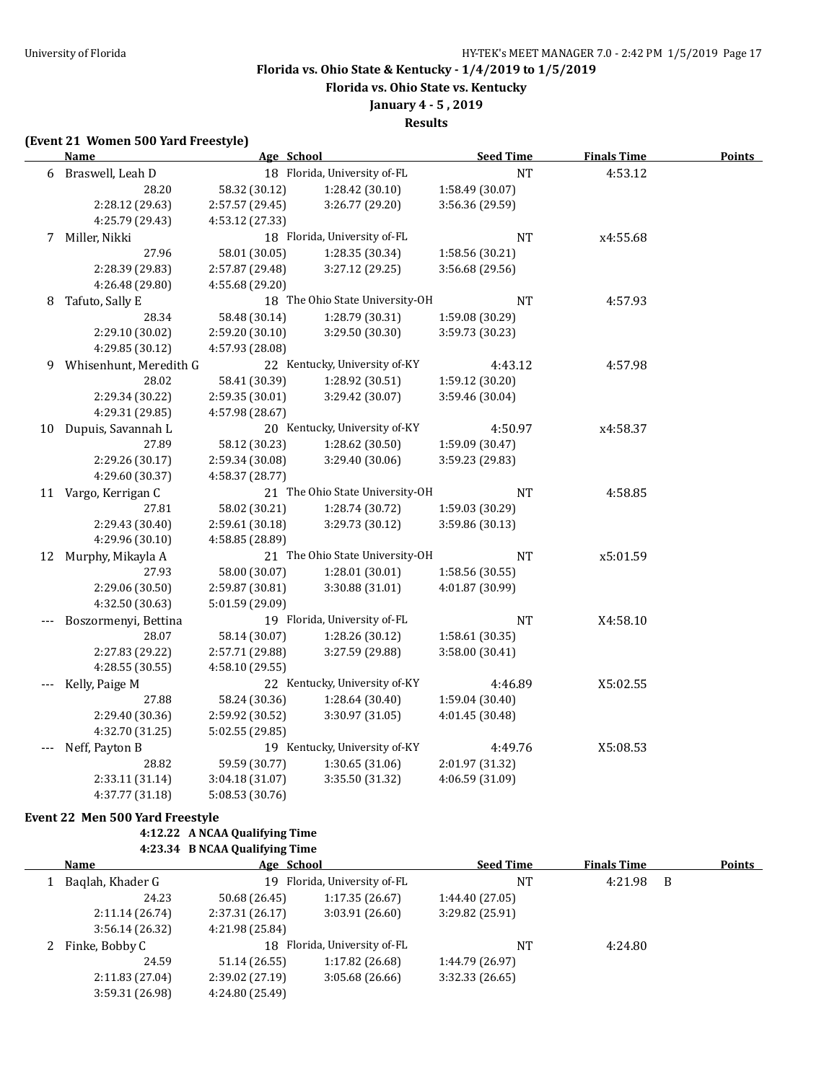**Florida vs. Ohio State vs. Kentucky**

## **January 4 - 5 , 2019**

**Results**

### **(Event 21 Women 500 Yard Freestyle)**

|   | <b>Name</b>            | Age School      |                                 | <b>Seed Time</b> | <b>Finals Time</b> | <b>Points</b> |
|---|------------------------|-----------------|---------------------------------|------------------|--------------------|---------------|
|   | 6 Braswell, Leah D     |                 | 18 Florida, University of-FL    | <b>NT</b>        | 4:53.12            |               |
|   | 28.20                  | 58.32 (30.12)   | 1:28.42 (30.10)                 | 1:58.49 (30.07)  |                    |               |
|   | 2:28.12 (29.63)        | 2:57.57 (29.45) | 3:26.77 (29.20)                 | 3:56.36 (29.59)  |                    |               |
|   | 4:25.79 (29.43)        | 4:53.12 (27.33) |                                 |                  |                    |               |
|   | 7 Miller, Nikki        |                 | 18 Florida, University of-FL    | <b>NT</b>        | x4:55.68           |               |
|   | 27.96                  | 58.01 (30.05)   | 1:28.35 (30.34)                 | 1:58.56 (30.21)  |                    |               |
|   | 2:28.39 (29.83)        | 2:57.87 (29.48) | 3:27.12 (29.25)                 | 3:56.68 (29.56)  |                    |               |
|   | 4:26.48 (29.80)        | 4:55.68 (29.20) |                                 |                  |                    |               |
| 8 | Tafuto, Sally E        |                 | 18 The Ohio State University-OH | NT               | 4:57.93            |               |
|   | 28.34                  | 58.48 (30.14)   | 1:28.79 (30.31)                 | 1:59.08 (30.29)  |                    |               |
|   | 2:29.10 (30.02)        | 2:59.20 (30.10) | 3:29.50 (30.30)                 | 3:59.73 (30.23)  |                    |               |
|   | 4:29.85 (30.12)        | 4:57.93 (28.08) |                                 |                  |                    |               |
| 9 | Whisenhunt, Meredith G |                 | 22 Kentucky, University of-KY   | 4:43.12          | 4:57.98            |               |
|   | 28.02                  | 58.41 (30.39)   | 1:28.92 (30.51)                 | 1:59.12(30.20)   |                    |               |
|   | 2:29.34 (30.22)        | 2:59.35 (30.01) | 3:29.42 (30.07)                 | 3:59.46 (30.04)  |                    |               |
|   | 4:29.31 (29.85)        | 4:57.98 (28.67) |                                 |                  |                    |               |
|   | 10 Dupuis, Savannah L  |                 | 20 Kentucky, University of-KY   | 4:50.97          | x4:58.37           |               |
|   | 27.89                  | 58.12 (30.23)   | 1:28.62 (30.50)                 | 1:59.09 (30.47)  |                    |               |
|   | 2:29.26 (30.17)        | 2:59.34 (30.08) | 3:29.40 (30.06)                 | 3:59.23 (29.83)  |                    |               |
|   | 4:29.60 (30.37)        | 4:58.37 (28.77) |                                 |                  |                    |               |
|   | 11 Vargo, Kerrigan C   |                 | 21 The Ohio State University-OH | <b>NT</b>        | 4:58.85            |               |
|   | 27.81                  | 58.02 (30.21)   | 1:28.74 (30.72)                 | 1:59.03 (30.29)  |                    |               |
|   | 2:29.43 (30.40)        | 2:59.61 (30.18) | 3:29.73 (30.12)                 | 3:59.86 (30.13)  |                    |               |
|   | 4:29.96 (30.10)        | 4:58.85 (28.89) |                                 |                  |                    |               |
|   | 12 Murphy, Mikayla A   |                 | 21 The Ohio State University-OH | <b>NT</b>        | x5:01.59           |               |
|   | 27.93                  | 58.00 (30.07)   | 1:28.01 (30.01)                 | 1:58.56(30.55)   |                    |               |
|   | 2:29.06 (30.50)        | 2:59.87 (30.81) | 3:30.88 (31.01)                 | 4:01.87 (30.99)  |                    |               |
|   | 4:32.50 (30.63)        | 5:01.59 (29.09) |                                 |                  |                    |               |
|   | Boszormenyi, Bettina   |                 | 19 Florida, University of-FL    | <b>NT</b>        | X4:58.10           |               |
|   | 28.07                  | 58.14 (30.07)   | 1:28.26 (30.12)                 | 1:58.61 (30.35)  |                    |               |
|   | 2:27.83 (29.22)        | 2:57.71 (29.88) | 3:27.59 (29.88)                 | 3:58.00 (30.41)  |                    |               |
|   | 4:28.55 (30.55)        | 4:58.10 (29.55) |                                 |                  |                    |               |
|   | Kelly, Paige M         |                 | 22 Kentucky, University of-KY   | 4:46.89          | X5:02.55           |               |
|   | 27.88                  | 58.24 (30.36)   | 1:28.64 (30.40)                 | 1:59.04 (30.40)  |                    |               |
|   | 2:29.40 (30.36)        | 2:59.92 (30.52) | 3:30.97 (31.05)                 | 4:01.45 (30.48)  |                    |               |
|   | 4:32.70 (31.25)        | 5:02.55 (29.85) |                                 |                  |                    |               |
|   | Neff, Payton B         |                 | 19 Kentucky, University of-KY   | 4:49.76          | X5:08.53           |               |
|   | 28.82                  | 59.59 (30.77)   | 1:30.65 (31.06)                 | 2:01.97 (31.32)  |                    |               |
|   | 2:33.11 (31.14)        | 3:04.18 (31.07) | 3:35.50 (31.32)                 | 4:06.59 (31.09)  |                    |               |
|   | 4:37.77 (31.18)        | 5:08.53 (30.76) |                                 |                  |                    |               |

### **Event 22 Men 500 Yard Freestyle**

**4:12.22 A NCAA Qualifying Time**

## **4:23.34 B NCAA Qualifying Time**

| Name             | Age School                   |                              | <b>Seed Time</b> | <b>Finals Time</b> |     | <b>Points</b> |
|------------------|------------------------------|------------------------------|------------------|--------------------|-----|---------------|
| Baglah, Khader G | 19 Florida, University of-FL |                              | NT               | 4:21.98            | - B |               |
| 24.23            | 50.68 (26.45)                | 1:17.35(26.67)               | 1:44.40(27.05)   |                    |     |               |
| 2:11.14(26.74)   | 2:37.31(26.17)               | 3:03.91(26.60)               | 3:29.82 (25.91)  |                    |     |               |
| 3:56.14(26.32)   | 4:21.98 (25.84)              |                              |                  |                    |     |               |
| 2 Finke, Bobby C |                              | 18 Florida, University of-FL | NT               | 4:24.80            |     |               |
| 24.59            | 51.14 (26.55)                | 1:17.82(26.68)               | 1:44.79 (26.97)  |                    |     |               |
| 2:11.83 (27.04)  | 2:39.02 (27.19)              | 3:05.68(26.66)               | 3:32.33(26.65)   |                    |     |               |
| 3:59.31 (26.98)  | 4:24.80 (25.49)              |                              |                  |                    |     |               |
|                  |                              |                              |                  |                    |     |               |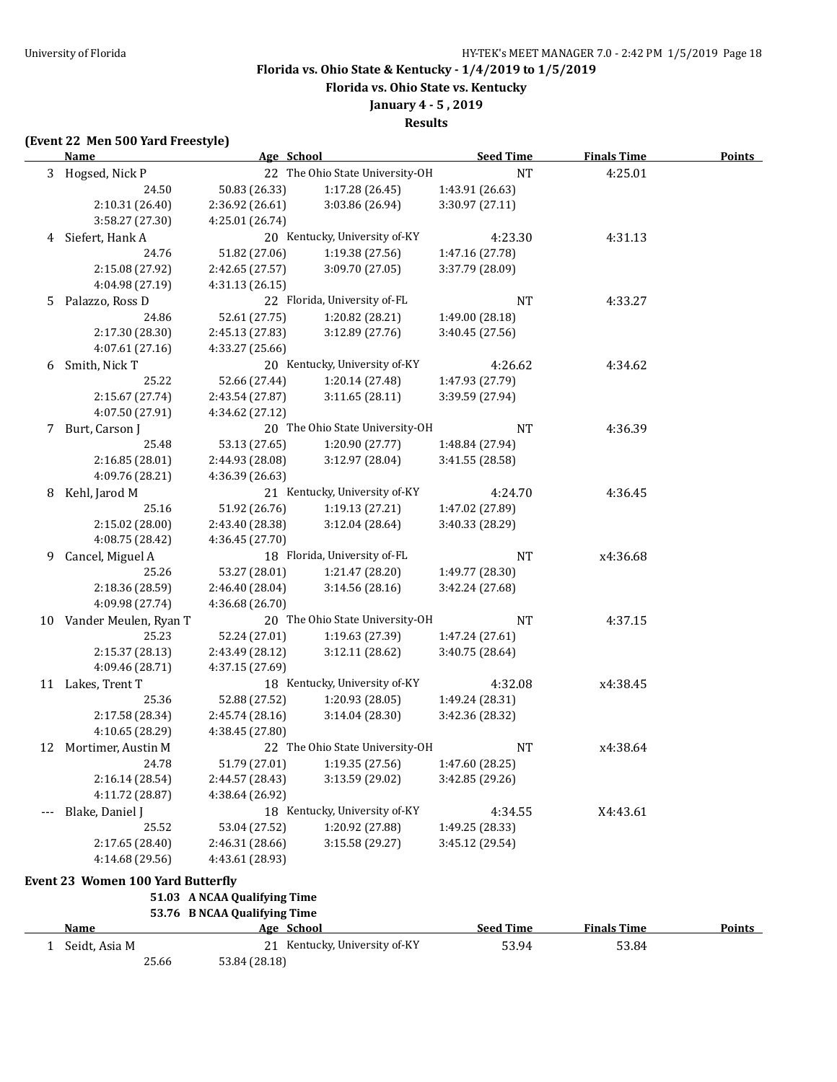**Florida vs. Ohio State vs. Kentucky**

## **January 4 - 5 , 2019**

**Results**

### **(Event 22 Men 500 Yard Freestyle)**

25.66 53.84 (28.18)

|    | <u>Name</u>                       | Age School                   |                                 | <b>Seed Time</b> | <b>Finals Time</b> | <b>Points</b> |
|----|-----------------------------------|------------------------------|---------------------------------|------------------|--------------------|---------------|
|    | 3 Hogsed, Nick P                  |                              | 22 The Ohio State University-OH | NT               | 4:25.01            |               |
|    | 24.50                             | 50.83 (26.33)                | 1:17.28 (26.45)                 | 1:43.91 (26.63)  |                    |               |
|    | 2:10.31 (26.40)                   | 2:36.92 (26.61)              | 3:03.86 (26.94)                 | 3:30.97 (27.11)  |                    |               |
|    | 3:58.27 (27.30)                   | 4:25.01 (26.74)              |                                 |                  |                    |               |
|    | 4 Siefert, Hank A                 |                              | 20 Kentucky, University of-KY   | 4:23.30          | 4:31.13            |               |
|    | 24.76                             | 51.82 (27.06)                | 1:19.38 (27.56)                 | 1:47.16 (27.78)  |                    |               |
|    | 2:15.08 (27.92)                   | 2:42.65 (27.57)              | 3:09.70 (27.05)                 | 3:37.79 (28.09)  |                    |               |
|    | 4:04.98 (27.19)                   | 4:31.13(26.15)               |                                 |                  |                    |               |
| 5  | Palazzo, Ross D                   |                              | 22 Florida, University of-FL    | <b>NT</b>        | 4:33.27            |               |
|    | 24.86                             | 52.61 (27.75)                | 1:20.82 (28.21)                 | 1:49.00 (28.18)  |                    |               |
|    | 2:17.30 (28.30)                   | 2:45.13 (27.83)              | 3:12.89 (27.76)                 | 3:40.45 (27.56)  |                    |               |
|    | 4:07.61 (27.16)                   | 4:33.27 (25.66)              |                                 |                  |                    |               |
|    | 6 Smith, Nick T                   |                              | 20 Kentucky, University of-KY   | 4:26.62          | 4:34.62            |               |
|    | 25.22                             | 52.66 (27.44)                | 1:20.14 (27.48)                 | 1:47.93 (27.79)  |                    |               |
|    | 2:15.67 (27.74)                   | 2:43.54 (27.87)              | 3:11.65(28.11)                  | 3:39.59 (27.94)  |                    |               |
|    | 4:07.50 (27.91)                   | 4:34.62 (27.12)              |                                 |                  |                    |               |
|    | 7 Burt, Carson J                  |                              | 20 The Ohio State University-OH | <b>NT</b>        | 4:36.39            |               |
|    | 25.48                             | 53.13 (27.65)                | 1:20.90 (27.77)                 | 1:48.84 (27.94)  |                    |               |
|    | 2:16.85 (28.01)                   | 2:44.93 (28.08)              | 3:12.97 (28.04)                 | 3:41.55 (28.58)  |                    |               |
|    | 4:09.76 (28.21)                   | 4:36.39 (26.63)              |                                 |                  |                    |               |
| 8  | Kehl, Jarod M                     |                              | 21 Kentucky, University of-KY   | 4:24.70          | 4:36.45            |               |
|    | 25.16                             | 51.92 (26.76)                | 1:19.13 (27.21)                 | 1:47.02 (27.89)  |                    |               |
|    | 2:15.02 (28.00)                   | 2:43.40 (28.38)              | 3:12.04 (28.64)                 | 3:40.33 (28.29)  |                    |               |
|    | 4:08.75 (28.42)                   | 4:36.45 (27.70)              |                                 |                  |                    |               |
| 9  | Cancel, Miguel A                  |                              | 18 Florida, University of-FL    | <b>NT</b>        | x4:36.68           |               |
|    | 25.26                             | 53.27 (28.01)                | 1:21.47 (28.20)                 | 1:49.77 (28.30)  |                    |               |
|    | 2:18.36 (28.59)                   | 2:46.40 (28.04)              | 3:14.56 (28.16)                 | 3:42.24 (27.68)  |                    |               |
|    | 4:09.98 (27.74)                   | 4:36.68 (26.70)              |                                 |                  |                    |               |
| 10 | Vander Meulen, Ryan T             |                              | 20 The Ohio State University-OH | <b>NT</b>        | 4:37.15            |               |
|    | 25.23                             | 52.24 (27.01)                | 1:19.63 (27.39)                 | 1:47.24 (27.61)  |                    |               |
|    | 2:15.37 (28.13)                   | 2:43.49 (28.12)              | 3:12.11 (28.62)                 | 3:40.75 (28.64)  |                    |               |
|    | 4:09.46 (28.71)                   | 4:37.15 (27.69)              |                                 |                  |                    |               |
| 11 | Lakes, Trent T                    |                              | 18 Kentucky, University of-KY   | 4:32.08          | x4:38.45           |               |
|    | 25.36                             | 52.88 (27.52)                | 1:20.93 (28.05)                 | 1:49.24 (28.31)  |                    |               |
|    | 2:17.58 (28.34)                   | 2:45.74 (28.16)              | 3:14.04 (28.30)                 | 3:42.36 (28.32)  |                    |               |
|    | 4:10.65 (28.29)                   | 4:38.45 (27.80)              |                                 |                  |                    |               |
|    | 12 Mortimer, Austin M             |                              | 22 The Ohio State University-OH | NT               | x4:38.64           |               |
|    | 24.78                             | 51.79 (27.01)                | 1:19.35 (27.56)                 | 1:47.60 (28.25)  |                    |               |
|    | 2:16.14 (28.54)                   | 2:44.57 (28.43)              | 3:13.59 (29.02)                 | 3:42.85(29.26)   |                    |               |
|    | 4:11.72 (28.87)                   | 4:38.64 (26.92)              |                                 |                  |                    |               |
|    | Blake, Daniel J                   |                              | 18 Kentucky, University of-KY   | 4:34.55          | X4:43.61           |               |
|    | 25.52                             | 53.04 (27.52)                | 1:20.92 (27.88)                 | 1:49.25 (28.33)  |                    |               |
|    | 2:17.65 (28.40)                   | 2:46.31 (28.66)              | 3:15.58 (29.27)                 | 3:45.12 (29.54)  |                    |               |
|    | 4:14.68 (29.56)                   | 4:43.61 (28.93)              |                                 |                  |                    |               |
|    | Event 23 Women 100 Yard Butterfly |                              |                                 |                  |                    |               |
|    |                                   | 51.03 A NCAA Qualifying Time |                                 |                  |                    |               |
|    |                                   | 53.76 B NCAA Qualifying Time |                                 |                  |                    |               |
|    | Name                              | Age School                   |                                 | <b>Seed Time</b> | <b>Finals Time</b> | <b>Points</b> |
|    | 1 Seidt, Asia M                   |                              | 21 Kentucky, University of-KY   | 53.94            | 53.84              |               |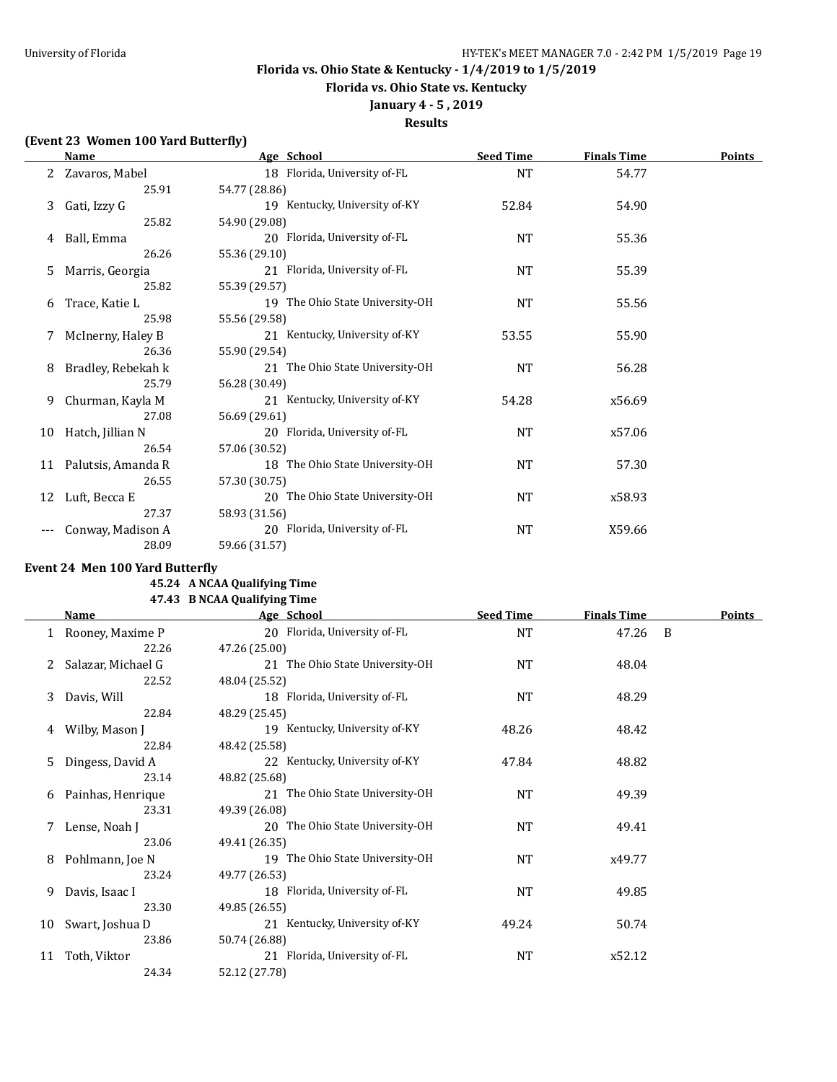**Florida vs. Ohio State vs. Kentucky**

# **January 4 - 5 , 2019**

## **Results**

### **(Event 23 Women 100 Yard Butterfly)**

|    | <b>Name</b>           | Age School                      | <b>Seed Time</b> | <b>Finals Time</b> | <b>Points</b> |
|----|-----------------------|---------------------------------|------------------|--------------------|---------------|
|    | 2 Zavaros, Mabel      | 18 Florida, University of-FL    | NT               | 54.77              |               |
|    | 25.91                 | 54.77 (28.86)                   |                  |                    |               |
| 3  | Gati, Izzy G          | 19 Kentucky, University of-KY   | 52.84            | 54.90              |               |
|    | 25.82                 | 54.90 (29.08)                   |                  |                    |               |
| 4  | Ball, Emma            | 20 Florida, University of-FL    | NT               | 55.36              |               |
|    | 26.26                 | 55.36 (29.10)                   |                  |                    |               |
| 5. | Marris, Georgia       | 21 Florida, University of-FL    | NT               | 55.39              |               |
|    | 25.82                 | 55.39 (29.57)                   |                  |                    |               |
| 6  | Trace, Katie L        | 19 The Ohio State University-OH | NT               | 55.56              |               |
|    | 25.98                 | 55.56 (29.58)                   |                  |                    |               |
| 7  | McInerny, Haley B     | 21 Kentucky, University of-KY   | 53.55            | 55.90              |               |
|    | 26.36                 | 55.90 (29.54)                   |                  |                    |               |
| 8  | Bradley, Rebekah k    | 21 The Ohio State University-OH | <b>NT</b>        | 56.28              |               |
|    | 25.79                 | 56.28 (30.49)                   |                  |                    |               |
| 9  | Churman, Kayla M      | 21 Kentucky, University of-KY   | 54.28            | x56.69             |               |
|    | 27.08                 | 56.69 (29.61)                   |                  |                    |               |
| 10 | Hatch, Jillian N      | 20 Florida, University of-FL    | <b>NT</b>        | x57.06             |               |
|    | 26.54                 | 57.06 (30.52)                   |                  |                    |               |
|    | 11 Palutsis, Amanda R | 18 The Ohio State University-OH | <b>NT</b>        | 57.30              |               |
|    | 26.55                 | 57.30 (30.75)                   |                  |                    |               |
| 12 | Luft, Becca E         | 20 The Ohio State University-OH | NT               | x58.93             |               |
|    | 27.37                 | 58.93 (31.56)                   |                  |                    |               |
|    | Conway, Madison A     | 20 Florida, University of-FL    | NT               | X59.66             |               |
|    | 28.09                 | 59.66 (31.57)                   |                  |                    |               |

## **Event 24 Men 100 Yard Butterfly**

#### **45.24 A NCAA Qualifying Time 47.43 B NCAA Qualifying Time**

| <b>Name</b>        | Age School                      | <b>Seed Time</b> | <b>Finals Time</b> | <b>Points</b>  |
|--------------------|---------------------------------|------------------|--------------------|----------------|
|                    | 20 Florida, University of-FL    | NT               | 47.26              | $\overline{B}$ |
| 22.26              | 47.26 (25.00)                   |                  |                    |                |
| Salazar, Michael G | 21 The Ohio State University-OH | NT               | 48.04              |                |
| 22.52              | 48.04 (25.52)                   |                  |                    |                |
| Davis, Will        | 18 Florida, University of-FL    | NT               | 48.29              |                |
| 22.84              | 48.29 (25.45)                   |                  |                    |                |
| Wilby, Mason J     | 19 Kentucky, University of-KY   | 48.26            | 48.42              |                |
| 22.84              | 48.42 (25.58)                   |                  |                    |                |
| Dingess, David A   | 22 Kentucky, University of-KY   | 47.84            | 48.82              |                |
| 23.14              | 48.82 (25.68)                   |                  |                    |                |
| Painhas, Henrique  | 21 The Ohio State University-OH | NT               | 49.39              |                |
| 23.31              | 49.39 (26.08)                   |                  |                    |                |
| Lense, Noah J      | 20 The Ohio State University-OH | <b>NT</b>        | 49.41              |                |
| 23.06              | 49.41 (26.35)                   |                  |                    |                |
| Pohlmann, Joe N    | 19 The Ohio State University-OH | <b>NT</b>        | x49.77             |                |
| 23.24              | 49.77 (26.53)                   |                  |                    |                |
| Davis, Isaac I     | 18 Florida, University of-FL    | NT               | 49.85              |                |
| 23.30              | 49.85 (26.55)                   |                  |                    |                |
| Swart, Joshua D    | 21 Kentucky, University of-KY   | 49.24            | 50.74              |                |
| 23.86              | 50.74 (26.88)                   |                  |                    |                |
| Toth, Viktor       | 21 Florida, University of-FL    | <b>NT</b>        | x52.12             |                |
| 24.34              | 52.12 (27.78)                   |                  |                    |                |
|                    | 1 Rooney, Maxime P              |                  |                    |                |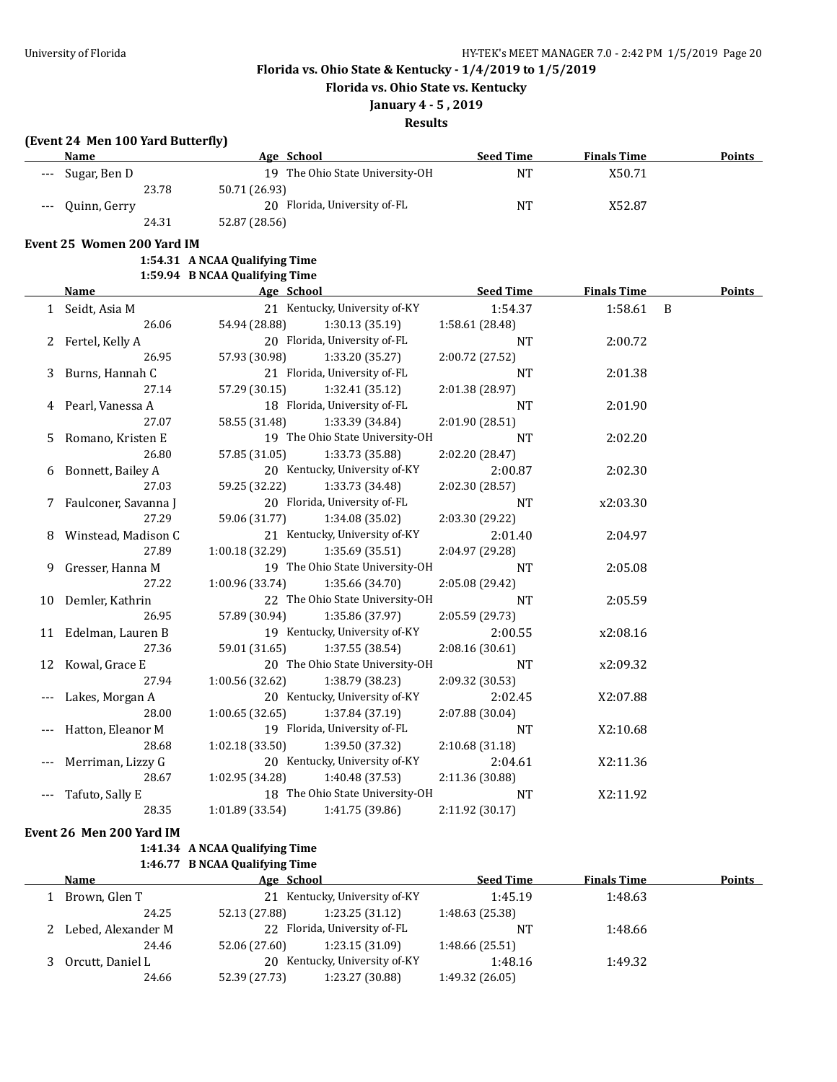**Florida vs. Ohio State vs. Kentucky**

## **January 4 - 5 , 2019**

**Results**

### **(Event 24 Men 100 Yard Butterfly)**

| <b>Name</b>         | Age School                      | <b>Seed Time</b> | <b>Finals Time</b> | <b>Points</b> |
|---------------------|---------------------------------|------------------|--------------------|---------------|
| --- Sugar, Ben D    | 19 The Ohio State University-OH | NT               | X50.71             |               |
| 23.78               | 50.71 (26.93)                   |                  |                    |               |
| Quinn, Gerry<br>--- | 20 Florida, University of-FL    | <b>NT</b>        | X52.87             |               |
| 24.31               | 52.87 (28.56)                   |                  |                    |               |

#### **Event 25 Women 200 Yard IM**

**1:54.31 A NCAA Qualifying Time 1:59.94 B NCAA Qualifying Time**

|   | <b>Name</b>            | $1.57.71$ D NGARY QUALITYING THRU<br>Age School | <b>Seed Time</b> | <b>Finals Time</b> | <b>Points</b>  |
|---|------------------------|-------------------------------------------------|------------------|--------------------|----------------|
|   | 1 Seidt, Asia M        | 21 Kentucky, University of-KY                   | 1:54.37          | 1:58.61            | $\overline{B}$ |
|   | 26.06                  | 54.94 (28.88)<br>1:30.13(35.19)                 | 1:58.61 (28.48)  |                    |                |
|   | 2 Fertel, Kelly A      | 20 Florida, University of-FL                    | <b>NT</b>        | 2:00.72            |                |
|   | 26.95                  | 57.93 (30.98) 1:33.20 (35.27)                   | 2:00.72 (27.52)  |                    |                |
| 3 | Burns, Hannah C        | 21 Florida, University of-FL                    | <b>NT</b>        | 2:01.38            |                |
|   | 27.14                  | 57.29 (30.15)<br>1:32.41(35.12)                 | 2:01.38 (28.97)  |                    |                |
|   | 4 Pearl, Vanessa A     | 18 Florida, University of-FL                    | <b>NT</b>        | 2:01.90            |                |
|   | 27.07                  | 58.55 (31.48)<br>1:33.39 (34.84)                | 2:01.90 (28.51)  |                    |                |
| 5 | Romano, Kristen E      | 19 The Ohio State University-OH                 | <b>NT</b>        | 2:02.20            |                |
|   | 26.80                  | 57.85 (31.05)<br>1:33.73 (35.88)                | 2:02.20 (28.47)  |                    |                |
|   | 6 Bonnett, Bailey A    | 20 Kentucky, University of-KY                   | 2:00.87          | 2:02.30            |                |
|   | 27.03                  | 59.25 (32.22)<br>1:33.73 (34.48)                | 2:02.30 (28.57)  |                    |                |
|   | 7 Faulconer, Savanna J | 20 Florida, University of-FL                    | <b>NT</b>        | x2:03.30           |                |
|   | 27.29                  | 59.06 (31.77)<br>1:34.08 (35.02)                | 2:03.30 (29.22)  |                    |                |
|   | 8 Winstead, Madison C  | 21 Kentucky, University of-KY                   | 2:01.40          | 2:04.97            |                |
|   | 27.89                  | 1:00.18 (32.29)<br>1:35.69 (35.51)              | 2:04.97 (29.28)  |                    |                |
|   | 9 Gresser, Hanna M     | 19 The Ohio State University-OH                 | <b>NT</b>        | 2:05.08            |                |
|   | 27.22                  | 1:00.96(33.74)<br>1:35.66 (34.70)               | 2:05.08 (29.42)  |                    |                |
|   | 10 Demler, Kathrin     | 22 The Ohio State University-OH                 | <b>NT</b>        | 2:05.59            |                |
|   | 26.95                  | 57.89 (30.94)<br>1:35.86 (37.97)                | 2:05.59 (29.73)  |                    |                |
|   | 11 Edelman, Lauren B   | 19 Kentucky, University of-KY                   | 2:00.55          | x2:08.16           |                |
|   | 27.36                  | 59.01 (31.65)<br>1:37.55 (38.54)                | 2:08.16 (30.61)  |                    |                |
|   | 12 Kowal, Grace E      | 20 The Ohio State University-OH                 | <b>NT</b>        | x2:09.32           |                |
|   | 27.94                  | 1:00.56(32.62)<br>1:38.79 (38.23)               | 2:09.32 (30.53)  |                    |                |
|   | Lakes, Morgan A        | 20 Kentucky, University of-KY                   | 2:02.45          | X2:07.88           |                |
|   | 28.00                  | $1:00.65$ $(32.65)$ $1:37.84$ $(37.19)$         | 2:07.88 (30.04)  |                    |                |
|   | Hatton, Eleanor M      | 19 Florida, University of-FL                    | <b>NT</b>        | X2:10.68           |                |
|   | 28.68                  | 1:02.18(33.50)<br>1:39.50 (37.32)               | 2:10.68(31.18)   |                    |                |
|   | Merriman, Lizzy G      | 20 Kentucky, University of-KY                   | 2:04.61          | X2:11.36           |                |
|   | 28.67                  | 1:02.95(34.28)<br>1:40.48 (37.53)               | 2:11.36 (30.88)  |                    |                |
|   | Tafuto, Sally E        | 18 The Ohio State University-OH                 | NT               | X2:11.92           |                |
|   | 28.35                  | 1:01.89(33.54)<br>1:41.75 (39.86)               | 2:11.92 (30.17)  |                    |                |

**Event 26 Men 200 Yard IM**

## **1:41.34 A NCAA Qualifying Time 1:46.77 B NCAA Qualifying Time**

| Name                 | Age School    |                               | <b>Seed Time</b> | <b>Finals Time</b> | Points |
|----------------------|---------------|-------------------------------|------------------|--------------------|--------|
| Brown, Glen T        |               | 21 Kentucky, University of-KY | 1:45.19          | 1:48.63            |        |
| 24.25                | 52.13 (27.88) | 1:23.25(31.12)                | 1:48.63 (25.38)  |                    |        |
| 2 Lebed, Alexander M |               | 22 Florida, University of-FL  | NΊ               | 1:48.66            |        |
| 24.46                | 52.06 (27.60) | 1:23.15(31.09)                | 1:48.66(25.51)   |                    |        |
| Orcutt, Daniel L     | 20            | Kentucky, University of-KY    |                  | 1:49.32            |        |
| 24.66                | 52.39 (27.73) | 1:23.27 (30.88)               | 1:49.32 (26.05)  |                    |        |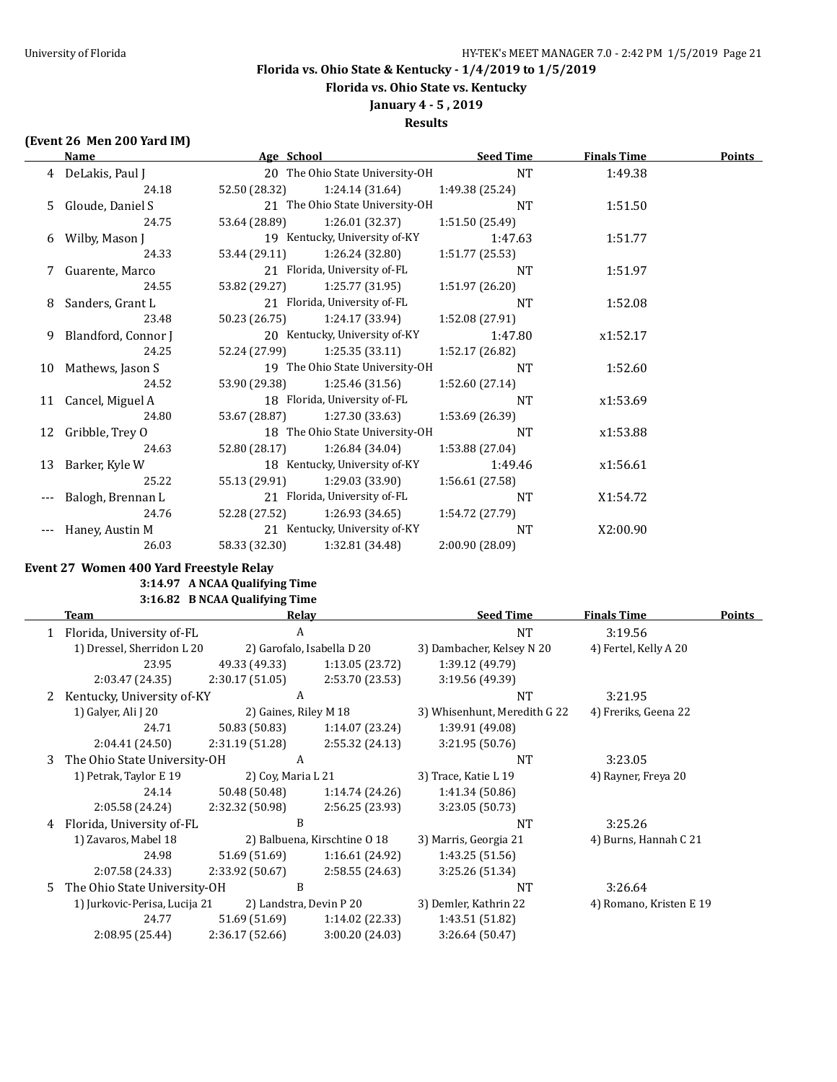**Florida vs. Ohio State vs. Kentucky**

### **January 4 - 5 , 2019 Results**

## **(Event 26 Men 200 Yard IM)**

|       | Age School<br>Name    |               | <b>Seed Time</b>                | <b>Finals Time</b> | <b>Points</b> |  |
|-------|-----------------------|---------------|---------------------------------|--------------------|---------------|--|
|       | 4 DeLakis, Paul J     |               | 20 The Ohio State University-OH | $\rm{NT}$          | 1:49.38       |  |
|       | 24.18                 | 52.50 (28.32) | 1:24.14 (31.64)                 | 1:49.38 (25.24)    |               |  |
|       | 5 Gloude, Daniel S    |               | 21 The Ohio State University-OH | <b>NT</b>          | 1:51.50       |  |
|       | 24.75                 | 53.64 (28.89) | 1:26.01(32.37)                  | 1:51.50 (25.49)    |               |  |
|       | 6 Wilby, Mason J      |               | 19 Kentucky, University of-KY   | 1:47.63            | 1:51.77       |  |
|       | 24.33                 | 53.44 (29.11) | 1:26.24 (32.80)                 | 1:51.77(25.53)     |               |  |
|       | 7 Guarente, Marco     |               | 21 Florida, University of-FL    | <b>NT</b>          | 1:51.97       |  |
|       | 24.55                 | 53.82 (29.27) | 1:25.77(31.95)                  | 1:51.97 (26.20)    |               |  |
| 8     | Sanders, Grant L      |               | 21 Florida, University of-FL    | <b>NT</b>          | 1:52.08       |  |
|       | 23.48                 | 50.23 (26.75) | 1:24.17 (33.94)                 | 1:52.08 (27.91)    |               |  |
|       | 9 Blandford, Connor J |               | 20 Kentucky, University of-KY   | 1:47.80            | x1:52.17      |  |
|       | 24.25                 | 52.24 (27.99) | 1:25.35(33.11)                  | 1:52.17 (26.82)    |               |  |
| 10    | Mathews, Jason S      |               | 19 The Ohio State University-OH | <b>NT</b>          | 1:52.60       |  |
|       | 24.52                 | 53.90 (29.38) | 1:25.46(31.56)                  | 1:52.60(27.14)     |               |  |
| 11    | Cancel, Miguel A      |               | 18 Florida, University of-FL    | <b>NT</b>          | x1:53.69      |  |
|       | 24.80                 | 53.67 (28.87) | 1:27.30 (33.63)                 | 1:53.69 (26.39)    |               |  |
| 12    | Gribble, Trey O       |               | 18 The Ohio State University-OH | NT                 | x1:53.88      |  |
|       | 24.63                 | 52.80 (28.17) | 1:26.84(34.04)                  | 1:53.88 (27.04)    |               |  |
| 13    | Barker, Kyle W        |               | 18 Kentucky, University of-KY   | 1:49.46            | x1:56.61      |  |
|       | 25.22                 | 55.13 (29.91) | 1:29.03 (33.90)                 | 1:56.61 (27.58)    |               |  |
| $---$ | Balogh, Brennan L     |               | 21 Florida, University of-FL    | <b>NT</b>          | X1:54.72      |  |
|       | 24.76                 | 52.28 (27.52) | 1:26.93(34.65)                  | 1:54.72 (27.79)    |               |  |
|       | Haney, Austin M       |               | 21 Kentucky, University of-KY   | NT                 | X2:00.90      |  |
|       | 26.03                 | 58.33 (32.30) | 1:32.81 (34.48)                 | 2:00.90 (28.09)    |               |  |

### **Event 27 Women 400 Yard Freestyle Relay**

**3:14.97 A NCAA Qualifying Time 3:16.82 B NCAA Qualifying Time**

|    | Team                          |                       | Relay                        | <b>Seed Time</b>             | <b>Finals Time</b>      | <b>Points</b> |
|----|-------------------------------|-----------------------|------------------------------|------------------------------|-------------------------|---------------|
|    | 1 Florida, University of-FL   |                       | A                            | <b>NT</b>                    | 3:19.56                 |               |
|    | 1) Dressel, Sherridon L 20    |                       | 2) Garofalo, Isabella D 20   | 3) Dambacher, Kelsey N 20    | 4) Fertel, Kelly A 20   |               |
|    | 23.95                         | 49.33 (49.33)         | 1:13.05 (23.72)              | 1:39.12 (49.79)              |                         |               |
|    | 2:03.47 (24.35)               | 2:30.17(51.05)        | 2:53.70 (23.53)              | 3:19.56 (49.39)              |                         |               |
|    | Kentucky, University of-KY    | A                     |                              | NT                           | 3:21.95                 |               |
|    | 1) Galyer, Ali J 20           | 2) Gaines, Riley M 18 |                              | 3) Whisenhunt, Meredith G 22 | 4) Freriks, Geena 22    |               |
|    | 24.71                         | 50.83 (50.83)         | 1:14.07(23.24)               | 1:39.91 (49.08)              |                         |               |
|    | 2:04.41(24.50)                | 2:31.19(51.28)        | 2:55.32(24.13)               | 3:21.95(50.76)               |                         |               |
| 3  | The Ohio State University-OH  | A                     |                              | <b>NT</b>                    | 3:23.05                 |               |
|    | 1) Petrak, Taylor E 19        | 2) Coy, Maria L 21    |                              | 3) Trace, Katie L 19         | 4) Rayner, Freya 20     |               |
|    | 24.14                         | 50.48 (50.48)         | 1:14.74(24.26)               | 1:41.34 (50.86)              |                         |               |
|    | 2:05.58 (24.24)               | 2:32.32 (50.98)       | 2:56.25 (23.93)              | 3:23.05 (50.73)              |                         |               |
| 4  | Florida, University of-FL     |                       | B                            | <b>NT</b>                    | 3:25.26                 |               |
|    | 1) Zavaros, Mabel 18          |                       | 2) Balbuena, Kirschtine O 18 | 3) Marris, Georgia 21        | 4) Burns, Hannah C 21   |               |
|    | 24.98                         | 51.69 (51.69)         | 1:16.61 (24.92)              | 1:43.25 (51.56)              |                         |               |
|    | 2:07.58 (24.33)               | 2:33.92 (50.67)       | 2:58.55(24.63)               | 3:25.26 (51.34)              |                         |               |
| .5 | The Ohio State University-OH  |                       | B                            | <b>NT</b>                    | 3:26.64                 |               |
|    | 1) Jurkovic-Perisa, Lucija 21 |                       | 2) Landstra, Devin P 20      | 3) Demler, Kathrin 22        | 4) Romano, Kristen E 19 |               |
|    | 24.77                         | 51.69 (51.69)         | 1:14.02(22.33)               | 1:43.51 (51.82)              |                         |               |
|    | 2:08.95 (25.44)               | 2:36.17(52.66)        | 3:00.20 (24.03)              | 3:26.64 (50.47)              |                         |               |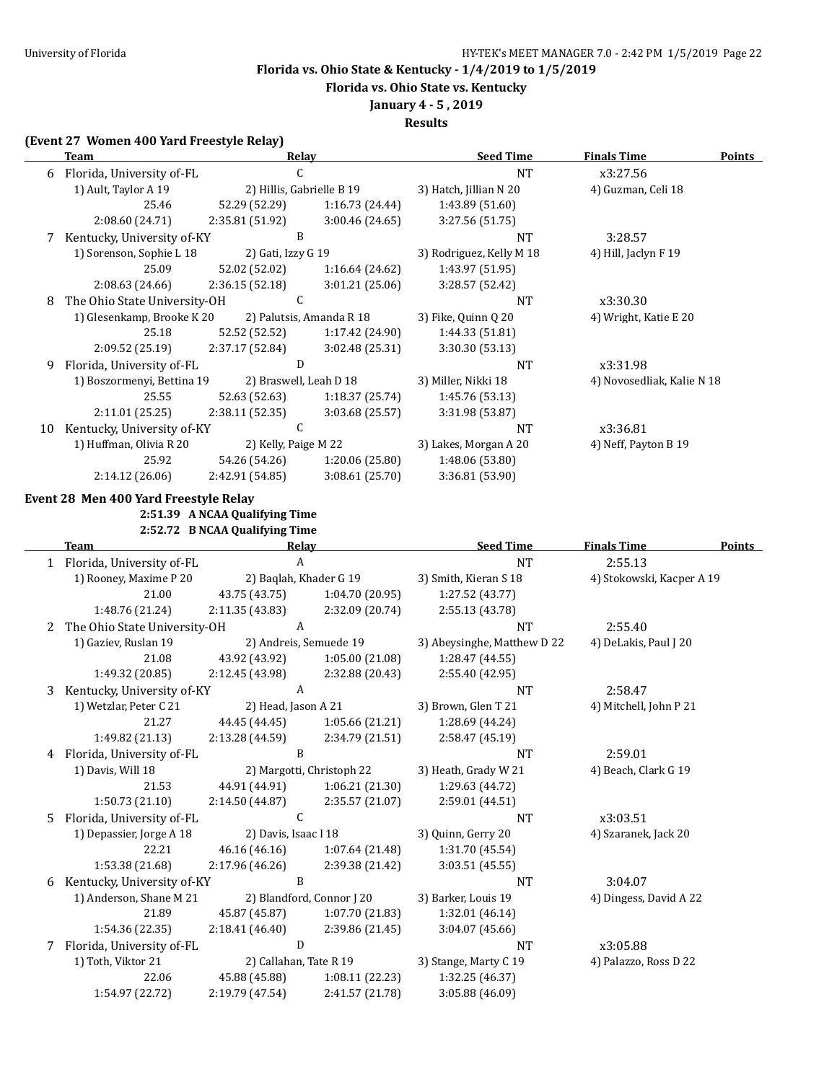**Florida vs. Ohio State vs. Kentucky**

**January 4 - 5 , 2019**

**Results**

## **(Event 27 Women 400 Yard Freestyle Relay)**

|    | <b>Team</b>                           | <u>Relay</u>                   |                           | <b>Seed Time</b>            | <b>Finals Time</b>         | <b>Points</b> |
|----|---------------------------------------|--------------------------------|---------------------------|-----------------------------|----------------------------|---------------|
|    | 6 Florida, University of-FL           | C                              |                           | <b>NT</b>                   | x3:27.56                   |               |
|    | 1) Ault, Taylor A 19                  | 2) Hillis, Gabrielle B 19      |                           | 3) Hatch, Jillian N 20      | 4) Guzman, Celi 18         |               |
|    | 25.46                                 | 52.29 (52.29)                  | 1:16.73 (24.44)           | 1:43.89 (51.60)             |                            |               |
|    | 2:08.60 (24.71)                       | 2:35.81 (51.92)                | 3:00.46 (24.65)           | 3:27.56 (51.75)             |                            |               |
|    | 7 Kentucky, University of-KY          | B                              |                           | NT                          | 3:28.57                    |               |
|    | 1) Sorenson, Sophie L 18              | 2) Gati, Izzy G 19             |                           | 3) Rodriguez, Kelly M 18    | 4) Hill, Jaclyn F 19       |               |
|    | 25.09                                 | 52.02 (52.02)                  | 1:16.64 (24.62)           | 1:43.97 (51.95)             |                            |               |
|    | 2:08.63 (24.66)                       | 2:36.15(52.18)                 | 3:01.21(25.06)            | 3:28.57 (52.42)             |                            |               |
| 8  | The Ohio State University-OH          | $\mathsf C$                    |                           | NT                          | x3:30.30                   |               |
|    | 1) Glesenkamp, Brooke K 20            |                                | 2) Palutsis, Amanda R 18  | 3) Fike, Quinn Q 20         | 4) Wright, Katie E 20      |               |
|    | 25.18                                 | 52.52 (52.52)                  | 1:17.42 (24.90)           | 1:44.33 (51.81)             |                            |               |
|    | 2:09.52 (25.19)                       | 2:37.17 (52.84)                | 3:02.48 (25.31)           | 3:30.30 (53.13)             |                            |               |
| 9. | Florida, University of-FL             | D                              |                           | NT                          | x3:31.98                   |               |
|    | 1) Boszormenyi, Bettina 19            | 2) Braswell, Leah D 18         |                           | 3) Miller, Nikki 18         | 4) Novosedliak, Kalie N 18 |               |
|    | 25.55                                 | 52.63 (52.63)                  | 1:18.37 (25.74)           | 1:45.76 (53.13)             |                            |               |
|    | 2:11.01 (25.25)                       | 2:38.11(52.35)                 | 3:03.68 (25.57)           | 3:31.98 (53.87)             |                            |               |
|    | 10 Kentucky, University of-KY         | $\mathsf C$                    |                           | NT                          | x3:36.81                   |               |
|    | 1) Huffman, Olivia R 20               | 2) Kelly, Paige M 22           |                           | 3) Lakes, Morgan A 20       | 4) Neff, Payton B 19       |               |
|    | 25.92                                 | 54.26 (54.26)                  | 1:20.06 (25.80)           | 1:48.06 (53.80)             |                            |               |
|    | 2:14.12 (26.06)                       | 2:42.91 (54.85)                | 3:08.61 (25.70)           | 3:36.81 (53.90)             |                            |               |
|    | Event 28 Men 400 Yard Freestyle Relay |                                |                           |                             |                            |               |
|    |                                       | 2:51.39 A NCAA Qualifying Time |                           |                             |                            |               |
|    |                                       | 2:52.72 B NCAA Qualifying Time |                           |                             |                            |               |
|    | <b>Team</b>                           | Relay                          |                           | <b>Seed Time</b>            | <b>Finals Time</b>         | <b>Points</b> |
|    | 1 Florida, University of-FL           | $\mathbf{A}$                   |                           | <b>NT</b>                   | 2:55.13                    |               |
|    | 1) Rooney, Maxime P 20                | 2) Baqlah, Khader G 19         |                           | 3) Smith, Kieran S 18       | 4) Stokowski, Kacper A 19  |               |
|    | 21.00                                 | 43.75 (43.75)                  | 1:04.70 (20.95)           | 1:27.52 (43.77)             |                            |               |
|    | 1:48.76 (21.24)                       | 2:11.35(43.83)                 | 2:32.09 (20.74)           | 2:55.13 (43.78)             |                            |               |
| 2  | The Ohio State University-OH          | $\boldsymbol{A}$               |                           | <b>NT</b>                   | 2:55.40                    |               |
|    | 1) Gaziev, Ruslan 19                  | 2) Andreis, Semuede 19         |                           | 3) Abeysinghe, Matthew D 22 | 4) DeLakis, Paul J 20      |               |
|    | 21.08                                 | 43.92 (43.92)                  | 1:05.00 (21.08)           | 1:28.47 (44.55)             |                            |               |
|    | 1:49.32 (20.85)                       | 2:12.45 (43.98)                | 2:32.88 (20.43)           | 2:55.40 (42.95)             |                            |               |
| 3  | Kentucky, University of-KY            | $\mathbf{A}$                   |                           | NT                          | 2:58.47                    |               |
|    | 1) Wetzlar, Peter C 21                | 2) Head, Jason A 21            |                           | 3) Brown, Glen T 21         | 4) Mitchell, John P 21     |               |
|    | 21.27                                 | 44.45 (44.45)                  | 1:05.66 (21.21)           | 1:28.69 (44.24)             |                            |               |
|    | 1:49.82 (21.13)                       | 2:13.28 (44.59)                | 2:34.79 (21.51)           | 2:58.47 (45.19)             |                            |               |
|    | 4 Florida, University of-FL           | B                              |                           | <b>NT</b>                   | 2:59.01                    |               |
|    | 1) Davis, Will 18                     |                                | 2) Margotti, Christoph 22 | 3) Heath, Grady W 21        | 4) Beach, Clark G 19       |               |
|    | 21.53                                 | 44.91 (44.91)                  | 1:06.21 (21.30)           | 1:29.63 (44.72)             |                            |               |
|    | 1:50.73 (21.10)                       | 2:14.50 (44.87)                | 2:35.57 (21.07)           | 2:59.01 (44.51)             |                            |               |
|    | 5 Florida, University of-FL           | $\mathsf{C}$                   |                           | NT                          | x3:03.51                   |               |
|    | 1) Depassier, Jorge A 18              | 2) Davis, Isaac I 18           |                           | 3) Quinn, Gerry 20          | 4) Szaranek, Jack 20       |               |
|    | 22.21                                 | 46.16 (46.16)                  | 1:07.64 (21.48)           | 1:31.70 (45.54)             |                            |               |
|    | 1:53.38 (21.68)                       | 2:17.96 (46.26)                | 2:39.38 (21.42)           | 3:03.51 (45.55)             |                            |               |
| 6  | Kentucky, University of-KY            | B                              |                           | NT                          | 3:04.07                    |               |
|    | 1) Anderson, Shane M 21               |                                | 2) Blandford, Connor J 20 | 3) Barker, Louis 19         | 4) Dingess, David A 22     |               |
|    | 21.89                                 | 45.87 (45.87)                  | 1:07.70 (21.83)           | 1:32.01 (46.14)             |                            |               |
|    | 1:54.36 (22.35)                       | 2:18.41 (46.40)                | 2:39.86 (21.45)           | 3:04.07 (45.66)             |                            |               |
| 7  | Florida, University of-FL             | ${\bf D}$                      |                           | NT                          | x3:05.88                   |               |
|    | 1) Toth, Viktor 21                    | 2) Callahan, Tate R 19         |                           | 3) Stange, Marty C 19       | 4) Palazzo, Ross D 22      |               |
|    | 22.06                                 | 45.88 (45.88)                  | 1:08.11 (22.23)           | 1:32.25 (46.37)             |                            |               |
|    | 1:54.97 (22.72)                       | 2:19.79 (47.54)                | 2:41.57 (21.78)           | 3:05.88 (46.09)             |                            |               |
|    |                                       |                                |                           |                             |                            |               |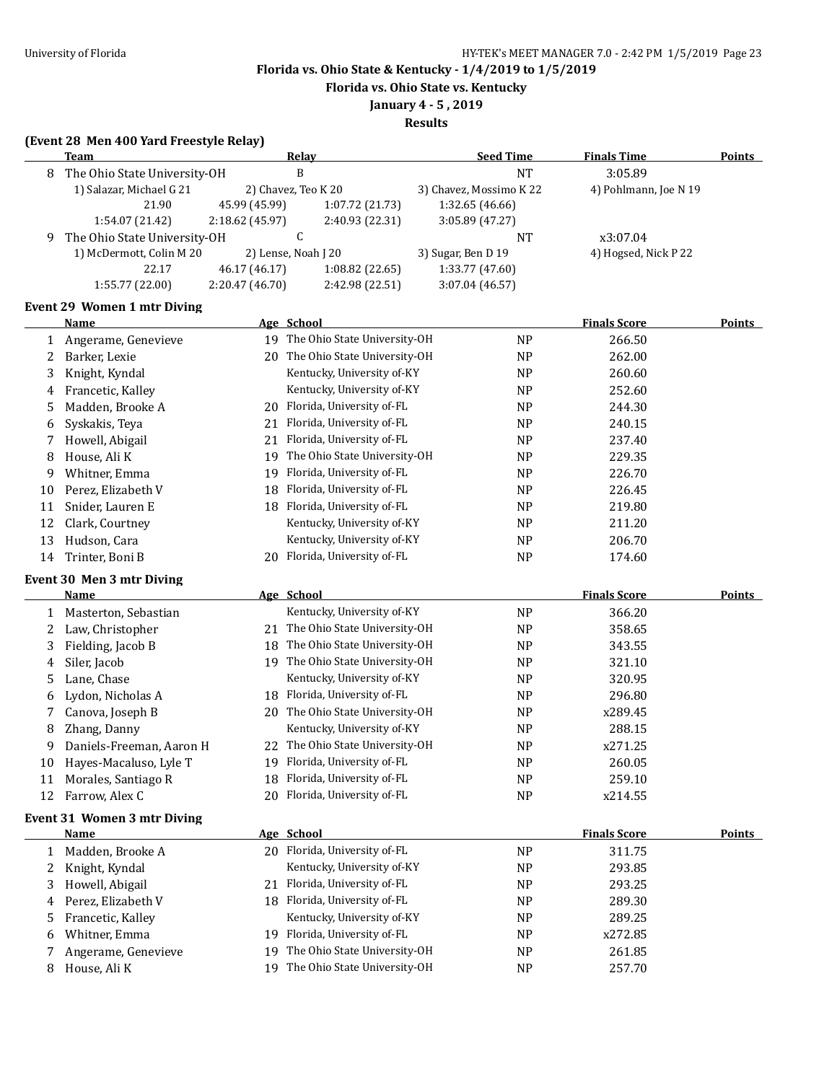**Florida vs. Ohio State vs. Kentucky**

**January 4 - 5 , 2019**

|              | (Event 28 Men 400 Yard Freestyle Relay)<br>Team |                 | <b>Relay</b>                    | <b>Seed Time</b>        | <b>Finals Time</b>    | Points        |
|--------------|-------------------------------------------------|-----------------|---------------------------------|-------------------------|-----------------------|---------------|
| 8            | The Ohio State University-OH                    |                 | B                               | <b>NT</b>               | 3:05.89               |               |
|              | 1) Salazar, Michael G 21                        |                 | 2) Chavez, Teo K 20             | 3) Chavez, Mossimo K 22 | 4) Pohlmann, Joe N 19 |               |
|              | 21.90                                           | 45.99 (45.99)   | 1:07.72 (21.73)                 | 1:32.65 (46.66)         |                       |               |
|              | 1:54.07 (21.42)                                 | 2:18.62 (45.97) | 2:40.93 (22.31)                 | 3:05.89 (47.27)         |                       |               |
| 9.           | The Ohio State University-OH                    |                 | C                               | <b>NT</b>               | x3:07.04              |               |
|              | 1) McDermott, Colin M 20                        |                 | 2) Lense, Noah J 20             | 3) Sugar, Ben D 19      | 4) Hogsed, Nick P 22  |               |
|              | 22.17                                           | 46.17 (46.17)   | 1:08.82 (22.65)                 | 1:33.77 (47.60)         |                       |               |
|              | 1:55.77 (22.00)                                 | 2:20.47 (46.70) | 2:42.98 (22.51)                 | 3:07.04 (46.57)         |                       |               |
|              | Event 29 Women 1 mtr Diving                     |                 |                                 |                         |                       |               |
|              | Name                                            |                 | Age School                      |                         | <b>Finals Score</b>   | <b>Points</b> |
| $\mathbf{1}$ | Angerame, Genevieve                             |                 | 19 The Ohio State University-OH | <b>NP</b>               | 266.50                |               |
| 2            | Barker, Lexie                                   |                 | 20 The Ohio State University-OH | <b>NP</b>               | 262.00                |               |
| 3            | Knight, Kyndal                                  |                 | Kentucky, University of-KY      | <b>NP</b>               | 260.60                |               |
| 4            | Francetic, Kalley                               |                 | Kentucky, University of-KY      | <b>NP</b>               | 252.60                |               |
| 5            | Madden, Brooke A                                |                 | 20 Florida, University of-FL    | NP                      | 244.30                |               |
| 6            | Syskakis, Teya                                  | 21              | Florida, University of-FL       | NP                      | 240.15                |               |
| 7            | Howell, Abigail                                 | 21              | Florida, University of-FL       | N <sub>P</sub>          | 237.40                |               |
| 8            | House, Ali K                                    |                 | 19 The Ohio State University-OH | NP                      | 229.35                |               |
| 9            | Whitner, Emma                                   | 19              | Florida, University of-FL       | <b>NP</b>               | 226.70                |               |
| 10           | Perez, Elizabeth V                              |                 | 18 Florida, University of-FL    | <b>NP</b>               | 226.45                |               |
| 11           | Snider, Lauren E                                |                 | 18 Florida, University of-FL    | <b>NP</b>               | 219.80                |               |
| 12           | Clark, Courtney                                 |                 | Kentucky, University of-KY      | <b>NP</b>               | 211.20                |               |
| 13           | Hudson, Cara                                    |                 | Kentucky, University of-KY      | <b>NP</b>               | 206.70                |               |
| 14           | Trinter, Boni B                                 | 20              | Florida, University of-FL       | <b>NP</b>               | 174.60                |               |
|              | Event 30 Men 3 mtr Diving                       |                 |                                 |                         |                       |               |
|              | Name                                            |                 | Age School                      |                         | <b>Finals Score</b>   | <b>Points</b> |
|              | 1 Masterton, Sebastian                          |                 | Kentucky, University of-KY      | <b>NP</b>               | 366.20                |               |
| 2            | Law, Christopher                                |                 | 21 The Ohio State University-OH | <b>NP</b>               | 358.65                |               |
| 3            | Fielding, Jacob B                               |                 | 18 The Ohio State University-OH | <b>NP</b>               | 343.55                |               |
| 4            | Siler, Jacob                                    |                 | 19 The Ohio State University-OH | <b>NP</b>               | 321.10                |               |
| 5            | Lane, Chase                                     |                 | Kentucky, University of-KY      | <b>NP</b>               | 320.95                |               |
| 6            | Lydon, Nicholas A                               |                 | 18 Florida, University of-FL    | NP                      | 296.80                |               |
| 7            | Canova, Joseph B                                | 20              | The Ohio State University-OH    | <b>NP</b>               | x289.45               |               |
| 8            | Zhang, Danny                                    |                 | Kentucky, University of-KY      | <b>NP</b>               | 288.15                |               |
| 9            | Daniels-Freeman, Aaron H                        |                 | 22 The Ohio State University-OH | <b>NP</b>               | x271.25               |               |
| 10           | Hayes-Macaluso, Lyle T                          | 19              | Florida, University of-FL       | NP                      | 260.05                |               |
| 11           | Morales, Santiago R                             | 18              | Florida, University of-FL       | <b>NP</b>               | 259.10                |               |
| 12           | Farrow, Alex C                                  | 20              | Florida, University of-FL       | <b>NP</b>               | x214.55               |               |
|              | <b>Event 31 Women 3 mtr Diving</b>              |                 |                                 |                         |                       |               |
|              | <b>Name</b>                                     |                 | Age School                      |                         | <b>Finals Score</b>   | <b>Points</b> |
| 1            | Madden, Brooke A                                |                 | 20 Florida, University of-FL    | NP                      | 311.75                |               |
| 2            | Knight, Kyndal                                  |                 | Kentucky, University of-KY      | <b>NP</b>               | 293.85                |               |
| 3            | Howell, Abigail                                 | 21              | Florida, University of-FL       | NP                      | 293.25                |               |
| 4            | Perez, Elizabeth V                              |                 | 18 Florida, University of-FL    | NP                      | 289.30                |               |
| 5            | Francetic, Kalley                               |                 | Kentucky, University of-KY      | <b>NP</b>               | 289.25                |               |
| 6            | Whitner, Emma                                   | 19              | Florida, University of-FL       | NP                      | x272.85               |               |
| 7            | Angerame, Genevieve                             | 19              | The Ohio State University-OH    | NP                      | 261.85                |               |
| 8            | House, Ali K                                    | 19              | The Ohio State University-OH    | <b>NP</b>               | 257.70                |               |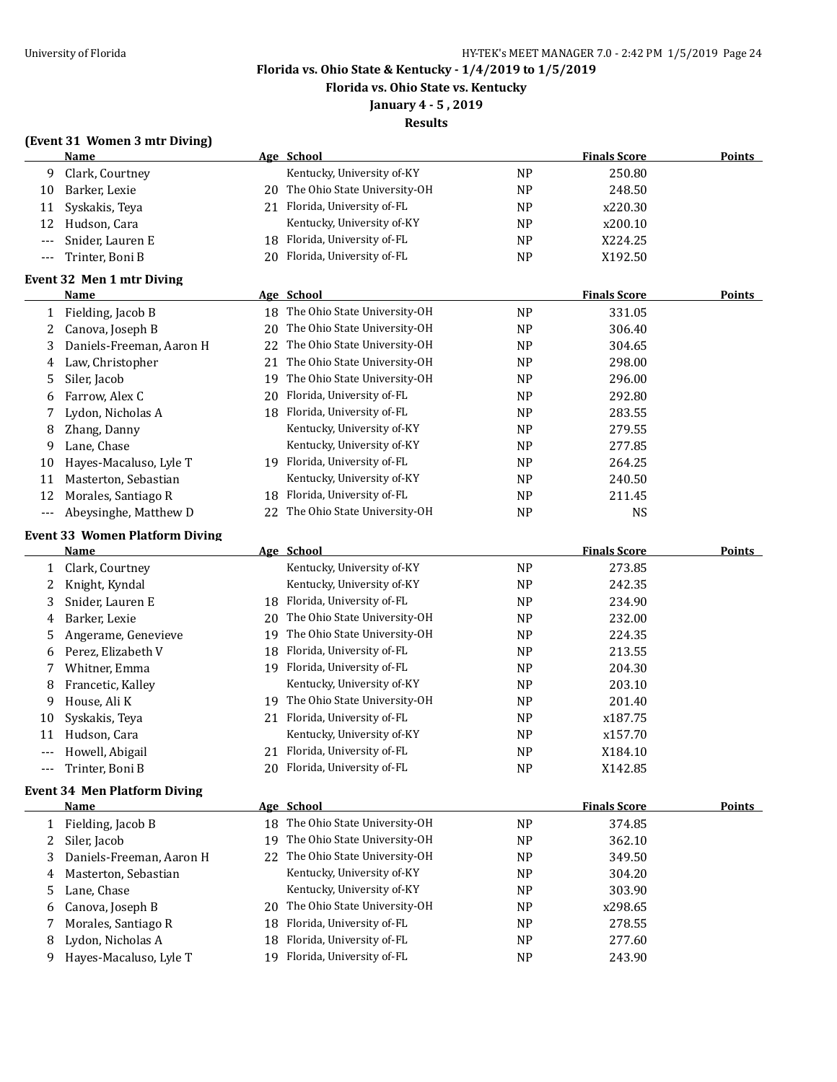**Florida vs. Ohio State vs. Kentucky**

**January 4 - 5 , 2019**

| (Event 31 Women 3 mtr Diving) |  |  |  |
|-------------------------------|--|--|--|
|-------------------------------|--|--|--|

|       | <b>Name</b>                                  |    | Age School                      |                | <b>Finals Score</b> | Points        |
|-------|----------------------------------------------|----|---------------------------------|----------------|---------------------|---------------|
| 9     | Clark, Courtney                              |    | Kentucky, University of-KY      | <b>NP</b>      | 250.80              |               |
| 10    | Barker, Lexie                                | 20 | The Ohio State University-OH    | NP             | 248.50              |               |
| 11    | Syskakis, Teya                               |    | 21 Florida, University of-FL    | <b>NP</b>      | x220.30             |               |
| 12    | Hudson, Cara                                 |    | Kentucky, University of-KY      | <b>NP</b>      | x200.10             |               |
| $---$ | Snider, Lauren E                             | 18 | Florida, University of-FL       | <b>NP</b>      | X224.25             |               |
| ---   | Trinter, Boni B                              |    | 20 Florida, University of-FL    | <b>NP</b>      | X192.50             |               |
|       |                                              |    |                                 |                |                     |               |
|       | Event 32 Men 1 mtr Diving<br>Name            |    | Age School                      |                | <b>Finals Score</b> | <b>Points</b> |
|       |                                              | 18 | The Ohio State University-OH    | <b>NP</b>      | 331.05              |               |
| 1     | Fielding, Jacob B                            | 20 | The Ohio State University-OH    |                | 306.40              |               |
| 2     | Canova, Joseph B<br>Daniels-Freeman, Aaron H |    | The Ohio State University-OH    | N <sub>P</sub> | 304.65              |               |
| 3     |                                              | 22 |                                 | N <sub>P</sub> |                     |               |
| 4     | Law, Christopher                             | 21 | The Ohio State University-OH    | NP             | 298.00              |               |
| 5     | Siler, Jacob                                 | 19 | The Ohio State University-OH    | <b>NP</b>      | 296.00              |               |
| 6     | Farrow, Alex C                               | 20 | Florida, University of-FL       | <b>NP</b>      | 292.80              |               |
| 7     | Lydon, Nicholas A                            |    | 18 Florida, University of-FL    | <b>NP</b>      | 283.55              |               |
| 8     | Zhang, Danny                                 |    | Kentucky, University of-KY      | N <sub>P</sub> | 279.55              |               |
| 9     | Lane, Chase                                  |    | Kentucky, University of-KY      | N <sub>P</sub> | 277.85              |               |
| 10    | Hayes-Macaluso, Lyle T                       |    | 19 Florida, University of-FL    | N <sub>P</sub> | 264.25              |               |
| 11    | Masterton, Sebastian                         |    | Kentucky, University of-KY      | NP             | 240.50              |               |
| 12    | Morales, Santiago R                          | 18 | Florida, University of-FL       | <b>NP</b>      | 211.45              |               |
| ---   | Abeysinghe, Matthew D                        | 22 | The Ohio State University-OH    | <b>NP</b>      | NS                  |               |
|       | <b>Event 33 Women Platform Diving</b>        |    |                                 |                |                     |               |
|       | Name                                         |    | Age School                      |                | <b>Finals Score</b> | <b>Points</b> |
| 1     | Clark, Courtney                              |    | Kentucky, University of-KY      | <b>NP</b>      | 273.85              |               |
| 2     | Knight, Kyndal                               |    | Kentucky, University of-KY      | <b>NP</b>      | 242.35              |               |
| 3     | Snider, Lauren E                             | 18 | Florida, University of-FL       | N <sub>P</sub> | 234.90              |               |
| 4     | Barker, Lexie                                | 20 | The Ohio State University-OH    | N <sub>P</sub> | 232.00              |               |
| 5     | Angerame, Genevieve                          | 19 | The Ohio State University-OH    | N <sub>P</sub> | 224.35              |               |
| 6     | Perez, Elizabeth V                           | 18 | Florida, University of-FL       | NP             | 213.55              |               |
| 7     | Whitner, Emma                                |    | 19 Florida, University of-FL    | <b>NP</b>      | 204.30              |               |
| 8     | Francetic, Kalley                            |    | Kentucky, University of-KY      | N <sub>P</sub> | 203.10              |               |
| 9     | House, Ali K                                 |    | 19 The Ohio State University-OH | <b>NP</b>      | 201.40              |               |
| 10    | Syskakis, Teya                               | 21 | Florida, University of-FL       | NP             | x187.75             |               |
| 11    | Hudson, Cara                                 |    | Kentucky, University of-KY      | N <sub>P</sub> | x157.70             |               |
| ---   | Howell, Abigail                              |    | 21 Florida, University of-FL    | NP             | X184.10             |               |
| ---   | Trinter, Boni B                              |    | 20 Florida, University of-FL    | <b>NP</b>      | X142.85             |               |
|       |                                              |    |                                 |                |                     |               |
|       | <b>Event 34 Men Platform Diving</b>          |    |                                 |                |                     |               |
|       | Name                                         |    | Age School                      |                | <b>Finals Score</b> | <b>Points</b> |
| 1     | Fielding, Jacob B                            | 18 | The Ohio State University-OH    | <b>NP</b>      | 374.85              |               |
| 2     | Siler, Jacob                                 | 19 | The Ohio State University-OH    | NP             | 362.10              |               |
| 3     | Daniels-Freeman, Aaron H                     | 22 | The Ohio State University-OH    | NP             | 349.50              |               |
| 4     | Masterton, Sebastian                         |    | Kentucky, University of-KY      | NP             | 304.20              |               |
| 5     | Lane, Chase                                  |    | Kentucky, University of-KY      | NP             | 303.90              |               |
| 6     | Canova, Joseph B                             | 20 | The Ohio State University-OH    | NP             | x298.65             |               |
| 7     | Morales, Santiago R                          | 18 | Florida, University of-FL       | NP             | 278.55              |               |
| 8     | Lydon, Nicholas A                            | 18 | Florida, University of-FL       | NP             | 277.60              |               |
| 9     | Hayes-Macaluso, Lyle T                       | 19 | Florida, University of-FL       | NP             | 243.90              |               |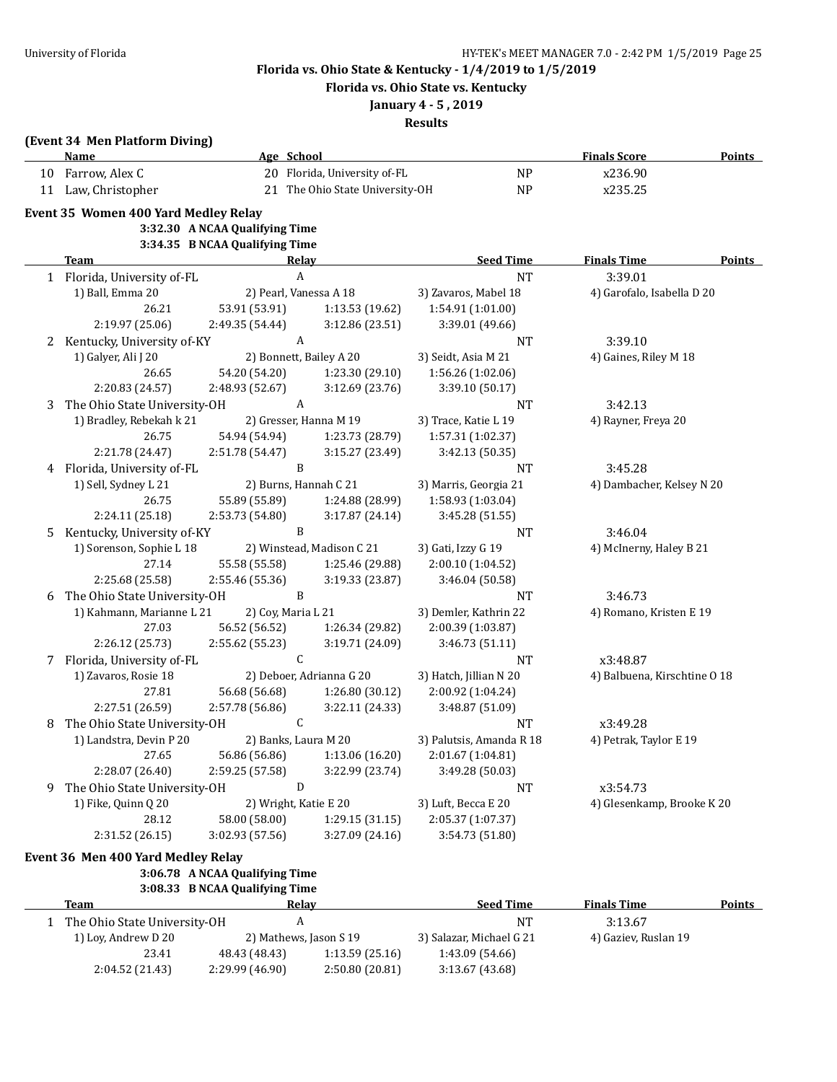**Florida vs. Ohio State vs. Kentucky**

## **January 4 - 5 , 2019**

|   | (Event 34 Men Platform Diving)<br>Name | Age School                       |                                   |                                           | <b>Finals Score</b>          | <b>Points</b> |
|---|----------------------------------------|----------------------------------|-----------------------------------|-------------------------------------------|------------------------------|---------------|
|   | 10 Farrow, Alex C                      |                                  | 20 Florida, University of-FL      | <b>NP</b>                                 | x236.90                      |               |
|   | 11 Law, Christopher                    |                                  | 21 The Ohio State University-OH   | <b>NP</b>                                 | x235.25                      |               |
|   |                                        |                                  |                                   |                                           |                              |               |
|   | Event 35 Women 400 Yard Medley Relay   | 3:32.30 A NCAA Qualifying Time   |                                   |                                           |                              |               |
|   |                                        | 3:34.35 B NCAA Qualifying Time   |                                   |                                           |                              |               |
|   | <b>Team</b>                            |                                  | Relay                             | <b>Seed Time</b>                          | <b>Finals Time</b>           | <b>Points</b> |
|   | 1 Florida, University of-FL            |                                  | $\boldsymbol{A}$                  | <b>NT</b>                                 | 3:39.01                      |               |
|   | 1) Ball, Emma 20                       |                                  | 2) Pearl, Vanessa A 18            |                                           | 4) Garofalo, Isabella D 20   |               |
|   | 26.21                                  | 53.91 (53.91)                    | 1:13.53 (19.62)                   | 3) Zavaros, Mabel 18<br>1:54.91 (1:01.00) |                              |               |
|   | 2:19.97 (25.06)                        | 2:49.35 (54.44)                  | 3:12.86 (23.51)                   | 3:39.01 (49.66)                           |                              |               |
| 2 | Kentucky, University of-KY             |                                  | A                                 | NT                                        | 3:39.10                      |               |
|   | 1) Galyer, Ali J 20                    |                                  | 2) Bonnett, Bailey A 20           | 3) Seidt, Asia M 21                       | 4) Gaines, Riley M 18        |               |
|   | 26.65                                  | 54.20 (54.20)                    | 1:23.30 (29.10)                   | 1:56.26 (1:02.06)                         |                              |               |
|   | 2:20.83 (24.57)                        | 2:48.93 (52.67)                  | 3:12.69 (23.76)                   | 3:39.10 (50.17)                           |                              |               |
| 3 | The Ohio State University-OH           |                                  | A                                 | NT                                        | 3:42.13                      |               |
|   | 1) Bradley, Rebekah k 21               |                                  | 2) Gresser, Hanna M 19            | 3) Trace, Katie L 19                      | 4) Rayner, Freya 20          |               |
|   | 26.75                                  | 54.94 (54.94)                    | 1:23.73 (28.79)                   | 1:57.31 (1:02.37)                         |                              |               |
|   | 2:21.78 (24.47)                        | 2:51.78 (54.47)                  | 3:15.27 (23.49)                   | 3:42.13 (50.35)                           |                              |               |
| 4 | Florida, University of-FL              |                                  | B                                 | <b>NT</b>                                 | 3:45.28                      |               |
|   | 1) Sell, Sydney L 21                   |                                  | 2) Burns, Hannah C 21             | 3) Marris, Georgia 21                     | 4) Dambacher, Kelsey N 20    |               |
|   | 26.75                                  | 55.89 (55.89)                    | 1:24.88 (28.99)                   | 1:58.93 (1:03.04)                         |                              |               |
|   | 2:24.11 (25.18)                        | 2:53.73 (54.80)                  | 3:17.87 (24.14)                   | 3:45.28 (51.55)                           |                              |               |
| 5 | Kentucky, University of-KY             |                                  | B                                 | NT                                        | 3:46.04                      |               |
|   | 1) Sorenson, Sophie L 18               |                                  | 2) Winstead, Madison C 21         | 3) Gati, Izzy G 19                        | 4) McInerny, Haley B 21      |               |
|   | 27.14                                  | 55.58 (55.58)                    | 1:25.46 (29.88)                   | 2:00.10 (1:04.52)                         |                              |               |
|   | 2:25.68 (25.58)                        | 2:55.46 (55.36)                  | 3:19.33 (23.87)                   | 3:46.04 (50.58)                           |                              |               |
| 6 | The Ohio State University-OH           |                                  | B                                 | <b>NT</b>                                 | 3:46.73                      |               |
|   | 1) Kahmann, Marianne L 21              | 2) Coy, Maria L 21               |                                   | 3) Demler, Kathrin 22                     | 4) Romano, Kristen E 19      |               |
|   | 27.03                                  | 56.52 (56.52)                    | 1:26.34 (29.82)                   | 2:00.39 (1:03.87)                         |                              |               |
|   | 2:26.12 (25.73)                        | 2:55.62 (55.23)                  | 3:19.71 (24.09)                   | 3:46.73 (51.11)                           |                              |               |
| 7 | Florida, University of-FL              |                                  | C                                 | <b>NT</b>                                 | x3:48.87                     |               |
|   | 1) Zavaros, Rosie 18                   |                                  | 2) Deboer, Adrianna G 20          | 3) Hatch, Jillian N 20                    | 4) Balbuena, Kirschtine O 18 |               |
|   | 27.81                                  | 56.68 (56.68)                    | 1:26.80 (30.12)                   | 2:00.92 (1:04.24)                         |                              |               |
|   | 2:27.51 (26.59)                        | 2:57.78 (56.86)                  | 3:22.11 (24.33)                   | 3:48.87 (51.09)                           |                              |               |
| 8 | The Ohio State University-OH           |                                  | C                                 | <b>NT</b>                                 | x3:49.28                     |               |
|   | 1) Landstra, Devin P 20                |                                  | 2) Banks, Laura M 20              | 3) Palutsis, Amanda R 18                  | 4) Petrak, Taylor E 19       |               |
|   | 27.65                                  | 56.86 (56.86)                    | 1:13.06 (16.20)                   | 2:01.67 (1:04.81)                         |                              |               |
|   | 2:28.07 (26.40)                        | 2:59.25 (57.58)                  | 3:22.99 (23.74)                   | 3:49.28 (50.03)                           |                              |               |
| 9 | The Ohio State University-OH           |                                  | D                                 | NT                                        | x3:54.73                     |               |
|   | 1) Fike, Quinn Q 20                    |                                  | 2) Wright, Katie E 20             | 3) Luft, Becca E 20                       | 4) Glesenkamp, Brooke K 20   |               |
|   | 28.12                                  | 58.00 (58.00)                    | 1:29.15 (31.15)                   | 2:05.37 (1:07.37)                         |                              |               |
|   | 2:31.52 (26.15)                        | 3:02.93 (57.56)                  | 3:27.09 (24.16)                   | 3:54.73 (51.80)                           |                              |               |
|   |                                        |                                  |                                   |                                           |                              |               |
|   | Event 36 Men 400 Yard Medley Relay     |                                  |                                   |                                           |                              |               |
|   |                                        | 3:06.78 A NCAA Qualifying Time   |                                   |                                           |                              |               |
|   |                                        | 3:08.33 B NCAA Qualifying Time   |                                   |                                           |                              |               |
|   | Team                                   |                                  | <u>Relav</u>                      | <b>Seed Time</b>                          | <b>Finals Time</b>           | <b>Points</b> |
| 1 | The Ohio State University-OH           |                                  | A                                 | <b>NT</b>                                 | 3:13.67                      |               |
|   | 1) Loy, Andrew D 20                    |                                  | 2) Mathews, Jason S 19            | 3) Salazar, Michael G 21                  | 4) Gaziev, Ruslan 19         |               |
|   |                                        |                                  |                                   |                                           |                              |               |
|   | 23.41<br>2:04.52 (21.43)               | 48.43 (48.43)<br>2:29.99 (46.90) | 1:13.59(25.16)<br>2:50.80 (20.81) | 1:43.09 (54.66)<br>3:13.67 (43.68)        |                              |               |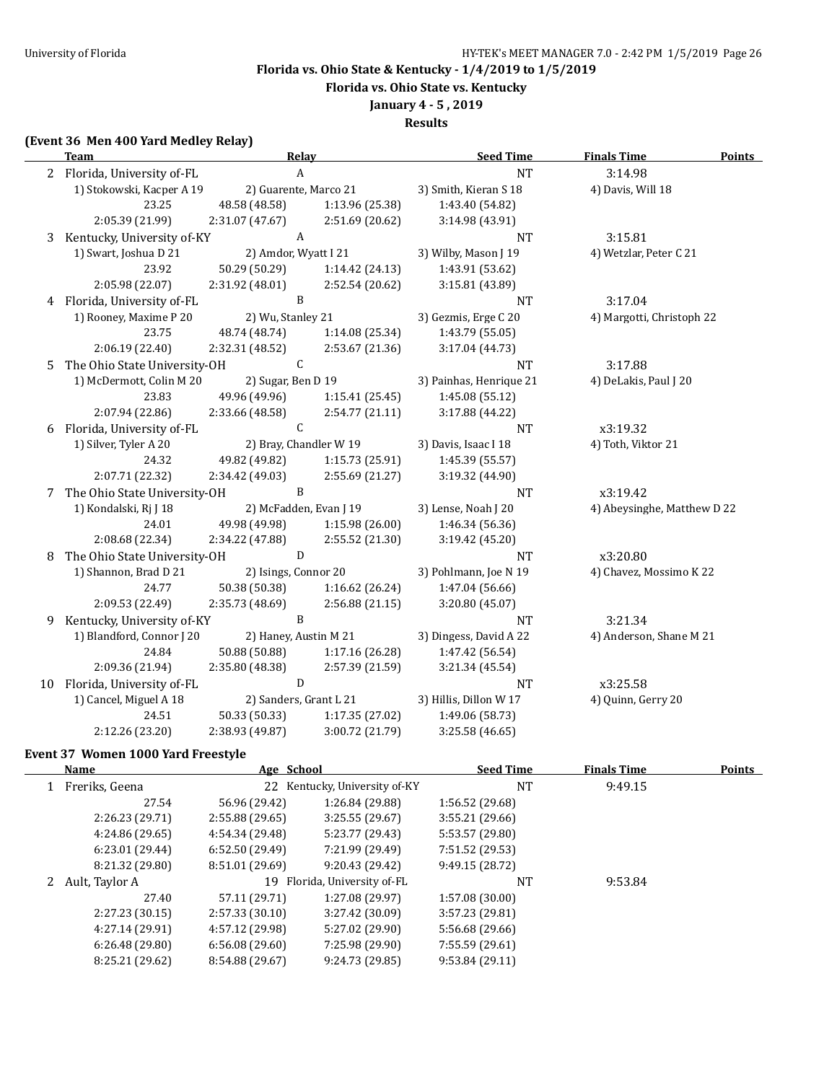**Florida vs. Ohio State vs. Kentucky**

**January 4 - 5 , 2019**

**Results**

## **(Event 36 Men 400 Yard Medley Relay)**

|   | <b>Team</b>                    | <b>Relay</b>           |                 | <b>Seed Time</b>        | <b>Finals Time</b><br><b>Points</b> |  |
|---|--------------------------------|------------------------|-----------------|-------------------------|-------------------------------------|--|
|   | 2 Florida, University of-FL    | $\boldsymbol{A}$       |                 | <b>NT</b>               | 3:14.98                             |  |
|   | 1) Stokowski, Kacper A 19      | 2) Guarente, Marco 21  |                 | 3) Smith, Kieran S 18   | 4) Davis, Will 18                   |  |
|   | 23.25                          | 48.58 (48.58)          | 1:13.96 (25.38) | 1:43.40 (54.82)         |                                     |  |
|   | 2:05.39 (21.99)                | 2:31.07 (47.67)        | 2:51.69 (20.62) | 3:14.98 (43.91)         |                                     |  |
| 3 | Kentucky, University of-KY     | $\mathbf{A}$           |                 | <b>NT</b>               | 3:15.81                             |  |
|   | 1) Swart, Joshua D 21          | 2) Amdor, Wyatt I 21   |                 | 3) Wilby, Mason J 19    | 4) Wetzlar, Peter C 21              |  |
|   | 23.92                          | 50.29 (50.29)          | 1:14.42(24.13)  | 1:43.91 (53.62)         |                                     |  |
|   | 2:05.98 (22.07)                | 2:31.92 (48.01)        | 2:52.54 (20.62) | 3:15.81 (43.89)         |                                     |  |
|   | 4 Florida, University of-FL    | $\, {\bf B}$           |                 | <b>NT</b>               | 3:17.04                             |  |
|   | 1) Rooney, Maxime P 20         | 2) Wu, Stanley 21      |                 | 3) Gezmis, Erge C 20    | 4) Margotti, Christoph 22           |  |
|   | 23.75                          | 48.74 (48.74)          | 1:14.08 (25.34) | 1:43.79 (55.05)         |                                     |  |
|   | 2:06.19 (22.40)                | 2:32.31 (48.52)        | 2:53.67 (21.36) | 3:17.04 (44.73)         |                                     |  |
| 5 | The Ohio State University-OH   | $\mathsf C$            |                 | NT                      | 3:17.88                             |  |
|   | 1) McDermott, Colin M 20       | 2) Sugar, Ben D 19     |                 | 3) Painhas, Henrique 21 | 4) DeLakis, Paul J 20               |  |
|   | 23.83                          | 49.96 (49.96)          | 1:15.41(25.45)  | 1:45.08 (55.12)         |                                     |  |
|   | 2:07.94 (22.86)                | 2:33.66 (48.58)        | 2:54.77 (21.11) | 3:17.88 (44.22)         |                                     |  |
| 6 | Florida, University of-FL      | $\mathsf{C}$           |                 | <b>NT</b>               | x3:19.32                            |  |
|   | 1) Silver, Tyler A 20          | 2) Bray, Chandler W 19 |                 | 3) Davis, Isaac I 18    | 4) Toth, Viktor 21                  |  |
|   | 24.32                          | 49.82 (49.82)          | 1:15.73 (25.91) | 1:45.39 (55.57)         |                                     |  |
|   | 2:07.71 (22.32)                | 2:34.42 (49.03)        | 2:55.69 (21.27) | 3:19.32 (44.90)         |                                     |  |
|   | 7 The Ohio State University-OH | B                      |                 | <b>NT</b>               | x3:19.42                            |  |
|   | 1) Kondalski, Rj J 18          | 2) McFadden, Evan J 19 |                 | 3) Lense, Noah J 20     | 4) Abeysinghe, Matthew D 22         |  |
|   | 24.01                          | 49.98 (49.98)          | 1:15.98 (26.00) | 1:46.34 (56.36)         |                                     |  |
|   | 2:08.68 (22.34)                | 2:34.22 (47.88)        | 2:55.52 (21.30) | 3:19.42 (45.20)         |                                     |  |
| 8 | The Ohio State University-OH   | D                      |                 | <b>NT</b>               | x3:20.80                            |  |
|   | 1) Shannon, Brad D 21          | 2) Isings, Connor 20   |                 | 3) Pohlmann, Joe N 19   | 4) Chavez, Mossimo K 22             |  |
|   | 24.77                          | 50.38 (50.38)          | 1:16.62 (26.24) | 1:47.04 (56.66)         |                                     |  |
|   | 2:09.53 (22.49)                | 2:35.73 (48.69)        | 2:56.88 (21.15) | 3:20.80 (45.07)         |                                     |  |
| 9 | Kentucky, University of-KY     | $\mathbf{B}$           |                 | <b>NT</b>               | 3:21.34                             |  |
|   | 1) Blandford, Connor J 20      | 2) Haney, Austin M 21  |                 | 3) Dingess, David A 22  | 4) Anderson, Shane M 21             |  |
|   | 24.84                          | 50.88 (50.88)          | 1:17.16 (26.28) | 1:47.42 (56.54)         |                                     |  |
|   | 2:09.36 (21.94)                | 2:35.80 (48.38)        | 2:57.39 (21.59) | 3:21.34 (45.54)         |                                     |  |
|   | 10 Florida, University of-FL   | D                      |                 | <b>NT</b>               | x3:25.58                            |  |
|   | 1) Cancel, Miguel A 18         | 2) Sanders, Grant L 21 |                 | 3) Hillis, Dillon W 17  | 4) Quinn, Gerry 20                  |  |
|   | 24.51                          | 50.33 (50.33)          | 1:17.35 (27.02) | 1:49.06 (58.73)         |                                     |  |
|   | 2:12.26 (23.20)                | 2:38.93 (49.87)        | 3:00.72 (21.79) | 3:25.58 (46.65)         |                                     |  |

### **Event 37 Women 1000 Yard Freestyle**

 $\overline{\phantom{0}}$ 

| Name |                 | Age School      |                               | <b>Seed Time</b> | <b>Finals Time</b> | <b>Points</b> |
|------|-----------------|-----------------|-------------------------------|------------------|--------------------|---------------|
|      | Freriks, Geena  |                 | 22 Kentucky, University of-KY | NT               | 9:49.15            |               |
|      | 27.54           | 56.96 (29.42)   | 1:26.84 (29.88)               | 1:56.52 (29.68)  |                    |               |
|      | 2:26.23 (29.71) | 2:55.88(29.65)  | 3:25.55(29.67)                | 3:55.21 (29.66)  |                    |               |
|      | 4:24.86 (29.65) | 4:54.34 (29.48) | 5:23.77 (29.43)               | 5:53.57 (29.80)  |                    |               |
|      | 6:23.01(29.44)  | 6:52.50(29.49)  | 7:21.99 (29.49)               | 7:51.52 (29.53)  |                    |               |
|      | 8:21.32 (29.80) | 8:51.01 (29.69) | 9:20.43 (29.42)               | 9:49.15 (28.72)  |                    |               |
|      | Ault, Taylor A  |                 | 19 Florida, University of-FL  | NT               | 9:53.84            |               |
|      | 27.40           | 57.11 (29.71)   | 1:27.08 (29.97)               | 1:57.08 (30.00)  |                    |               |
|      | 2:27.23(30.15)  | 2:57.33 (30.10) | 3:27.42 (30.09)               | 3:57.23 (29.81)  |                    |               |
|      | 4:27.14 (29.91) | 4:57.12 (29.98) | 5:27.02 (29.90)               | 5:56.68 (29.66)  |                    |               |
|      | 6:26.48(29.80)  | 6:56.08(29.60)  | 7:25.98 (29.90)               | 7:55.59 (29.61)  |                    |               |
|      | 8:25.21 (29.62) | 8:54.88 (29.67) | 9:24.73 (29.85)               | 9:53.84 (29.11)  |                    |               |
|      |                 |                 |                               |                  |                    |               |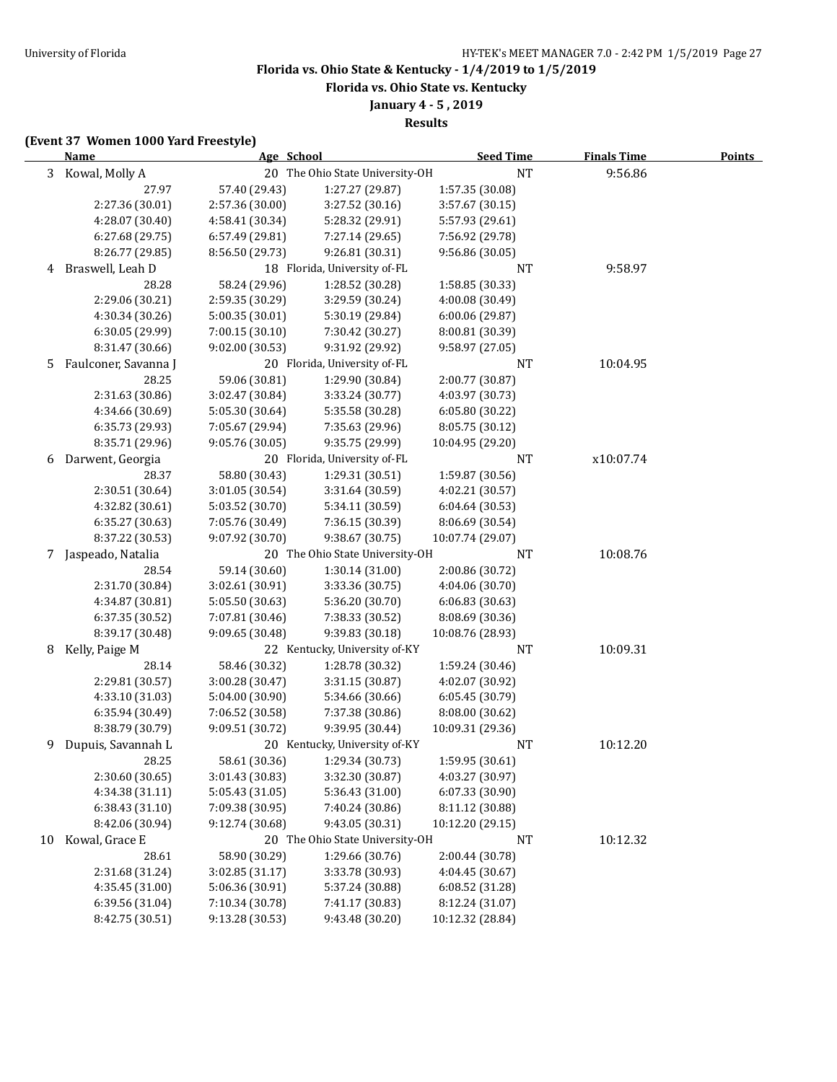**Florida vs. Ohio State vs. Kentucky**

**January 4 - 5 , 2019**

**Results**

### **(Event 37 Women 1000 Yard Freestyle)**

|    | <b>Name</b>          | Age School      |                                 | <b>Seed Time</b> | <b>Finals Time</b> | <b>Points</b> |
|----|----------------------|-----------------|---------------------------------|------------------|--------------------|---------------|
| 3  | Kowal, Molly A       |                 | 20 The Ohio State University-OH | <b>NT</b>        | 9:56.86            |               |
|    | 27.97                | 57.40 (29.43)   | 1:27.27 (29.87)                 | 1:57.35 (30.08)  |                    |               |
|    | 2:27.36 (30.01)      | 2:57.36 (30.00) | 3:27.52 (30.16)                 | 3:57.67 (30.15)  |                    |               |
|    | 4:28.07 (30.40)      | 4:58.41 (30.34) | 5:28.32 (29.91)                 | 5:57.93 (29.61)  |                    |               |
|    | 6:27.68 (29.75)      | 6:57.49 (29.81) | 7:27.14 (29.65)                 | 7:56.92 (29.78)  |                    |               |
|    | 8:26.77 (29.85)      | 8:56.50 (29.73) | 9:26.81 (30.31)                 | 9:56.86 (30.05)  |                    |               |
| 4  | Braswell, Leah D     |                 | 18 Florida, University of-FL    | NT               | 9:58.97            |               |
|    | 28.28                | 58.24 (29.96)   | 1:28.52 (30.28)                 | 1:58.85 (30.33)  |                    |               |
|    | 2:29.06 (30.21)      | 2:59.35 (30.29) | 3:29.59 (30.24)                 | 4:00.08 (30.49)  |                    |               |
|    | 4:30.34 (30.26)      | 5:00.35 (30.01) | 5:30.19 (29.84)                 | 6:00.06 (29.87)  |                    |               |
|    | 6:30.05 (29.99)      | 7:00.15(30.10)  | 7:30.42 (30.27)                 | 8:00.81 (30.39)  |                    |               |
|    | 8:31.47 (30.66)      | 9:02.00 (30.53) | 9:31.92 (29.92)                 | 9:58.97 (27.05)  |                    |               |
| 5  | Faulconer, Savanna J |                 | 20 Florida, University of-FL    | NT               | 10:04.95           |               |
|    | 28.25                | 59.06 (30.81)   | 1:29.90 (30.84)                 | 2:00.77 (30.87)  |                    |               |
|    | 2:31.63 (30.86)      | 3:02.47 (30.84) | 3:33.24 (30.77)                 | 4:03.97 (30.73)  |                    |               |
|    | 4:34.66 (30.69)      | 5:05.30 (30.64) | 5:35.58 (30.28)                 | 6:05.80 (30.22)  |                    |               |
|    | 6:35.73 (29.93)      | 7:05.67 (29.94) | 7:35.63 (29.96)                 | 8:05.75 (30.12)  |                    |               |
|    | 8:35.71 (29.96)      | 9:05.76 (30.05) | 9:35.75 (29.99)                 | 10:04.95 (29.20) |                    |               |
| 6  | Darwent, Georgia     |                 | 20 Florida, University of-FL    | NT               | x10:07.74          |               |
|    | 28.37                | 58.80 (30.43)   | 1:29.31 (30.51)                 | 1:59.87 (30.56)  |                    |               |
|    | 2:30.51 (30.64)      | 3:01.05 (30.54) | 3:31.64 (30.59)                 | 4:02.21 (30.57)  |                    |               |
|    | 4:32.82 (30.61)      | 5:03.52 (30.70) | 5:34.11 (30.59)                 | 6:04.64 (30.53)  |                    |               |
|    | 6:35.27 (30.63)      | 7:05.76 (30.49) | 7:36.15 (30.39)                 | 8:06.69 (30.54)  |                    |               |
|    | 8:37.22 (30.53)      | 9:07.92 (30.70) | 9:38.67 (30.75)                 | 10:07.74 (29.07) |                    |               |
| 7  | Jaspeado, Natalia    |                 | 20 The Ohio State University-OH | NT               | 10:08.76           |               |
|    | 28.54                | 59.14 (30.60)   | 1:30.14 (31.00)                 | 2:00.86 (30.72)  |                    |               |
|    | 2:31.70 (30.84)      | 3:02.61 (30.91) | 3:33.36 (30.75)                 | 4:04.06 (30.70)  |                    |               |
|    | 4:34.87 (30.81)      | 5:05.50 (30.63) | 5:36.20 (30.70)                 | 6:06.83(30.63)   |                    |               |
|    | 6:37.35 (30.52)      | 7:07.81 (30.46) | 7:38.33 (30.52)                 | 8:08.69 (30.36)  |                    |               |
|    | 8:39.17 (30.48)      | 9:09.65 (30.48) | 9:39.83 (30.18)                 | 10:08.76 (28.93) |                    |               |
| 8  | Kelly, Paige M       |                 | 22 Kentucky, University of-KY   | <b>NT</b>        | 10:09.31           |               |
|    | 28.14                | 58.46 (30.32)   | 1:28.78 (30.32)                 | 1:59.24 (30.46)  |                    |               |
|    | 2:29.81 (30.57)      | 3:00.28 (30.47) | 3:31.15 (30.87)                 | 4:02.07 (30.92)  |                    |               |
|    | 4:33.10 (31.03)      | 5:04.00 (30.90) | 5:34.66 (30.66)                 | 6:05.45 (30.79)  |                    |               |
|    | 6:35.94 (30.49)      | 7:06.52 (30.58) | 7:37.38 (30.86)                 | 8:08.00 (30.62)  |                    |               |
|    | 8:38.79 (30.79)      | 9:09.51 (30.72) | 9:39.95 (30.44)                 | 10:09.31 (29.36) |                    |               |
| 9  | Dupuis, Savannah L   |                 | 20 Kentucky, University of-KY   | NT               | 10:12.20           |               |
|    | 28.25                | 58.61 (30.36)   | 1:29.34 (30.73)                 | 1:59.95 (30.61)  |                    |               |
|    | 2:30.60 (30.65)      | 3:01.43 (30.83) | 3:32.30 (30.87)                 | 4:03.27 (30.97)  |                    |               |
|    | 4:34.38 (31.11)      | 5:05.43 (31.05) | 5:36.43 (31.00)                 | 6:07.33 (30.90)  |                    |               |
|    | 6:38.43 (31.10)      | 7:09.38 (30.95) | 7:40.24 (30.86)                 | 8:11.12 (30.88)  |                    |               |
|    | 8:42.06 (30.94)      | 9:12.74 (30.68) | 9:43.05 (30.31)                 | 10:12.20 (29.15) |                    |               |
| 10 | Kowal, Grace E       |                 | 20 The Ohio State University-OH | <b>NT</b>        | 10:12.32           |               |
|    | 28.61                | 58.90 (30.29)   | 1:29.66 (30.76)                 | 2:00.44 (30.78)  |                    |               |
|    | 2:31.68 (31.24)      | 3:02.85 (31.17) | 3:33.78 (30.93)                 | 4:04.45 (30.67)  |                    |               |
|    | 4:35.45 (31.00)      | 5:06.36 (30.91) | 5:37.24 (30.88)                 | 6:08.52(31.28)   |                    |               |
|    | 6:39.56 (31.04)      | 7:10.34 (30.78) | 7:41.17 (30.83)                 | 8:12.24 (31.07)  |                    |               |
|    | 8:42.75 (30.51)      | 9:13.28 (30.53) | 9:43.48 (30.20)                 | 10:12.32 (28.84) |                    |               |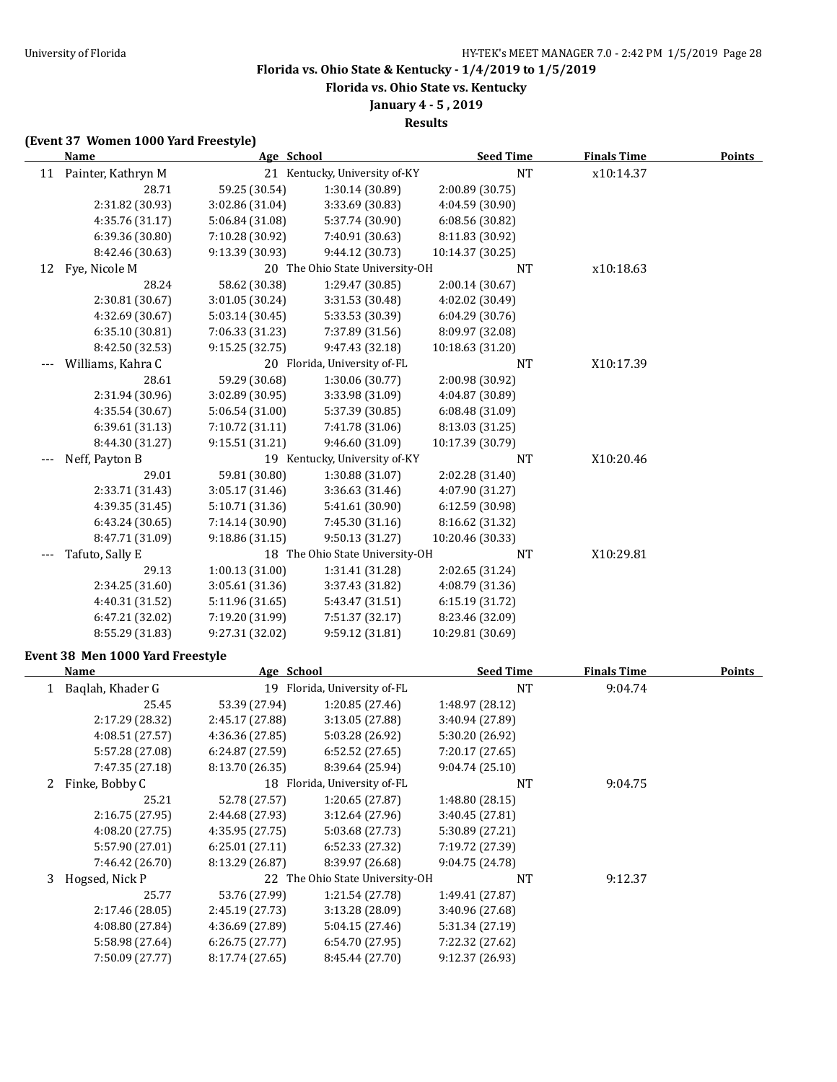**Florida vs. Ohio State vs. Kentucky**

## **January 4 - 5 , 2019**

**Results**

### **(Event 37 Women 1000 Yard Freestyle)**

|    | Name                  | Age School      |                                 | <b>Seed Time</b> | <b>Finals Time</b> | Points |
|----|-----------------------|-----------------|---------------------------------|------------------|--------------------|--------|
|    | 11 Painter, Kathryn M |                 | 21 Kentucky, University of-KY   | <b>NT</b>        | x10:14.37          |        |
|    | 28.71                 | 59.25 (30.54)   | 1:30.14 (30.89)                 | 2:00.89 (30.75)  |                    |        |
|    | 2:31.82 (30.93)       | 3:02.86 (31.04) | 3:33.69 (30.83)                 | 4:04.59 (30.90)  |                    |        |
|    | 4:35.76 (31.17)       | 5:06.84 (31.08) | 5:37.74 (30.90)                 | 6:08.56(30.82)   |                    |        |
|    | 6:39.36 (30.80)       | 7:10.28 (30.92) | 7:40.91 (30.63)                 | 8:11.83 (30.92)  |                    |        |
|    | 8:42.46 (30.63)       | 9:13.39 (30.93) | 9:44.12 (30.73)                 | 10:14.37 (30.25) |                    |        |
| 12 | Fye, Nicole M         |                 | 20 The Ohio State University-OH | <b>NT</b>        | x10:18.63          |        |
|    | 28.24                 | 58.62 (30.38)   | 1:29.47 (30.85)                 | 2:00.14 (30.67)  |                    |        |
|    | 2:30.81 (30.67)       | 3:01.05 (30.24) | 3:31.53 (30.48)                 | 4:02.02 (30.49)  |                    |        |
|    | 4:32.69 (30.67)       | 5:03.14(30.45)  | 5:33.53 (30.39)                 | 6:04.29 (30.76)  |                    |        |
|    | 6:35.10 (30.81)       | 7:06.33 (31.23) | 7:37.89 (31.56)                 | 8:09.97 (32.08)  |                    |        |
|    | 8:42.50 (32.53)       | 9:15.25(32.75)  | 9:47.43 (32.18)                 | 10:18.63 (31.20) |                    |        |
|    | Williams, Kahra C     |                 | 20 Florida, University of-FL    | NT               | X10:17.39          |        |
|    | 28.61                 | 59.29 (30.68)   | 1:30.06 (30.77)                 | 2:00.98 (30.92)  |                    |        |
|    | 2:31.94 (30.96)       | 3:02.89 (30.95) | 3:33.98 (31.09)                 | 4:04.87 (30.89)  |                    |        |
|    | 4:35.54 (30.67)       | 5:06.54 (31.00) | 5:37.39 (30.85)                 | 6:08.48 (31.09)  |                    |        |
|    | 6:39.61 (31.13)       | 7:10.72 (31.11) | 7:41.78 (31.06)                 | 8:13.03 (31.25)  |                    |        |
|    | 8:44.30 (31.27)       | 9:15.51(31.21)  | 9:46.60 (31.09)                 | 10:17.39 (30.79) |                    |        |
|    | Neff, Payton B        |                 | 19 Kentucky, University of-KY   | NT               | X10:20.46          |        |
|    | 29.01                 | 59.81 (30.80)   | 1:30.88 (31.07)                 | 2:02.28 (31.40)  |                    |        |
|    | 2:33.71 (31.43)       | 3:05.17 (31.46) | 3:36.63 (31.46)                 | 4:07.90 (31.27)  |                    |        |
|    | 4:39.35 (31.45)       | 5:10.71 (31.36) | 5:41.61 (30.90)                 | 6:12.59 (30.98)  |                    |        |
|    | 6:43.24 (30.65)       | 7:14.14 (30.90) | 7:45.30 (31.16)                 | 8:16.62 (31.32)  |                    |        |
|    | 8:47.71 (31.09)       | 9:18.86(31.15)  | 9:50.13 (31.27)                 | 10:20.46 (30.33) |                    |        |
|    | Tafuto, Sally E       |                 | 18 The Ohio State University-OH | <b>NT</b>        | X10:29.81          |        |
|    | 29.13                 | 1:00.13(31.00)  | 1:31.41 (31.28)                 | 2:02.65 (31.24)  |                    |        |
|    | 2:34.25 (31.60)       | 3:05.61 (31.36) | 3:37.43 (31.82)                 | 4:08.79 (31.36)  |                    |        |
|    | 4:40.31 (31.52)       | 5:11.96 (31.65) | 5:43.47 (31.51)                 | 6:15.19 (31.72)  |                    |        |
|    | 6:47.21 (32.02)       | 7:19.20 (31.99) | 7:51.37 (32.17)                 | 8:23.46 (32.09)  |                    |        |
|    | 8:55.29 (31.83)       | 9:27.31 (32.02) | 9:59.12 (31.81)                 | 10:29.81 (30.69) |                    |        |

## **Event 38 Men 1000 Yard Freestyle**

|   | Name             | Age School      |                                 | <b>Seed Time</b> | <b>Finals Time</b> | <b>Points</b> |
|---|------------------|-----------------|---------------------------------|------------------|--------------------|---------------|
|   | Baqlah, Khader G | 19              | Florida, University of-FL       | NT               | 9:04.74            |               |
|   | 25.45            | 53.39 (27.94)   | 1:20.85(27.46)                  | 1:48.97 (28.12)  |                    |               |
|   | 2:17.29 (28.32)  | 2:45.17 (27.88) | 3:13.05 (27.88)                 | 3:40.94 (27.89)  |                    |               |
|   | 4:08.51 (27.57)  | 4:36.36 (27.85) | 5:03.28 (26.92)                 | 5:30.20 (26.92)  |                    |               |
|   | 5:57.28 (27.08)  | 6:24.87(27.59)  | 6:52.52(27.65)                  | 7:20.17 (27.65)  |                    |               |
|   | 7:47.35 (27.18)  | 8:13.70 (26.35) | 8:39.64 (25.94)                 | 9:04.74(25.10)   |                    |               |
|   | Finke, Bobby C   |                 | 18 Florida, University of-FL    | <b>NT</b>        | 9:04.75            |               |
|   | 25.21            | 52.78 (27.57)   | 1:20.65(27.87)                  | 1:48.80(28.15)   |                    |               |
|   | 2:16.75(27.95)   | 2:44.68 (27.93) | 3:12.64 (27.96)                 | 3:40.45 (27.81)  |                    |               |
|   | 4:08.20 (27.75)  | 4:35.95 (27.75) | 5:03.68 (27.73)                 | 5:30.89 (27.21)  |                    |               |
|   | 5:57.90 (27.01)  | 6:25.01(27.11)  | 6:52.33(27.32)                  | 7:19.72 (27.39)  |                    |               |
|   | 7:46.42 (26.70)  | 8:13.29 (26.87) | 8:39.97 (26.68)                 | 9:04.75 (24.78)  |                    |               |
| 3 | Hogsed, Nick P   |                 | 22 The Ohio State University-OH | NT               | 9:12.37            |               |
|   | 25.77            | 53.76 (27.99)   | 1:21.54 (27.78)                 | 1:49.41 (27.87)  |                    |               |
|   | 2:17.46 (28.05)  | 2:45.19 (27.73) | 3:13.28 (28.09)                 | 3:40.96 (27.68)  |                    |               |
|   | 4:08.80 (27.84)  | 4:36.69 (27.89) | 5:04.15(27.46)                  | 5:31.34 (27.19)  |                    |               |
|   | 5:58.98 (27.64)  | 6:26.75(27.77)  | 6:54.70(27.95)                  | 7:22.32 (27.62)  |                    |               |
|   | 7:50.09 (27.77)  | 8:17.74 (27.65) | 8:45.44 (27.70)                 | 9:12.37 (26.93)  |                    |               |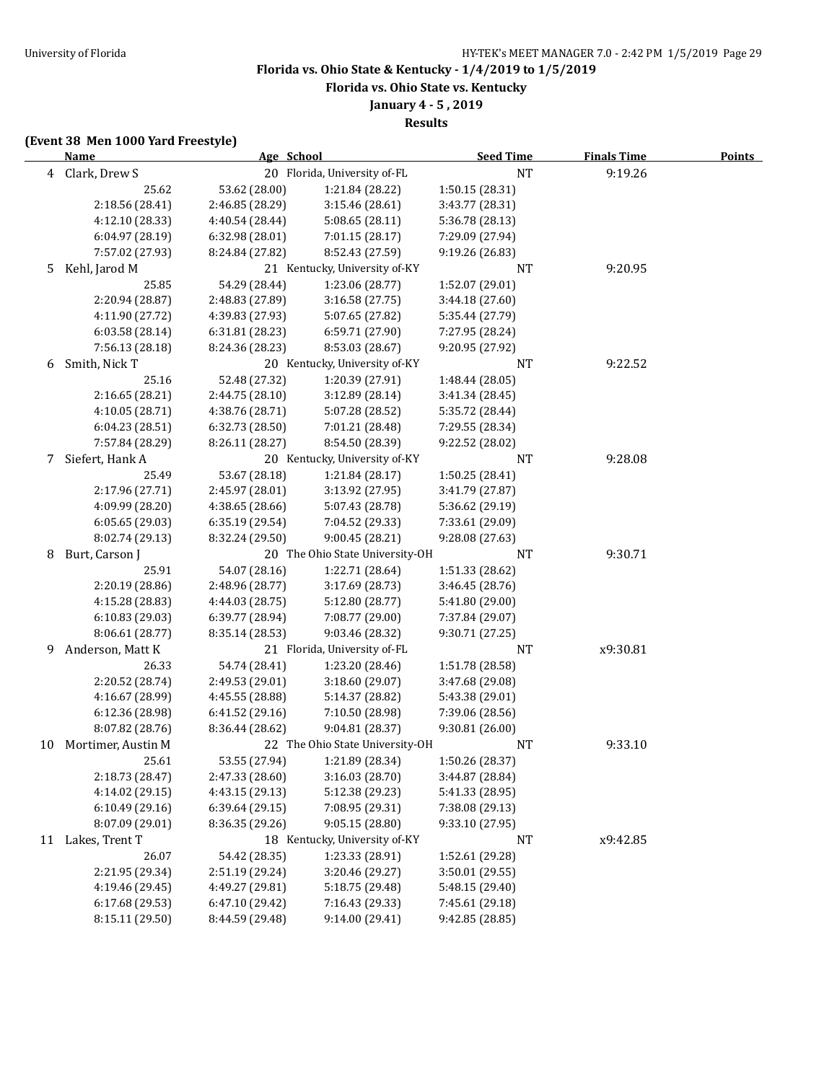**Florida vs. Ohio State vs. Kentucky**

**January 4 - 5 , 2019**

**Results**

## **(Event 38 Men 1000 Yard Freestyle)**

|    | <b>Name</b>        | Age School      |                                 | <b>Seed Time</b> | <b>Finals Time</b> | <b>Points</b> |
|----|--------------------|-----------------|---------------------------------|------------------|--------------------|---------------|
|    | 4 Clark, Drew S    |                 | 20 Florida, University of-FL    | <b>NT</b>        | 9:19.26            |               |
|    | 25.62              | 53.62 (28.00)   | 1:21.84 (28.22)                 | 1:50.15 (28.31)  |                    |               |
|    | 2:18.56 (28.41)    | 2:46.85 (28.29) | 3:15.46 (28.61)                 | 3:43.77 (28.31)  |                    |               |
|    | 4:12.10 (28.33)    | 4:40.54 (28.44) | 5:08.65 (28.11)                 | 5:36.78 (28.13)  |                    |               |
|    | 6:04.97 (28.19)    | 6:32.98 (28.01) | 7:01.15 (28.17)                 | 7:29.09 (27.94)  |                    |               |
|    | 7:57.02 (27.93)    | 8:24.84 (27.82) | 8:52.43 (27.59)                 | 9:19.26 (26.83)  |                    |               |
| 5  | Kehl, Jarod M      |                 | 21 Kentucky, University of-KY   | NT               | 9:20.95            |               |
|    | 25.85              | 54.29 (28.44)   | 1:23.06 (28.77)                 | 1:52.07 (29.01)  |                    |               |
|    | 2:20.94 (28.87)    | 2:48.83 (27.89) | 3:16.58 (27.75)                 | 3:44.18 (27.60)  |                    |               |
|    | 4:11.90 (27.72)    | 4:39.83 (27.93) | 5:07.65 (27.82)                 | 5:35.44 (27.79)  |                    |               |
|    | 6:03.58(28.14)     | 6:31.81 (28.23) | 6:59.71 (27.90)                 | 7:27.95 (28.24)  |                    |               |
|    | 7:56.13 (28.18)    | 8:24.36 (28.23) | 8:53.03 (28.67)                 | 9:20.95 (27.92)  |                    |               |
| 6  | Smith, Nick T      |                 | 20 Kentucky, University of-KY   | NT               | 9:22.52            |               |
|    | 25.16              | 52.48 (27.32)   | 1:20.39 (27.91)                 | 1:48.44 (28.05)  |                    |               |
|    | 2:16.65 (28.21)    | 2:44.75 (28.10) | 3:12.89 (28.14)                 | 3:41.34 (28.45)  |                    |               |
|    | 4:10.05 (28.71)    | 4:38.76 (28.71) | 5:07.28 (28.52)                 | 5:35.72 (28.44)  |                    |               |
|    | 6:04.23 (28.51)    | 6:32.73 (28.50) | 7:01.21 (28.48)                 | 7:29.55 (28.34)  |                    |               |
|    | 7:57.84 (28.29)    | 8:26.11 (28.27) | 8:54.50 (28.39)                 | 9:22.52 (28.02)  |                    |               |
| 7  | Siefert, Hank A    |                 | 20 Kentucky, University of-KY   | NT               | 9:28.08            |               |
|    | 25.49              | 53.67 (28.18)   | 1:21.84 (28.17)                 | 1:50.25 (28.41)  |                    |               |
|    | 2:17.96 (27.71)    | 2:45.97 (28.01) | 3:13.92 (27.95)                 | 3:41.79 (27.87)  |                    |               |
|    | 4:09.99 (28.20)    | 4:38.65 (28.66) | 5:07.43 (28.78)                 | 5:36.62 (29.19)  |                    |               |
|    | 6:05.65(29.03)     | 6:35.19 (29.54) | 7:04.52 (29.33)                 | 7:33.61 (29.09)  |                    |               |
|    | 8:02.74 (29.13)    | 8:32.24 (29.50) | 9:00.45(28.21)                  | 9:28.08 (27.63)  |                    |               |
| 8  | Burt, Carson J     |                 | 20 The Ohio State University-OH | NT               | 9:30.71            |               |
|    | 25.91              | 54.07 (28.16)   | 1:22.71 (28.64)                 | 1:51.33 (28.62)  |                    |               |
|    | 2:20.19 (28.86)    | 2:48.96 (28.77) | 3:17.69 (28.73)                 | 3:46.45 (28.76)  |                    |               |
|    | 4:15.28 (28.83)    | 4:44.03 (28.75) | 5:12.80 (28.77)                 | 5:41.80 (29.00)  |                    |               |
|    | 6:10.83 (29.03)    | 6:39.77 (28.94) | 7:08.77 (29.00)                 | 7:37.84 (29.07)  |                    |               |
|    | 8:06.61 (28.77)    | 8:35.14 (28.53) | 9:03.46 (28.32)                 | 9:30.71 (27.25)  |                    |               |
| 9  | Anderson, Matt K   |                 | 21 Florida, University of-FL    | NT               | x9:30.81           |               |
|    | 26.33              | 54.74 (28.41)   | 1:23.20 (28.46)                 | 1:51.78 (28.58)  |                    |               |
|    | 2:20.52 (28.74)    | 2:49.53 (29.01) | 3:18.60 (29.07)                 | 3:47.68 (29.08)  |                    |               |
|    | 4:16.67 (28.99)    | 4:45.55 (28.88) | 5:14.37 (28.82)                 | 5:43.38 (29.01)  |                    |               |
|    | 6:12.36 (28.98)    | 6:41.52(29.16)  | 7:10.50 (28.98)                 | 7:39.06 (28.56)  |                    |               |
|    | 8:07.82 (28.76)    | 8:36.44 (28.62) | 9:04.81 (28.37)                 | 9:30.81 (26.00)  |                    |               |
| 10 | Mortimer, Austin M |                 | 22 The Ohio State University-OH | NT               | 9:33.10            |               |
|    | 25.61              | 53.55 (27.94)   | 1:21.89 (28.34)                 | 1:50.26 (28.37)  |                    |               |
|    | 2:18.73 (28.47)    | 2:47.33 (28.60) | 3:16.03 (28.70)                 | 3:44.87 (28.84)  |                    |               |
|    | 4:14.02 (29.15)    | 4:43.15 (29.13) | 5:12.38 (29.23)                 | 5:41.33 (28.95)  |                    |               |
|    | 6:10.49 (29.16)    | 6:39.64 (29.15) | 7:08.95 (29.31)                 | 7:38.08 (29.13)  |                    |               |
|    | 8:07.09 (29.01)    | 8:36.35 (29.26) | 9:05.15(28.80)                  | 9:33.10 (27.95)  |                    |               |
| 11 | Lakes, Trent T     |                 | 18 Kentucky, University of-KY   | <b>NT</b>        | x9:42.85           |               |
|    | 26.07              | 54.42 (28.35)   | 1:23.33 (28.91)                 | 1:52.61 (29.28)  |                    |               |
|    | 2:21.95 (29.34)    | 2:51.19 (29.24) | 3:20.46 (29.27)                 | 3:50.01 (29.55)  |                    |               |
|    | 4:19.46 (29.45)    | 4:49.27 (29.81) | 5:18.75 (29.48)                 | 5:48.15 (29.40)  |                    |               |
|    | 6:17.68 (29.53)    | 6:47.10 (29.42) | 7:16.43 (29.33)                 | 7:45.61 (29.18)  |                    |               |
|    | 8:15.11 (29.50)    | 8:44.59 (29.48) | 9:14.00 (29.41)                 | 9:42.85 (28.85)  |                    |               |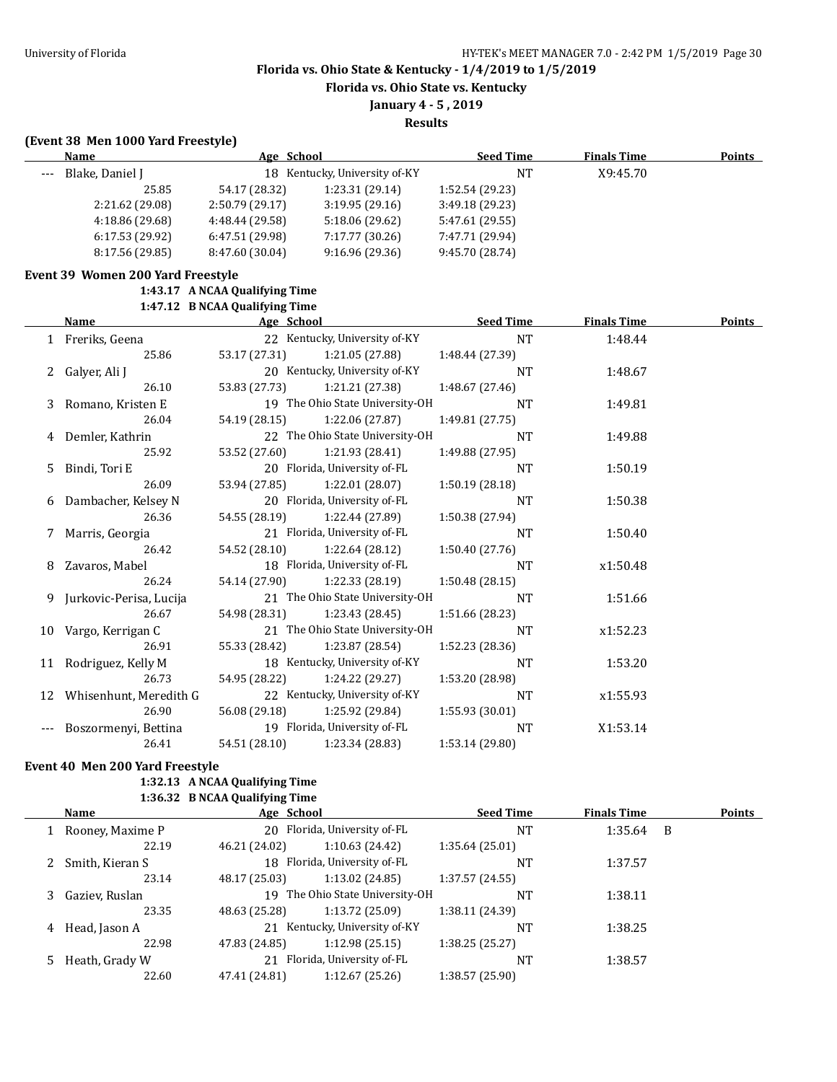**Florida vs. Ohio State vs. Kentucky**

**January 4 - 5 , 2019**

**Results**

## **(Event 38 Men 1000 Yard Freestyle)**

|    | Name                              | Age School                     |                                 | <b>Seed Time</b> | <b>Finals Time</b> | Points |
|----|-----------------------------------|--------------------------------|---------------------------------|------------------|--------------------|--------|
|    | Blake, Daniel J                   |                                | 18 Kentucky, University of-KY   | $\rm{NT}$        | X9:45.70           |        |
|    | 25.85                             | 54.17 (28.32)                  | 1:23.31 (29.14)                 | 1:52.54 (29.23)  |                    |        |
|    | 2:21.62 (29.08)                   | 2:50.79 (29.17)                | 3:19.95 (29.16)                 | 3:49.18 (29.23)  |                    |        |
|    | 4:18.86 (29.68)                   | 4:48.44 (29.58)                | 5:18.06 (29.62)                 | 5:47.61 (29.55)  |                    |        |
|    | 6:17.53 (29.92)                   | 6:47.51 (29.98)                | 7:17.77 (30.26)                 | 7:47.71 (29.94)  |                    |        |
|    | 8:17.56 (29.85)                   | 8:47.60 (30.04)                | 9:16.96 (29.36)                 | 9:45.70 (28.74)  |                    |        |
|    | Event 39 Women 200 Yard Freestyle |                                |                                 |                  |                    |        |
|    |                                   | 1:43.17 A NCAA Qualifying Time |                                 |                  |                    |        |
|    |                                   | 1:47.12 B NCAA Qualifying Time |                                 |                  |                    |        |
|    | Name                              | Age School                     |                                 | <b>Seed Time</b> | <b>Finals Time</b> | Points |
|    | 1 Freriks, Geena                  |                                | 22 Kentucky, University of-KY   | <b>NT</b>        | 1:48.44            |        |
|    | 25.86                             | 53.17 (27.31)                  | 1:21.05 (27.88)                 | 1:48.44 (27.39)  |                    |        |
| 2  | Galyer, Ali J                     |                                | 20 Kentucky, University of-KY   | NT               | 1:48.67            |        |
|    | 26.10                             | 53.83 (27.73)                  | 1:21.21 (27.38)                 | 1:48.67 (27.46)  |                    |        |
| 3  | Romano, Kristen E                 |                                | 19 The Ohio State University-OH | <b>NT</b>        | 1:49.81            |        |
|    | 26.04                             | 54.19 (28.15)                  | 1:22.06 (27.87)                 | 1:49.81 (27.75)  |                    |        |
| 4  | Demler, Kathrin                   |                                | 22 The Ohio State University-OH | <b>NT</b>        | 1:49.88            |        |
|    | 25.92                             | 53.52 (27.60)                  | 1:21.93 (28.41)                 | 1:49.88 (27.95)  |                    |        |
| 5  | Bindi, Tori E                     |                                | 20 Florida, University of-FL    | <b>NT</b>        | 1:50.19            |        |
|    | 26.09                             | 53.94 (27.85)                  | 1:22.01 (28.07)                 | 1:50.19(28.18)   |                    |        |
| 6  | Dambacher, Kelsey N               |                                | 20 Florida, University of-FL    | <b>NT</b>        | 1:50.38            |        |
|    | 26.36                             | 54.55 (28.19)                  | 1:22.44 (27.89)                 | 1:50.38 (27.94)  |                    |        |
| 7  | Marris, Georgia                   |                                | 21 Florida, University of-FL    | <b>NT</b>        | 1:50.40            |        |
|    | 26.42                             | 54.52 (28.10)                  | 1:22.64 (28.12)                 | 1:50.40 (27.76)  |                    |        |
| 8  | Zavaros, Mabel                    |                                | 18 Florida, University of-FL    | <b>NT</b>        | x1:50.48           |        |
|    | 26.24                             | 54.14 (27.90)                  | 1:22.33 (28.19)                 | 1:50.48(28.15)   |                    |        |
| 9  | Jurkovic-Perisa, Lucija           |                                | 21 The Ohio State University-OH | <b>NT</b>        | 1:51.66            |        |
|    | 26.67                             | 54.98 (28.31)                  | 1:23.43 (28.45)                 | 1:51.66 (28.23)  |                    |        |
| 10 | Vargo, Kerrigan C                 |                                | 21 The Ohio State University-OH | <b>NT</b>        | x1:52.23           |        |
|    | 26.91                             | 55.33 (28.42)                  | 1:23.87 (28.54)                 | 1:52.23 (28.36)  |                    |        |
| 11 | Rodriguez, Kelly M                |                                | 18 Kentucky, University of-KY   | <b>NT</b>        | 1:53.20            |        |
|    | 26.73                             | 54.95 (28.22)                  | 1:24.22 (29.27)                 | 1:53.20 (28.98)  |                    |        |
|    | 12 Whisenhunt, Meredith G         |                                | 22 Kentucky, University of-KY   | <b>NT</b>        | x1:55.93           |        |
|    | 26.90                             | 56.08 (29.18)                  | 1:25.92 (29.84)                 | 1:55.93 (30.01)  |                    |        |
|    | Boszormenyi, Bettina              |                                | 19 Florida, University of-FL    | NT               | X1:53.14           |        |
|    | 26.41                             | 54.51 (28.10)                  | 1:23.34 (28.83)                 | 1:53.14 (29.80)  |                    |        |

## **Event 40 Men 200 Yard Freestyle**

### **1:32.13 A NCAA Qualifying Time 1:36.32 B NCAA Qualifying Time**

|   | Name                                              | Age School    |                              | <b>Seed Time</b> | <b>Finals Time</b> |   | <b>Points</b> |
|---|---------------------------------------------------|---------------|------------------------------|------------------|--------------------|---|---------------|
|   | Rooney, Maxime P                                  |               | 20 Florida, University of-FL | <b>NT</b>        | 1:35.64            | B |               |
|   | 22.19                                             | 46.21 (24.02) | 1:10.63(24.42)               | 1:35.64(25.01)   |                    |   |               |
|   | Smith, Kieran S                                   |               | 18 Florida, University of-FL | <b>NT</b>        | 1:37.57            |   |               |
|   | 23.14                                             | 48.17 (25.03) | 1:13.02 (24.85)              | 1:37.57(24.55)   |                    |   |               |
|   | Gaziev, Ruslan                                    | 19            | The Ohio State University-OH | NT               | 1:38.11            |   |               |
|   | 23.35                                             | 48.63 (25.28) | 1:13.72 (25.09)              | 1:38.11 (24.39)  |                    |   |               |
| 4 | Head, Jason A                                     | 21            | Kentucky, University of-KY   | NT               | 1:38.25            |   |               |
|   | 22.98                                             | 47.83 (24.85) | 1:12.98 (25.15)              | 1:38.25(25.27)   |                    |   |               |
|   | Florida, University of-FL<br>21<br>Heath, Grady W |               | <b>NT</b>                    | 1:38.57          |                    |   |               |
|   | 22.60                                             | 47.41 (24.81) | 1:12.67 (25.26)              | 1:38.57 (25.90)  |                    |   |               |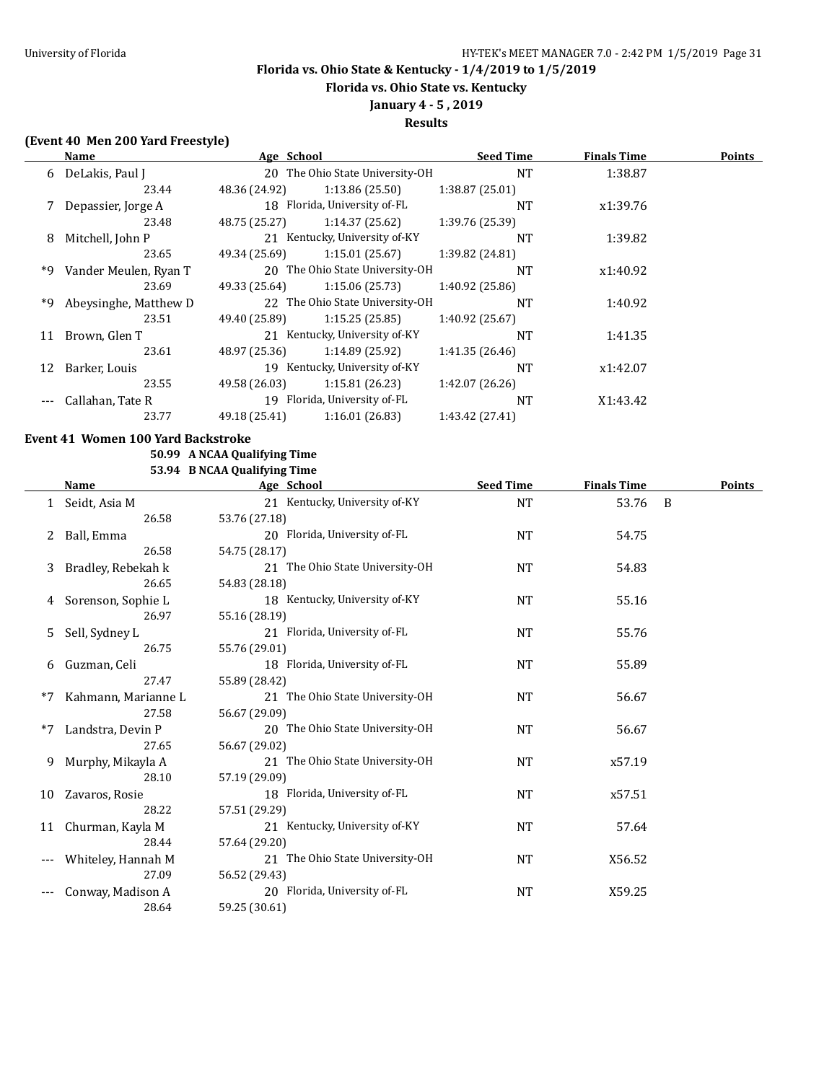**Florida vs. Ohio State vs. Kentucky**

# **January 4 - 5 , 2019**

## **Results**

## **(Event 40 Men 200 Yard Freestyle)**

|    | Name                  |               | Age School                      | <b>Seed Time</b> | <b>Finals Time</b> | <b>Points</b> |
|----|-----------------------|---------------|---------------------------------|------------------|--------------------|---------------|
|    | 6 DeLakis, Paul J     |               | 20 The Ohio State University-OH | <b>NT</b>        | 1:38.87            |               |
|    | 23.44                 | 48.36 (24.92) | 1:13.86(25.50)                  | 1:38.87(25.01)   |                    |               |
|    | Depassier, Jorge A    |               | 18 Florida, University of-FL    | <b>NT</b>        | x1:39.76           |               |
|    | 23.48                 | 48.75 (25.27) | 1:14.37(25.62)                  | 1:39.76 (25.39)  |                    |               |
| 8  | Mitchell, John P      |               | 21 Kentucky, University of-KY   | <b>NT</b>        | 1:39.82            |               |
|    | 23.65                 | 49.34 (25.69) | 1:15.01(25.67)                  | 1:39.82 (24.81)  |                    |               |
| *9 | Vander Meulen, Ryan T |               | 20 The Ohio State University-OH | <b>NT</b>        | x1:40.92           |               |
|    | 23.69                 | 49.33 (25.64) | 1:15.06(25.73)                  | 1:40.92 (25.86)  |                    |               |
| *9 | Abeysinghe, Matthew D |               | 22 The Ohio State University-OH | <b>NT</b>        | 1:40.92            |               |
|    | 23.51                 | 49.40 (25.89) | 1:15.25(25.85)                  | 1:40.92 (25.67)  |                    |               |
| 11 | Brown, Glen T         |               | 21 Kentucky, University of-KY   | <b>NT</b>        | 1:41.35            |               |
|    | 23.61                 | 48.97 (25.36) | 1:14.89(25.92)                  | 1:41.35(26.46)   |                    |               |
| 12 | Barker, Louis         |               | 19 Kentucky, University of-KY   | <b>NT</b>        | x1:42.07           |               |
|    | 23.55                 | 49.58 (26.03) | 1:15.81 (26.23)                 | 1:42.07 (26.26)  |                    |               |
|    | Callahan, Tate R      |               | 19 Florida, University of-FL    | <b>NT</b>        | X1:43.42           |               |
|    | 23.77                 | 49.18 (25.41) | 1:16.01(26.83)                  | 1:43.42 (27.41)  |                    |               |

### **Event 41 Women 100 Yard Backstroke**

#### **50.99 A NCAA Qualifying Time 53.94 B NCAA Qualifying Time**

|    |                     | $\frac{1}{2}$ b $\frac{1}{2}$ b $\frac{1}{2}$ can be expected to $\frac{1}{2}$ |                  |                    |        |  |  |
|----|---------------------|--------------------------------------------------------------------------------|------------------|--------------------|--------|--|--|
|    | Name                | Age School                                                                     | <b>Seed Time</b> | <b>Finals Time</b> | Points |  |  |
|    | 1 Seidt, Asia M     | 21 Kentucky, University of-KY                                                  | NT               | 53.76              | B      |  |  |
|    | 26.58               | 53.76 (27.18)                                                                  |                  |                    |        |  |  |
| 2  | Ball, Emma          | 20 Florida, University of-FL                                                   | <b>NT</b>        | 54.75              |        |  |  |
|    | 26.58               | 54.75 (28.17)                                                                  |                  |                    |        |  |  |
| 3  | Bradley, Rebekah k  | 21 The Ohio State University-OH                                                | <b>NT</b>        | 54.83              |        |  |  |
|    | 26.65               | 54.83 (28.18)                                                                  |                  |                    |        |  |  |
| 4  | Sorenson, Sophie L  | 18 Kentucky, University of-KY                                                  | NT               | 55.16              |        |  |  |
|    | 26.97               | 55.16 (28.19)                                                                  |                  |                    |        |  |  |
| 5  | Sell, Sydney L      | 21 Florida, University of-FL                                                   | NT               | 55.76              |        |  |  |
|    | 26.75               | 55.76 (29.01)                                                                  |                  |                    |        |  |  |
| 6  | Guzman, Celi        | 18 Florida, University of-FL                                                   | <b>NT</b>        | 55.89              |        |  |  |
|    | 27.47               | 55.89 (28.42)                                                                  |                  |                    |        |  |  |
| *7 | Kahmann, Marianne L | 21 The Ohio State University-OH                                                | <b>NT</b>        | 56.67              |        |  |  |
|    | 27.58               | 56.67 (29.09)                                                                  |                  |                    |        |  |  |
| *7 | Landstra, Devin P   | 20 The Ohio State University-OH                                                | <b>NT</b>        | 56.67              |        |  |  |
|    | 27.65               | 56.67 (29.02)                                                                  |                  |                    |        |  |  |
| 9  | Murphy, Mikayla A   | 21 The Ohio State University-OH                                                | <b>NT</b>        | x57.19             |        |  |  |
|    | 28.10               | 57.19 (29.09)                                                                  |                  |                    |        |  |  |
| 10 | Zavaros, Rosie      | 18 Florida, University of-FL                                                   | <b>NT</b>        | x57.51             |        |  |  |
|    | 28.22               | 57.51 (29.29)                                                                  |                  |                    |        |  |  |
| 11 | Churman, Kayla M    | 21 Kentucky, University of-KY                                                  | <b>NT</b>        | 57.64              |        |  |  |
|    | 28.44               | 57.64 (29.20)                                                                  |                  |                    |        |  |  |
|    | Whiteley, Hannah M  | 21 The Ohio State University-OH                                                | <b>NT</b>        | X56.52             |        |  |  |
|    | 27.09               | 56.52 (29.43)                                                                  |                  |                    |        |  |  |
|    | Conway, Madison A   | 20 Florida, University of-FL                                                   | <b>NT</b>        | X59.25             |        |  |  |
|    | 28.64               | 59.25 (30.61)                                                                  |                  |                    |        |  |  |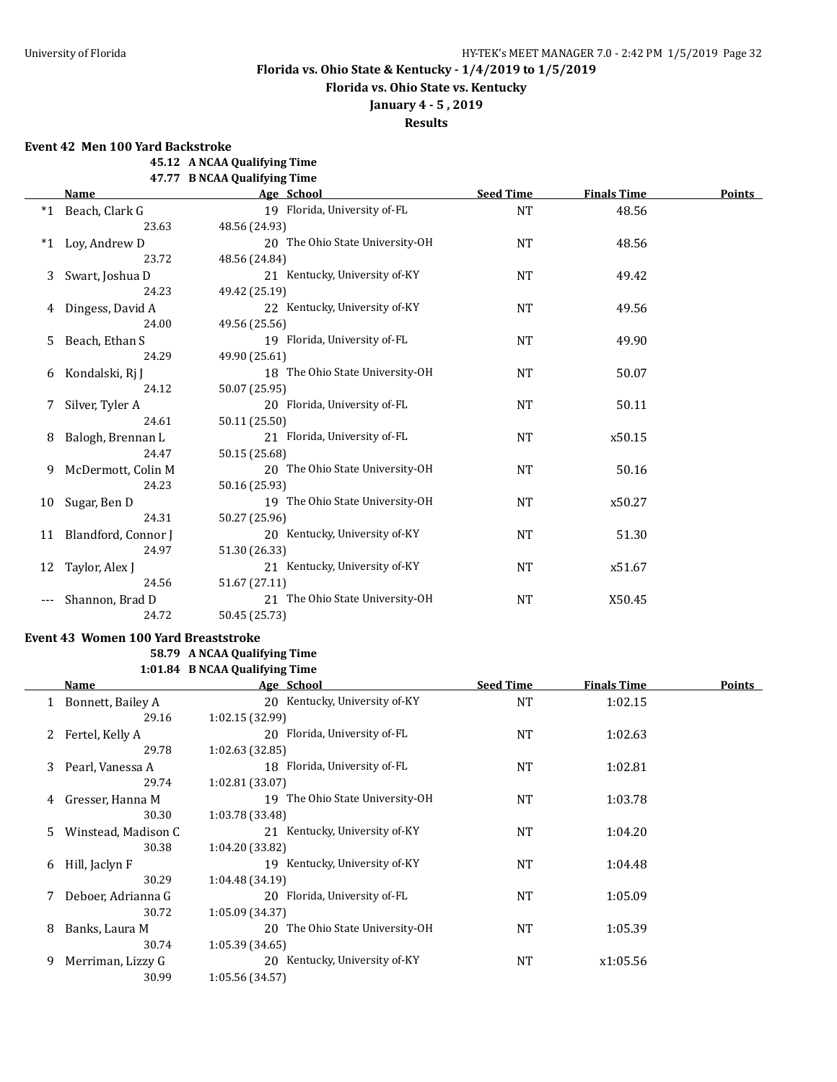**Florida vs. Ohio State vs. Kentucky**

## **January 4 - 5 , 2019**

**Results**

**Event 42 Men 100 Yard Backstroke**

**45.12 A NCAA Qualifying Time**

**47.77 B NCAA Qualifying Time**

|         | <b>Name</b>         | Age School                      | <b>Seed Time</b> | <b>Finals Time</b> | <b>Points</b> |
|---------|---------------------|---------------------------------|------------------|--------------------|---------------|
| $*1$    | Beach, Clark G      | 19 Florida, University of-FL    | <b>NT</b>        | 48.56              |               |
|         | 23.63               | 48.56 (24.93)                   |                  |                    |               |
| $*_{1}$ | Loy, Andrew D       | 20 The Ohio State University-OH | <b>NT</b>        | 48.56              |               |
|         | 23.72               | 48.56 (24.84)                   |                  |                    |               |
| 3       | Swart, Joshua D     | 21 Kentucky, University of-KY   | <b>NT</b>        | 49.42              |               |
|         | 24.23               | 49.42 (25.19)                   |                  |                    |               |
|         | Dingess, David A    | 22 Kentucky, University of-KY   | <b>NT</b>        | 49.56              |               |
|         | 24.00               | 49.56 (25.56)                   |                  |                    |               |
| 5.      | Beach, Ethan S      | 19 Florida, University of-FL    | <b>NT</b>        | 49.90              |               |
|         | 24.29               | 49.90 (25.61)                   |                  |                    |               |
| 6       | Kondalski, Rj J     | 18 The Ohio State University-OH | <b>NT</b>        | 50.07              |               |
|         | 24.12               | 50.07 (25.95)                   |                  |                    |               |
|         | Silver, Tyler A     | 20 Florida, University of-FL    | <b>NT</b>        | 50.11              |               |
|         | 24.61               | 50.11 (25.50)                   |                  |                    |               |
| 8       | Balogh, Brennan L   | 21 Florida, University of-FL    | <b>NT</b>        | x50.15             |               |
|         | 24.47               | 50.15 (25.68)                   |                  |                    |               |
| 9.      | McDermott, Colin M  | 20 The Ohio State University-OH | <b>NT</b>        | 50.16              |               |
|         | 24.23               | 50.16 (25.93)                   |                  |                    |               |
| 10      | Sugar, Ben D        | 19 The Ohio State University-OH | <b>NT</b>        | x50.27             |               |
|         | 24.31               | 50.27 (25.96)                   |                  |                    |               |
| 11      | Blandford, Connor J | 20 Kentucky, University of-KY   | <b>NT</b>        | 51.30              |               |
|         | 24.97               | 51.30 (26.33)                   |                  |                    |               |
| 12      | Taylor, Alex J      | 21 Kentucky, University of-KY   | <b>NT</b>        | x51.67             |               |
|         | 24.56               | 51.67 (27.11)                   |                  |                    |               |
|         | Shannon, Brad D     | 21 The Ohio State University-OH | <b>NT</b>        | X50.45             |               |
|         | 24.72               | 50.45 (25.73)                   |                  |                    |               |

## **Event 43 Women 100 Yard Breaststroke**

### **58.79 A NCAA Qualifying Time 1:01.84 B NCAA Qualifying Time**

**Name Age School Seed Time Finals Time Points** 1 Bonnett, Bailey A 20 Kentucky, University of-KY NT 1:02.15 29.16 1:02.15 (32.99) 2 Fertel, Kelly A 20 Florida, University of-FL NT 1:02.63 29.78 1:02.63 (32.85) 3 Pearl, Vanessa A 18 Florida, University of-FL NT 1:02.81 29.74 1:02.81 (33.07) 4 Gresser, Hanna M 19 The Ohio State University-OH NT 1:03.78 30.30 1:03.78 (33.48) 5 Winstead, Madison C 21 Kentucky, University of-KY NT 1:04.20 30.38 1:04.20 (33.82) 6 Hill, Jaclyn F 1:04.48 30.29 1:04.48 (34.19) 7 Deboer, Adrianna G 20 Florida, University of-FL NT NT 1:05.09 30.72 1:05.09 (34.37) 8 Banks, Laura M 20 The Ohio State University-OH NT 1:05.39 30.74 1:05.39 (34.65) 9 Merriman, Lizzy G 20 Kentucky, University of-KY NT x1:05.56 30.99 1:05.56 (34.57)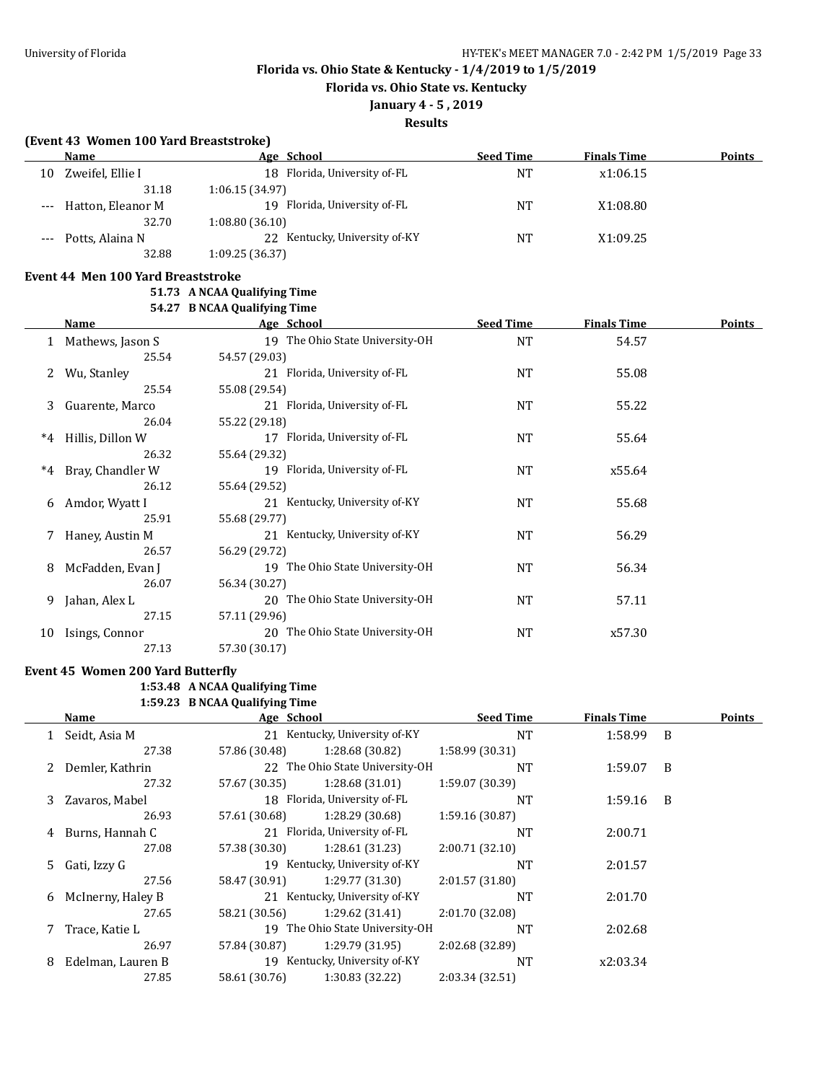**Florida vs. Ohio State vs. Kentucky**

## **January 4 - 5 , 2019**

**Results**

|       | (Event 43 Women 100 Yard Breaststroke) |                                 |                  |                    |        |
|-------|----------------------------------------|---------------------------------|------------------|--------------------|--------|
|       | Name                                   | Age School                      | <b>Seed Time</b> | <b>Finals Time</b> | Points |
|       | 10 Zweifel, Ellie I                    | 18 Florida, University of-FL    | <b>NT</b>        | x1:06.15           |        |
|       | 31.18                                  | 1:06.15(34.97)                  |                  |                    |        |
| $---$ | Hatton, Eleanor M                      | 19 Florida, University of-FL    | <b>NT</b>        | X1:08.80           |        |
|       | 32.70                                  | 1:08.80(36.10)                  |                  |                    |        |
|       | Potts, Alaina N                        | 22 Kentucky, University of-KY   | <b>NT</b>        | X1:09.25           |        |
|       | 32.88                                  | 1:09.25 (36.37)                 |                  |                    |        |
|       | Event 44 Men 100 Yard Breaststroke     |                                 |                  |                    |        |
|       |                                        | 51.73 A NCAA Qualifying Time    |                  |                    |        |
|       |                                        | 54.27 B NCAA Qualifying Time    |                  |                    |        |
|       | Name                                   | Age School                      | <b>Seed Time</b> | <b>Finals Time</b> | Points |
|       | 1 Mathews, Jason S                     | 19 The Ohio State University-OH | <b>NT</b>        | 54.57              |        |
|       | 25.54                                  | 54.57 (29.03)                   |                  |                    |        |
|       | Wu, Stanley                            | 21 Florida, University of-FL    | <b>NT</b>        | 55.08              |        |
|       | 25.54                                  | 55.08 (29.54)                   |                  |                    |        |
| 3     | Guarente, Marco                        | 21 Florida, University of-FL    | <b>NT</b>        | 55.22              |        |
|       | 26.04                                  | 55.22 (29.18)                   |                  |                    |        |
| $*4$  | Hillis, Dillon W                       | 17 Florida, University of-FL    | <b>NT</b>        | 55.64              |        |
|       | 26.32                                  | 55.64 (29.32)                   |                  |                    |        |
| $*4$  | Bray, Chandler W                       | 19 Florida, University of-FL    | <b>NT</b>        | x55.64             |        |
|       | 26.12                                  | 55.64 (29.52)                   |                  |                    |        |
|       | Amdor, Wyatt I                         | 21 Kentucky, University of-KY   | <b>NT</b>        | 55.68              |        |
|       | 25.91                                  | 55.68 (29.77)                   |                  |                    |        |
|       | Haney, Austin M                        | 21 Kentucky, University of-KY   | <b>NT</b>        | 56.29              |        |
|       | 26.57                                  | 56.29 (29.72)                   |                  |                    |        |
| 8     | McFadden, Evan J                       | 19 The Ohio State University-OH | <b>NT</b>        | 56.34              |        |
|       | 26.07                                  | 56.34 (30.27)                   |                  |                    |        |
| 9     | Jahan, Alex L                          | 20 The Ohio State University-OH | <b>NT</b>        | 57.11              |        |
|       | 27.15                                  | 57.11 (29.96)                   |                  |                    |        |
| 10    | Isings, Connor                         | 20 The Ohio State University-OH | <b>NT</b>        | x57.30             |        |
|       | 27.13                                  | 57.30 (30.17)                   |                  |                    |        |

## **Event 45 Women 200 Yard Butterfly**

## **1:53.48 A NCAA Qualifying Time**

**1:59.23 B NCAA Qualifying Time**

| Name |                   | Age School    |                                 | <b>Seed Time</b> | <b>Finals Time</b> |   | <b>Points</b> |  |
|------|-------------------|---------------|---------------------------------|------------------|--------------------|---|---------------|--|
|      | Seidt, Asia M     |               | 21 Kentucky, University of-KY   | <b>NT</b>        | 1:58.99 B          |   |               |  |
|      | 27.38             | 57.86 (30.48) | 1:28.68 (30.82)                 | 1:58.99(30.31)   |                    |   |               |  |
|      | 2 Demler, Kathrin |               | 22 The Ohio State University-OH | <b>NT</b>        | 1:59.07            | B |               |  |
|      | 27.32             | 57.67 (30.35) | 1:28.68(31.01)                  | 1:59.07 (30.39)  |                    |   |               |  |
| 3    | Zavaros, Mabel    |               | 18 Florida, University of-FL    | <b>NT</b>        | 1:59.16            | B |               |  |
|      | 26.93             | 57.61 (30.68) | 1:28.29 (30.68)                 | 1:59.16 (30.87)  |                    |   |               |  |
| 4    | Burns, Hannah C   |               | 21 Florida, University of-FL    | <b>NT</b>        | 2:00.71            |   |               |  |
|      | 27.08             | 57.38 (30.30) | 1:28.61(31.23)                  | 2:00.71(32.10)   |                    |   |               |  |
|      | 5 Gati, Izzy G    |               | 19 Kentucky, University of-KY   | <b>NT</b>        | 2:01.57            |   |               |  |
|      | 27.56             | 58.47 (30.91) | 1:29.77 (31.30)                 | 2:01.57 (31.80)  |                    |   |               |  |
| 6    | McInerny, Haley B |               | 21 Kentucky, University of-KY   | <b>NT</b>        | 2:01.70            |   |               |  |
|      | 27.65             | 58.21 (30.56) | 1:29.62 (31.41)                 | 2:01.70 (32.08)  |                    |   |               |  |
|      | Trace, Katie L    |               | 19 The Ohio State University-OH | <b>NT</b>        | 2:02.68            |   |               |  |
|      | 26.97             | 57.84 (30.87) | 1:29.79 (31.95)                 | 2:02.68 (32.89)  |                    |   |               |  |
| 8    | Edelman, Lauren B |               | 19 Kentucky, University of-KY   | <b>NT</b>        | x2:03.34           |   |               |  |
|      | 27.85             | 58.61 (30.76) | 1:30.83 (32.22)                 | 2:03.34 (32.51)  |                    |   |               |  |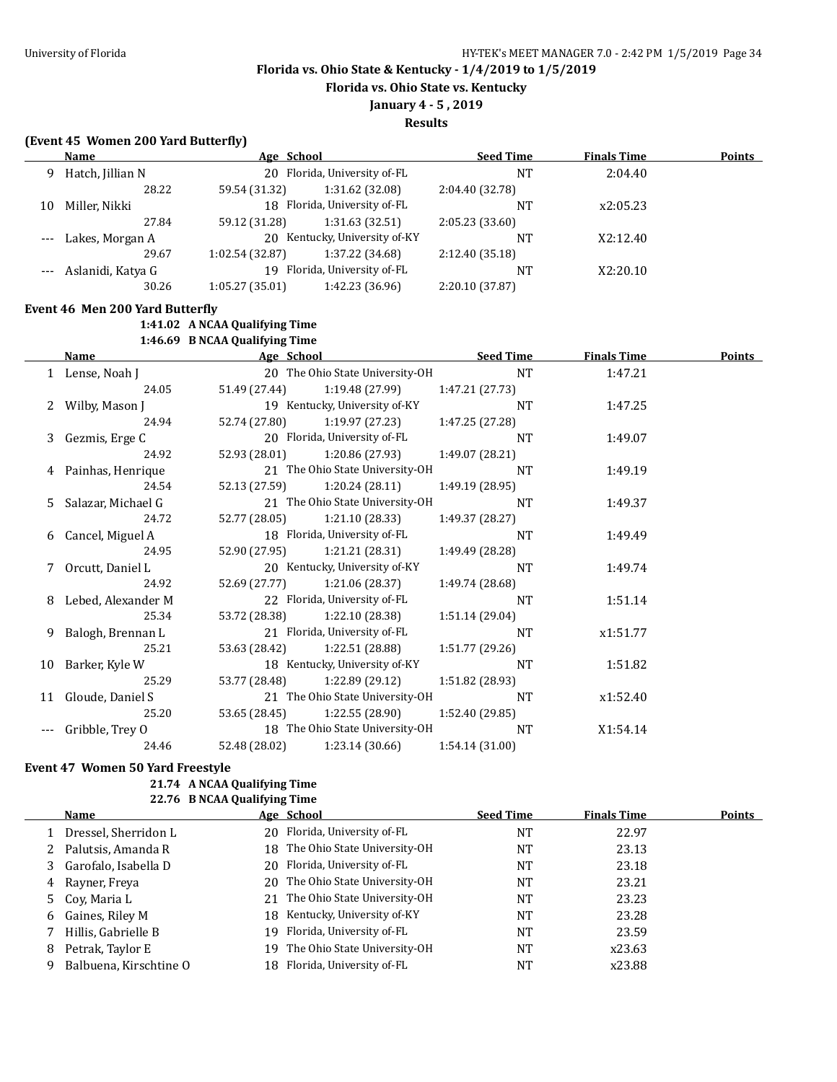**Florida vs. Ohio State vs. Kentucky**

## **January 4 - 5 , 2019**

**Results**

## **(Event 45 Women 200 Yard Butterfly)**

|       | Name                            | Age School                     |                                 | <b>Seed Time</b> | <b>Finals Time</b> | Points |
|-------|---------------------------------|--------------------------------|---------------------------------|------------------|--------------------|--------|
|       | 9 Hatch, Jillian N              | 20 Florida, University of-FL   |                                 | <b>NT</b>        | 2:04.40            |        |
|       | 28.22                           | 59.54 (31.32)                  | 1:31.62 (32.08)                 | 2:04.40 (32.78)  |                    |        |
| 10    | Miller, Nikki                   | 18 Florida, University of-FL   |                                 | <b>NT</b>        | x2:05.23           |        |
|       | 27.84                           | 59.12 (31.28)                  | 1:31.63 (32.51)                 | 2:05.23 (33.60)  |                    |        |
|       | Lakes, Morgan A                 |                                | 20 Kentucky, University of-KY   | <b>NT</b>        | X2:12.40           |        |
|       | 29.67                           | 1:02.54 (32.87)                | 1:37.22 (34.68)                 | 2:12.40 (35.18)  |                    |        |
|       | Aslanidi, Katya G               | 19 Florida, University of-FL   |                                 | <b>NT</b>        | X2:20.10           |        |
|       | 30.26                           | 1:05.27(35.01)                 | 1:42.23 (36.96)                 | 2:20.10 (37.87)  |                    |        |
|       | Event 46 Men 200 Yard Butterfly |                                |                                 |                  |                    |        |
|       |                                 | 1:41.02 A NCAA Qualifying Time |                                 |                  |                    |        |
|       |                                 | 1:46.69 B NCAA Qualifying Time |                                 |                  |                    |        |
|       | <b>Name</b>                     | Age School                     |                                 | <b>Seed Time</b> | <b>Finals Time</b> | Points |
|       | 1 Lense, Noah J                 |                                | 20 The Ohio State University-OH | <b>NT</b>        | 1:47.21            |        |
|       | 24.05                           | 51.49 (27.44)                  | 1:19.48 (27.99)                 | 1:47.21 (27.73)  |                    |        |
| 2     | Wilby, Mason J                  |                                | 19 Kentucky, University of-KY   | <b>NT</b>        | 1:47.25            |        |
|       | 24.94                           | 52.74 (27.80)                  | 1:19.97 (27.23)                 | 1:47.25 (27.28)  |                    |        |
| 3     | Gezmis, Erge C                  | 20 Florida, University of-FL   |                                 | <b>NT</b>        | 1:49.07            |        |
|       | 24.92                           | 52.93 (28.01)                  | 1:20.86 (27.93)                 | 1:49.07 (28.21)  |                    |        |
|       | 4 Painhas, Henrique             |                                | 21 The Ohio State University-OH | <b>NT</b>        | 1:49.19            |        |
|       | 24.54                           | 52.13 (27.59)                  | 1:20.24(28.11)                  | 1:49.19 (28.95)  |                    |        |
| 5     | Salazar, Michael G              |                                | 21 The Ohio State University-OH | <b>NT</b>        | 1:49.37            |        |
|       | 24.72                           | 52.77 (28.05)                  | 1:21.10 (28.33)                 | 1:49.37 (28.27)  |                    |        |
| 6     | Cancel, Miguel A                | 18 Florida, University of-FL   |                                 | <b>NT</b>        | 1:49.49            |        |
|       | 24.95                           | 52.90 (27.95)                  | 1:21.21 (28.31)                 | 1:49.49 (28.28)  |                    |        |
| 7     | Orcutt, Daniel L                |                                | 20 Kentucky, University of-KY   | <b>NT</b>        | 1:49.74            |        |
|       | 24.92                           | 52.69 (27.77)                  | 1:21.06 (28.37)                 | 1:49.74 (28.68)  |                    |        |
| 8     | Lebed, Alexander M              | 22 Florida, University of-FL   |                                 | <b>NT</b>        | 1:51.14            |        |
|       | 25.34                           | 53.72 (28.38)                  | 1:22.10 (28.38)                 | 1:51.14 (29.04)  |                    |        |
| 9     | Balogh, Brennan L               | 21 Florida, University of-FL   |                                 | <b>NT</b>        | x1:51.77           |        |
|       | 25.21                           | 53.63 (28.42)                  | 1:22.51 (28.88)                 | 1:51.77 (29.26)  |                    |        |
|       | 10 Barker, Kyle W               |                                | 18 Kentucky, University of-KY   | <b>NT</b>        | 1:51.82            |        |
|       | 25.29                           | 53.77 (28.48)                  | 1:22.89 (29.12)                 | 1:51.82 (28.93)  |                    |        |
| 11    | Gloude, Daniel S                |                                | 21 The Ohio State University-OH | <b>NT</b>        | x1:52.40           |        |
|       | 25.20                           | 53.65 (28.45)                  | 1:22.55 (28.90)                 | 1:52.40 (29.85)  |                    |        |
| $---$ | Gribble, Trey O                 |                                | 18 The Ohio State University-OH | <b>NT</b>        | X1:54.14           |        |
|       | 24.46                           | 52.48 (28.02)                  | 1:23.14 (30.66)                 | 1:54.14 (31.00)  |                    |        |

### **Event 47 Women 50 Yard Freestyle**

#### **21.74 A NCAA Qualifying Time 22.76 B NCAA Qualifying Time**

|   | Name                   |     | Age School                      | <b>Seed Time</b> | <b>Finals Time</b> | <b>Points</b> |
|---|------------------------|-----|---------------------------------|------------------|--------------------|---------------|
|   | 1 Dressel, Sherridon L |     | 20 Florida, University of-FL    | NT               | 22.97              |               |
|   | 2 Palutsis, Amanda R   |     | 18 The Ohio State University-OH | NT               | 23.13              |               |
|   | 3 Garofalo, Isabella D |     | 20 Florida, University of-FL    | NT               | 23.18              |               |
| 4 | Rayner, Freya          |     | 20 The Ohio State University-OH | NΤ               | 23.21              |               |
|   | 5 Cov, Maria L         |     | 21 The Ohio State University-OH | NT               | 23.23              |               |
| 6 | Gaines, Riley M        |     | 18 Kentucky, University of-KY   | NT               | 23.28              |               |
|   | Hillis, Gabrielle B    |     | 19 Florida, University of-FL    | NT               | 23.59              |               |
| 8 | Petrak, Taylor E       | 19. | The Ohio State University-OH    | NT               | x23.63             |               |
|   | Balbuena, Kirschtine O |     | 18 Florida, University of-FL    | NT               | x23.88             |               |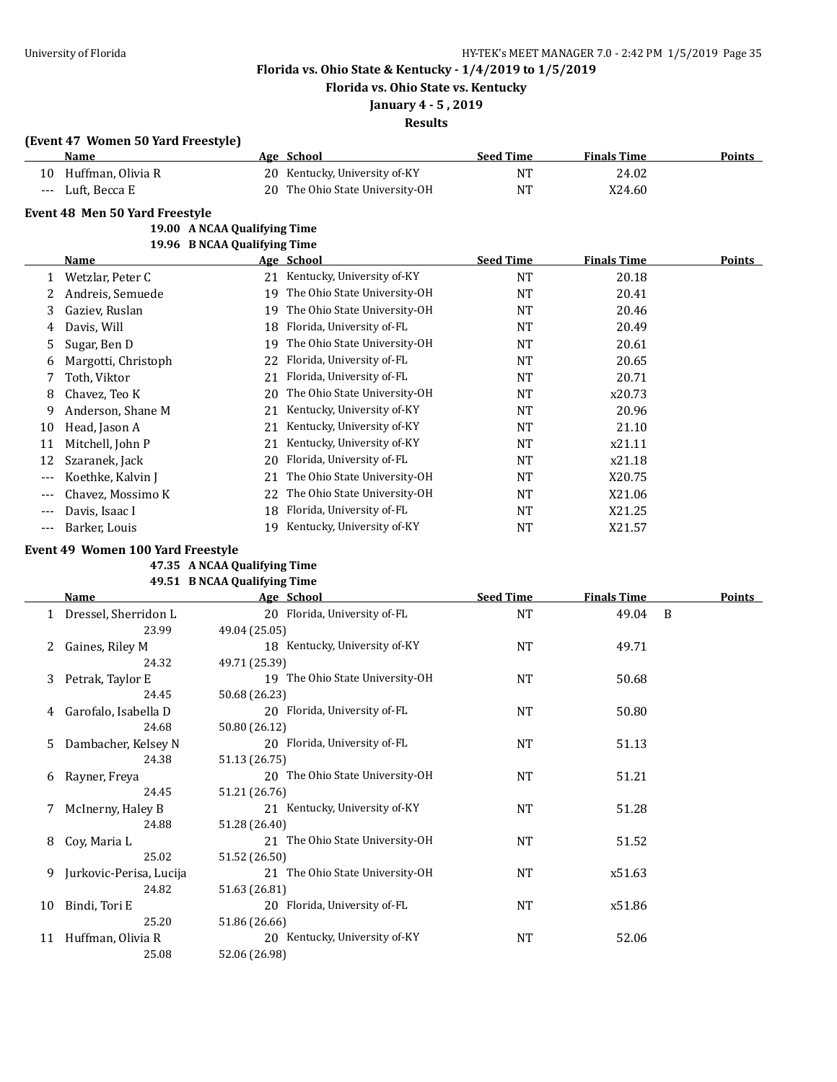**Florida vs. Ohio State vs. Kentucky**

# **January 4 - 5 , 2019**

## **Results**

## **(Event 47 Women 50 Yard Freestyle)**

|    | Name              | Age School                      | Seed Time | <b>Finals Time</b> | <b>Points</b> |
|----|-------------------|---------------------------------|-----------|--------------------|---------------|
| 10 | Huffman, Olivia R | 20 Kentucky, University of-KY   | <b>NT</b> | 24.02              |               |
|    | --- Luft. Becca E | 20 The Ohio State University-OH | <b>NT</b> | X24.60             |               |

#### **Event 48 Men 50 Yard Freestyle**

#### **19.00 A NCAA Qualifying Time 19.96 B NCAA Qualifying Time**

|       |                     | 19.90 B NGAA Qualitying Thine |                              |                  |                    |               |
|-------|---------------------|-------------------------------|------------------------------|------------------|--------------------|---------------|
|       | Name                |                               | Age School                   | <b>Seed Time</b> | <b>Finals Time</b> | <b>Points</b> |
|       | Wetzlar, Peter C    | 21                            | Kentucky, University of-KY   | NT               | 20.18              |               |
|       | Andreis, Semuede    | 19                            | The Ohio State University-OH | <b>NT</b>        | 20.41              |               |
| 3     | Gaziev, Ruslan      | 19                            | The Ohio State University-OH | NT               | 20.46              |               |
| 4     | Davis, Will         | 18                            | Florida, University of-FL    | <b>NT</b>        | 20.49              |               |
| 5.    | Sugar, Ben D        | 19                            | The Ohio State University-OH | NT               | 20.61              |               |
| 6     | Margotti, Christoph | 22                            | Florida, University of-FL    | NT               | 20.65              |               |
|       | Toth, Viktor        | 21                            | Florida, University of-FL    | NT               | 20.71              |               |
| 8     | Chavez, Teo K       | 20                            | The Ohio State University-OH | NT               | x20.73             |               |
| 9     | Anderson, Shane M   | 21                            | Kentucky, University of-KY   | NT               | 20.96              |               |
| 10    | Head, Jason A       | 21                            | Kentucky, University of-KY   | NT               | 21.10              |               |
| 11    | Mitchell, John P    | 21                            | Kentucky, University of-KY   | NT               | x21.11             |               |
| 12    | Szaranek, Jack      | 20                            | Florida, University of-FL    | NT               | x21.18             |               |
| $---$ | Koethke, Kalvin J   | 21                            | The Ohio State University-OH | <b>NT</b>        | X20.75             |               |
| $---$ | Chavez, Mossimo K   | 22                            | The Ohio State University-OH | NT               | X21.06             |               |
| $---$ | Davis, Isaac I      | 18                            | Florida, University of-FL    | NT               | X21.25             |               |
| $---$ | Barker, Louis       | 19                            | Kentucky, University of-KY   | NT               | X21.57             |               |

## **Event 49 Women 100 Yard Freestyle**

### **47.35 A NCAA Qualifying Time 49.51 B NCAA Qualifying Time**

|    | Name                    | Age School                      | <b>Seed Time</b> | <b>Finals Time</b> | Points       |
|----|-------------------------|---------------------------------|------------------|--------------------|--------------|
|    | Dressel, Sherridon L    | 20 Florida, University of-FL    | <b>NT</b>        | 49.04              | <sup>B</sup> |
|    | 23.99                   | 49.04 (25.05)                   |                  |                    |              |
|    | Gaines, Riley M         | 18 Kentucky, University of-KY   | NT               | 49.71              |              |
|    | 24.32                   | 49.71 (25.39)                   |                  |                    |              |
| 3  | Petrak, Taylor E        | 19 The Ohio State University-OH | <b>NT</b>        | 50.68              |              |
|    | 24.45                   | 50.68 (26.23)                   |                  |                    |              |
| 4  | Garofalo, Isabella D    | 20 Florida, University of-FL    | <b>NT</b>        | 50.80              |              |
|    | 24.68                   | 50.80 (26.12)                   |                  |                    |              |
| 5. | Dambacher, Kelsey N     | 20 Florida, University of-FL    | NT               | 51.13              |              |
|    | 24.38                   | 51.13 (26.75)                   |                  |                    |              |
| 6  | Rayner, Freya           | 20 The Ohio State University-OH | <b>NT</b>        | 51.21              |              |
|    | 24.45                   | 51.21 (26.76)                   |                  |                    |              |
|    | McInerny, Haley B       | 21 Kentucky, University of-KY   | NT               | 51.28              |              |
|    | 24.88                   | 51.28 (26.40)                   |                  |                    |              |
| 8  | Coy, Maria L            | 21 The Ohio State University-OH | <b>NT</b>        | 51.52              |              |
|    | 25.02                   | 51.52 (26.50)                   |                  |                    |              |
| 9  | Jurkovic-Perisa, Lucija | 21 The Ohio State University-OH | NT               | x51.63             |              |
|    | 24.82                   | 51.63 (26.81)                   |                  |                    |              |
| 10 | Bindi, Tori E           | 20 Florida, University of-FL    | NT               | x51.86             |              |
|    | 25.20                   | 51.86 (26.66)                   |                  |                    |              |
| 11 | Huffman, Olivia R       | 20 Kentucky, University of-KY   | <b>NT</b>        | 52.06              |              |
|    | 25.08                   | 52.06 (26.98)                   |                  |                    |              |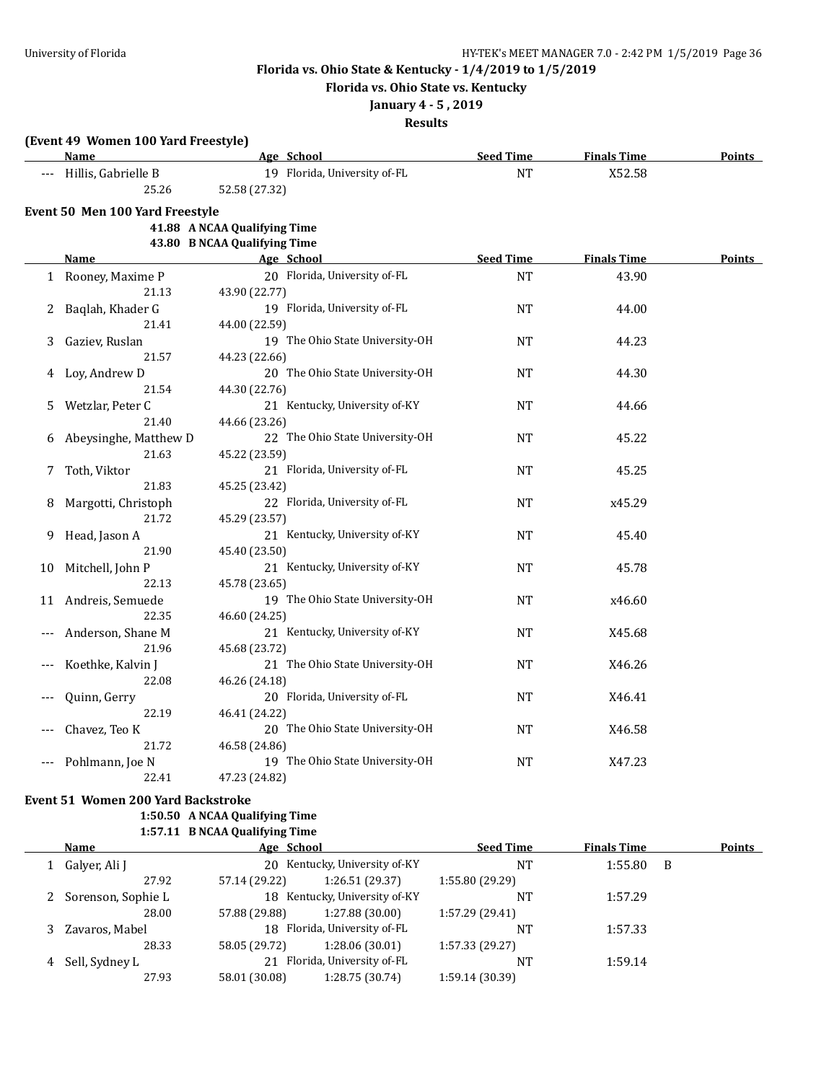**Florida vs. Ohio State vs. Kentucky**

## **January 4 - 5 , 2019**

**Results**

|  |  |  |  | (Event 49 Women 100 Yard Freestyle) |
|--|--|--|--|-------------------------------------|
|--|--|--|--|-------------------------------------|

|    | Name                            | Age School                      | <b>Seed Time</b> | <b>Finals Time</b> | Points        |
|----|---------------------------------|---------------------------------|------------------|--------------------|---------------|
|    | Hillis, Gabrielle B             | 19 Florida, University of-FL    | <b>NT</b>        | X52.58             |               |
|    | 25.26                           | 52.58 (27.32)                   |                  |                    |               |
|    | Event 50 Men 100 Yard Freestyle |                                 |                  |                    |               |
|    |                                 | 41.88 A NCAA Qualifying Time    |                  |                    |               |
|    |                                 | 43.80 B NCAA Qualifying Time    |                  |                    |               |
|    | <b>Name</b>                     | Age School                      | <b>Seed Time</b> | <b>Finals Time</b> | <b>Points</b> |
|    | 1 Rooney, Maxime P              | 20 Florida, University of-FL    | <b>NT</b>        | 43.90              |               |
|    | 21.13                           | 43.90 (22.77)                   |                  |                    |               |
| 2  | Baqlah, Khader G                | 19 Florida, University of-FL    | NT               | 44.00              |               |
|    | 21.41                           | 44.00 (22.59)                   |                  |                    |               |
| 3  | Gaziev, Ruslan                  | 19 The Ohio State University-OH | NT               | 44.23              |               |
|    | 21.57                           | 44.23 (22.66)                   |                  |                    |               |
|    | Loy, Andrew D                   | 20 The Ohio State University-OH | <b>NT</b>        | 44.30              |               |
|    | 21.54                           | 44.30 (22.76)                   |                  |                    |               |
| 5. | Wetzlar, Peter C                | 21 Kentucky, University of-KY   | NT               | 44.66              |               |
|    | 21.40                           | 44.66 (23.26)                   |                  |                    |               |
| 6  | Abeysinghe, Matthew D           | 22 The Ohio State University-OH | NT               | 45.22              |               |
|    | 21.63                           | 45.22 (23.59)                   |                  |                    |               |
| 7  | Toth, Viktor                    | 21 Florida, University of-FL    | NT               | 45.25              |               |
|    | 21.83                           | 45.25 (23.42)                   |                  |                    |               |
| 8  | Margotti, Christoph             | 22 Florida, University of-FL    | NΤ               | x45.29             |               |
|    | 21.72                           | 45.29 (23.57)                   |                  |                    |               |
| 9  | Head, Jason A                   | 21 Kentucky, University of-KY   | <b>NT</b>        | 45.40              |               |
|    | 21.90                           | 45.40 (23.50)                   |                  |                    |               |
| 10 | Mitchell, John P                | 21 Kentucky, University of-KY   | <b>NT</b>        | 45.78              |               |
|    | 22.13                           | 45.78 (23.65)                   |                  |                    |               |
| 11 | Andreis, Semuede                | 19 The Ohio State University-OH | NT               | x46.60             |               |
|    | 22.35                           | 46.60 (24.25)                   |                  |                    |               |
|    | Anderson, Shane M               | 21 Kentucky, University of-KY   | NT               | X45.68             |               |
|    | 21.96                           | 45.68 (23.72)                   |                  |                    |               |
|    | Koethke, Kalvin J               | 21 The Ohio State University-OH | NT               | X46.26             |               |
|    | 22.08                           | 46.26 (24.18)                   |                  |                    |               |
|    | Quinn, Gerry                    | 20 Florida, University of-FL    | <b>NT</b>        | X46.41             |               |
|    | 22.19                           | 46.41 (24.22)                   |                  |                    |               |
|    | Chavez, Teo K                   | 20 The Ohio State University-OH | NΤ               | X46.58             |               |
|    | 21.72                           | 46.58 (24.86)                   |                  |                    |               |
|    | Pohlmann, Joe N                 | 19 The Ohio State University-OH | NT               | X47.23             |               |
|    | 22.41                           | 47.23 (24.82)                   |                  |                    |               |

#### **Event 51 Women 200 Yard Backstroke**

### **1:50.50 A NCAA Qualifying Time**

**1:57.11 B NCAA Qualifying Time Age School Age School Seed Time Finals Time Points** 1 Galyer, Ali J 20 Kentucky, University of-KY NT 1:55.80 B 27.92 57.14 (29.22) 1:26.51 (29.37) 1:55.80 (29.29) 2 Sorenson, Sophie L 18 Kentucky, University of-KY NT 1:57.29 28.00 57.88 (29.88) 1:27.88 (30.00) 1:57.29 (29.41) 3 Zavaros, Mabel 18 Florida, University of-FL NT 1:57.33 28.33 58.05 (29.72) 1:28.06 (30.01) 1:57.33 (29.27) 4 Sell, Sydney L 21 Florida, University of-FL NT 1:59.14 27.93 58.01 (30.08) 1:28.75 (30.74) 1:59.14 (30.39)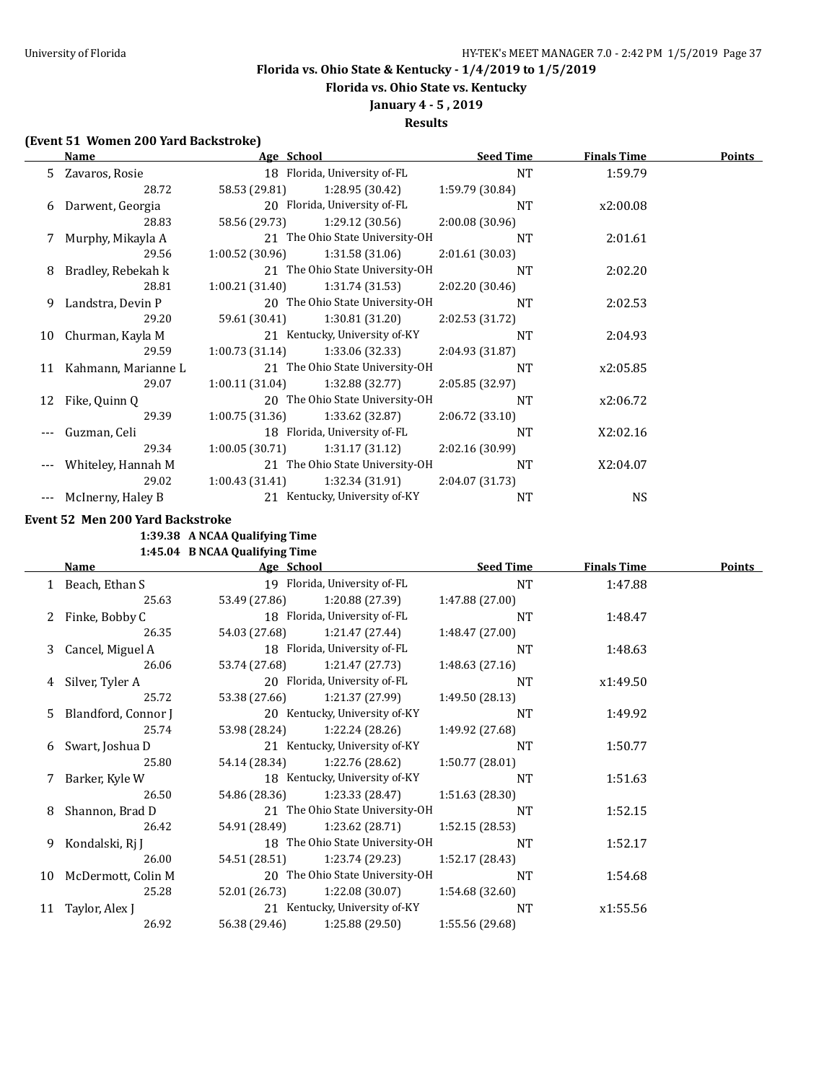**Florida vs. Ohio State vs. Kentucky**

# **January 4 - 5 , 2019**

**Results**

### **(Event 51 Women 200 Yard Backstroke)**

|    | Name                |                | Age School                      | <b>Seed Time</b> | <b>Finals Time</b> | <b>Points</b> |
|----|---------------------|----------------|---------------------------------|------------------|--------------------|---------------|
| 5. | Zavaros, Rosie      |                | 18 Florida, University of-FL    | <b>NT</b>        | 1:59.79            |               |
|    | 28.72               | 58.53 (29.81)  | 1:28.95 (30.42)                 | 1:59.79 (30.84)  |                    |               |
| 6  | Darwent, Georgia    |                | 20 Florida, University of-FL    | NT               | x2:00.08           |               |
|    | 28.83               | 58.56 (29.73)  | 1:29.12 (30.56)                 | 2:00.08(30.96)   |                    |               |
|    | 7 Murphy, Mikayla A |                | 21 The Ohio State University-OH | <b>NT</b>        | 2:01.61            |               |
|    | 29.56               | 1:00.52(30.96) | 1:31.58(31.06)                  | 2:01.61(30.03)   |                    |               |
| 8  | Bradley, Rebekah k  |                | 21 The Ohio State University-OH | <b>NT</b>        | 2:02.20            |               |
|    | 28.81               | 1:00.21(31.40) | 1:31.74(31.53)                  | 2:02.20(30.46)   |                    |               |
| 9. | Landstra, Devin P   |                | 20 The Ohio State University-OH | NT               | 2:02.53            |               |
|    | 29.20               | 59.61 (30.41)  | 1:30.81 (31.20)                 | 2:02.53 (31.72)  |                    |               |
| 10 | Churman, Kayla M    |                | 21 Kentucky, University of-KY   | <b>NT</b>        | 2:04.93            |               |
|    | 29.59               | 1:00.73(31.14) | 1:33.06 (32.33)                 | 2:04.93 (31.87)  |                    |               |
| 11 | Kahmann, Marianne L |                | 21 The Ohio State University-OH | <b>NT</b>        | x2:05.85           |               |
|    | 29.07               | 1:00.11(31.04) | 1:32.88(32.77)                  | 2:05.85 (32.97)  |                    |               |
| 12 | Fike, Quinn Q       |                | 20 The Ohio State University-OH | <b>NT</b>        | x2:06.72           |               |
|    | 29.39               | 1:00.75(31.36) | 1:33.62 (32.87)                 | 2:06.72(33.10)   |                    |               |
|    | Guzman, Celi        |                | 18 Florida, University of-FL    | NT               | X2:02.16           |               |
|    | 29.34               | 1:00.05(30.71) | 1:31.17 (31.12)                 | 2:02.16(30.99)   |                    |               |
|    | Whiteley, Hannah M  |                | 21 The Ohio State University-OH | NT               | X2:04.07           |               |
|    | 29.02               | 1:00.43(31.41) | 1:32.34(31.91)                  | 2:04.07 (31.73)  |                    |               |
|    | McInerny, Haley B   |                | 21 Kentucky, University of-KY   | <b>NT</b>        | <b>NS</b>          |               |

**Event 52 Men 200 Yard Backstroke**

**1:39.38 A NCAA Qualifying Time**

**1:45.04 B NCAA Qualifying Time**

| Name |                       | Age School    |                                 | <b>Seed Time</b> | <b>Finals Time</b> | <b>Points</b> |
|------|-----------------------|---------------|---------------------------------|------------------|--------------------|---------------|
|      | 1 Beach, Ethan S      |               | 19 Florida, University of-FL    | NT               | 1:47.88            |               |
|      | 25.63                 | 53.49 (27.86) | 1:20.88 (27.39)                 | 1:47.88 (27.00)  |                    |               |
|      | 2 Finke, Bobby C      |               | 18 Florida, University of-FL    | NT               | 1:48.47            |               |
|      | 26.35                 | 54.03 (27.68) | 1:21.47 (27.44)                 | 1:48.47(27.00)   |                    |               |
|      | 3 Cancel, Miguel A    |               | 18 Florida, University of-FL    | <b>NT</b>        | 1:48.63            |               |
|      | 26.06                 | 53.74 (27.68) | 1:21.47 (27.73)                 | 1:48.63 (27.16)  |                    |               |
|      | 4 Silver, Tyler A     |               | 20 Florida, University of-FL    | NT               | x1:49.50           |               |
|      | 25.72                 | 53.38 (27.66) | 1:21.37 (27.99)                 | 1:49.50(28.13)   |                    |               |
|      | 5 Blandford, Connor J |               | 20 Kentucky, University of-KY   | <b>NT</b>        | 1:49.92            |               |
|      | 25.74                 | 53.98 (28.24) | 1:22.24 (28.26)                 | 1:49.92 (27.68)  |                    |               |
|      | 6 Swart, Joshua D     |               | 21 Kentucky, University of-KY   | <b>NT</b>        | 1:50.77            |               |
|      | 25.80                 | 54.14 (28.34) | 1:22.76 (28.62)                 | 1:50.77(28.01)   |                    |               |
|      | 7 Barker, Kyle W      |               | 18 Kentucky, University of-KY   | <b>NT</b>        | 1:51.63            |               |
|      | 26.50                 | 54.86 (28.36) | 1:23.33 (28.47)                 | 1:51.63(28.30)   |                    |               |
| 8    | Shannon, Brad D       |               | 21 The Ohio State University-OH | NT               | 1:52.15            |               |
|      | 26.42                 | 54.91 (28.49) | 1:23.62 (28.71)                 | 1:52.15(28.53)   |                    |               |
|      | 9 Kondalski, Rj J     |               | 18 The Ohio State University-OH | <b>NT</b>        | 1:52.17            |               |
|      | 26.00                 | 54.51 (28.51) | 1:23.74 (29.23)                 | 1:52.17 (28.43)  |                    |               |
|      | 10 McDermott, Colin M |               | 20 The Ohio State University-OH | NT               | 1:54.68            |               |
|      | 25.28                 | 52.01 (26.73) | 1:22.08(30.07)                  | 1:54.68(32.60)   |                    |               |
| 11   | Taylor, Alex J        |               | 21 Kentucky, University of-KY   | NT               | x1:55.56           |               |
|      | 26.92                 | 56.38 (29.46) | 1:25.88 (29.50)                 | 1:55.56 (29.68)  |                    |               |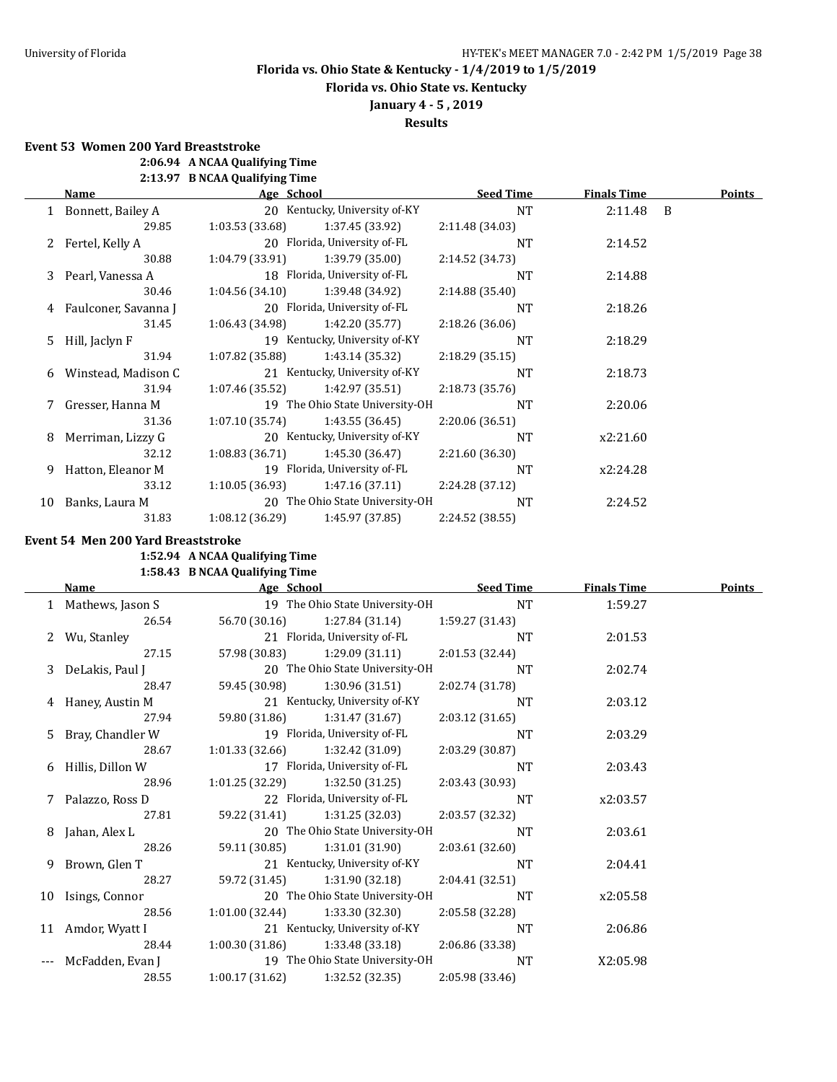**Florida vs. Ohio State vs. Kentucky**

**January 4 - 5 , 2019**

**Results**

**Event 53 Women 200 Yard Breaststroke**

**2:06.94 A NCAA Qualifying Time**

**2:13.97 B NCAA Qualifying Time**

| Name |                        | Age School        |                                 | <b>Seed Time</b> | <b>Finals Time</b> | <b>Points</b> |
|------|------------------------|-------------------|---------------------------------|------------------|--------------------|---------------|
|      | 1 Bonnett, Bailey A    |                   | 20 Kentucky, University of-KY   | NT               | 2:11.48 B          |               |
|      | 29.85                  | 1:03.53(33.68)    | 1:37.45 (33.92)                 | 2:11.48 (34.03)  |                    |               |
|      | 2 Fertel, Kelly A      |                   | 20 Florida, University of-FL    | <b>NT</b>        | 2:14.52            |               |
|      | 30.88                  | 1:04.79(33.91)    | 1:39.79(35.00)                  | 2:14.52 (34.73)  |                    |               |
|      | 3 Pearl, Vanessa A     |                   | 18 Florida, University of-FL    | <b>NT</b>        | 2:14.88            |               |
|      | 30.46                  | 1:04.56(34.10)    | 1:39.48 (34.92)                 | 2:14.88(35.40)   |                    |               |
|      | 4 Faulconer, Savanna J |                   | 20 Florida, University of-FL    | <b>NT</b>        | 2:18.26            |               |
|      | 31.45                  | 1:06.43 (34.98)   | 1:42.20 (35.77)                 | 2:18.26(36.06)   |                    |               |
| 5.   | Hill, Jaclyn F         |                   | 19 Kentucky, University of-KY   | <b>NT</b>        | 2:18.29            |               |
|      | 31.94                  | $1:07.82$ (35.88) | 1:43.14 (35.32)                 | 2:18.29(35.15)   |                    |               |
| 6    | Winstead, Madison C    |                   | 21 Kentucky, University of-KY   | <b>NT</b>        | 2:18.73            |               |
|      | 31.94                  | 1:07.46 (35.52)   | 1:42.97(35.51)                  | 2:18.73 (35.76)  |                    |               |
|      | Gresser, Hanna M       |                   | 19 The Ohio State University-OH | <b>NT</b>        | 2:20.06            |               |
|      | 31.36                  | 1:07.10(35.74)    | 1:43.55(36.45)                  | 2:20.06 (36.51)  |                    |               |
| 8    | Merriman, Lizzy G      |                   | 20 Kentucky, University of-KY   | <b>NT</b>        | x2:21.60           |               |
|      | 32.12                  | 1:08.83(36.71)    | 1:45.30 (36.47)                 | 2:21.60 (36.30)  |                    |               |
| 9    | Hatton, Eleanor M      |                   | 19 Florida, University of-FL    | <b>NT</b>        | x2:24.28           |               |
|      | 33.12                  | 1:10.05(36.93)    | 1:47.16(37.11)                  | 2:24.28 (37.12)  |                    |               |
| 10   | Banks, Laura M         |                   | 20 The Ohio State University-OH | <b>NT</b>        | 2:24.52            |               |
|      | 31.83                  | 1:08.12(36.29)    | 1:45.97 (37.85)                 | 2:24.52 (38.55)  |                    |               |

### **Event 54 Men 200 Yard Breaststroke**

**1:52.94 A NCAA Qualifying Time**

## **1:58.43 B NCAA Qualifying Time**

| Name |                    | Age School      |                                 | <b>Seed Time</b> | <b>Finals Time</b> | <b>Points</b> |
|------|--------------------|-----------------|---------------------------------|------------------|--------------------|---------------|
|      | 1 Mathews, Jason S |                 | 19 The Ohio State University-OH | NT               | 1:59.27            |               |
|      | 26.54              | 56.70 (30.16)   | 1:27.84 (31.14)                 | 1:59.27 (31.43)  |                    |               |
| 2    | Wu, Stanley        |                 | 21 Florida, University of-FL    | NT               | 2:01.53            |               |
|      | 27.15              | 57.98 (30.83)   | 1:29.09 (31.11)                 | 2:01.53 (32.44)  |                    |               |
| 3    | DeLakis, Paul J    |                 | 20 The Ohio State University-OH | NT               | 2:02.74            |               |
|      | 28.47              | 59.45 (30.98)   | 1:30.96 (31.51)                 | 2:02.74 (31.78)  |                    |               |
|      | 4 Haney, Austin M  |                 | 21 Kentucky, University of-KY   | NT               | 2:03.12            |               |
|      | 27.94              | 59.80 (31.86)   | 1:31.47 (31.67)                 | 2:03.12 (31.65)  |                    |               |
| 5.   | Bray, Chandler W   |                 | 19 Florida, University of-FL    | NT               | 2:03.29            |               |
|      | 28.67              | 1:01.33(32.66)  | 1:32.42 (31.09)                 | 2:03.29 (30.87)  |                    |               |
| 6    | Hillis, Dillon W   |                 | 17 Florida, University of-FL    | <b>NT</b>        | 2:03.43            |               |
|      | 28.96              | 1:01.25 (32.29) | 1:32.50 (31.25)                 | 2:03.43(30.93)   |                    |               |
| 7    | Palazzo, Ross D    |                 | 22 Florida, University of-FL    | NT               | x2:03.57           |               |
|      | 27.81              | 59.22 (31.41)   | 1:31.25 (32.03)                 | 2:03.57 (32.32)  |                    |               |
| 8    | Jahan, Alex L      |                 | 20 The Ohio State University-OH | <b>NT</b>        | 2:03.61            |               |
|      | 28.26              | 59.11 (30.85)   | 1:31.01 (31.90)                 | 2:03.61 (32.60)  |                    |               |
| 9    | Brown, Glen T      |                 | 21 Kentucky, University of-KY   | NT               | 2:04.41            |               |
|      | 28.27              | 59.72 (31.45)   | 1:31.90 (32.18)                 | 2:04.41 (32.51)  |                    |               |
|      | 10 Isings, Connor  |                 | 20 The Ohio State University-OH | NT               | x2:05.58           |               |
|      | 28.56              | 1:01.00(32.44)  | 1:33.30 (32.30)                 | 2:05.58 (32.28)  |                    |               |
|      | 11 Amdor, Wyatt I  |                 | 21 Kentucky, University of-KY   | <b>NT</b>        | 2:06.86            |               |
|      | 28.44              | 1:00.30(31.86)  | 1:33.48 (33.18)                 | 2:06.86 (33.38)  |                    |               |
|      | McFadden, Evan J   |                 | 19 The Ohio State University-OH | NT               | X2:05.98           |               |
|      | 28.55              | 1:00.17(31.62)  | 1:32.52 (32.35)                 | 2:05.98 (33.46)  |                    |               |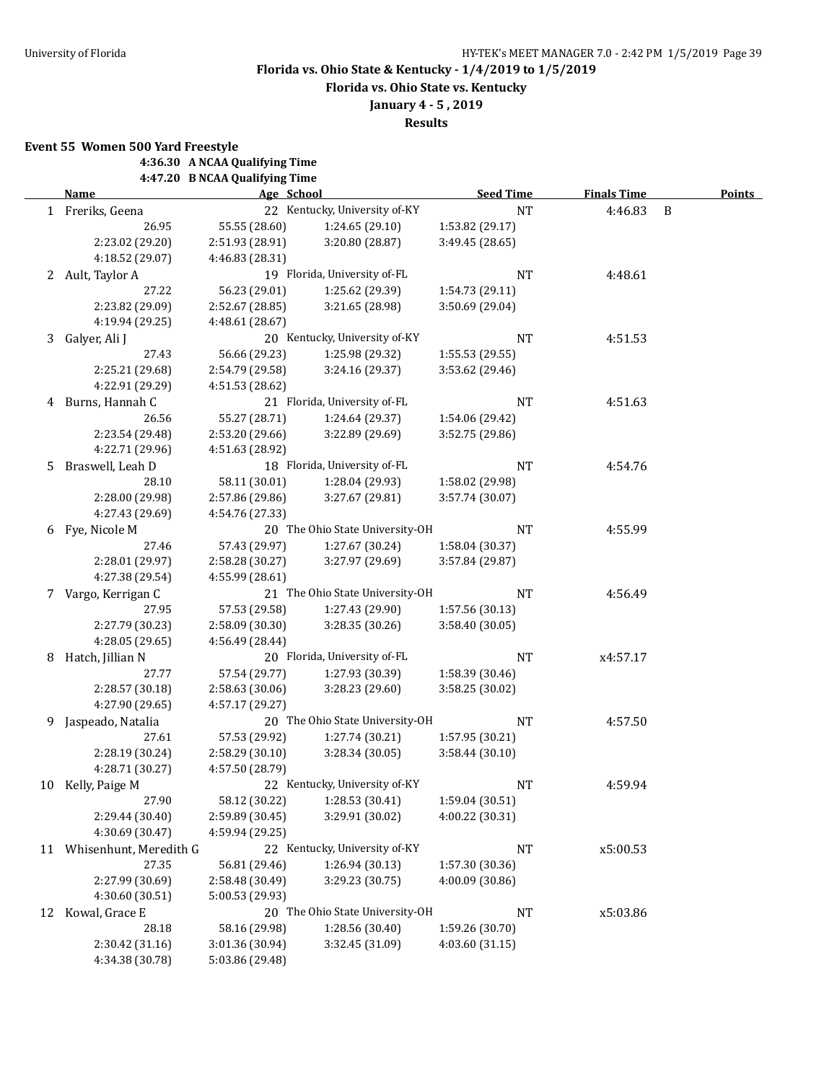**Florida vs. Ohio State vs. Kentucky**

**January 4 - 5 , 2019**

**Results**

**Event 55 Women 500 Yard Freestyle**

**4:36.30 A NCAA Qualifying Time**

**4:47.20 B NCAA Qualifying Time**

|    | <b>Name</b>            | Age School      |                                 | <b>Seed Time</b> | <b>Finals Time</b> | <b>Points</b> |
|----|------------------------|-----------------|---------------------------------|------------------|--------------------|---------------|
|    | 1 Freriks, Geena       |                 | 22 Kentucky, University of-KY   | $\rm{NT}$        | 4:46.83            | B             |
|    | 26.95                  | 55.55 (28.60)   | 1:24.65 (29.10)                 | 1:53.82 (29.17)  |                    |               |
|    | 2:23.02 (29.20)        | 2:51.93 (28.91) | 3:20.80 (28.87)                 | 3:49.45 (28.65)  |                    |               |
|    | 4:18.52 (29.07)        | 4:46.83 (28.31) |                                 |                  |                    |               |
|    | 2 Ault, Taylor A       |                 | 19 Florida, University of-FL    | <b>NT</b>        | 4:48.61            |               |
|    | 27.22                  | 56.23 (29.01)   | 1:25.62 (29.39)                 | 1:54.73 (29.11)  |                    |               |
|    | 2:23.82 (29.09)        | 2:52.67 (28.85) | 3:21.65 (28.98)                 | 3:50.69 (29.04)  |                    |               |
|    | 4:19.94 (29.25)        | 4:48.61 (28.67) |                                 |                  |                    |               |
| 3  | Galyer, Ali J          |                 | 20 Kentucky, University of-KY   | NT               | 4:51.53            |               |
|    | 27.43                  | 56.66 (29.23)   | 1:25.98 (29.32)                 | 1:55.53 (29.55)  |                    |               |
|    | 2:25.21 (29.68)        | 2:54.79 (29.58) | 3:24.16 (29.37)                 | 3:53.62 (29.46)  |                    |               |
|    | 4:22.91 (29.29)        | 4:51.53 (28.62) |                                 |                  |                    |               |
| 4  | Burns, Hannah C        |                 | 21 Florida, University of-FL    | NT               | 4:51.63            |               |
|    | 26.56                  | 55.27 (28.71)   | 1:24.64 (29.37)                 | 1:54.06 (29.42)  |                    |               |
|    | 2:23.54 (29.48)        | 2:53.20 (29.66) | 3:22.89 (29.69)                 | 3:52.75 (29.86)  |                    |               |
|    | 4:22.71 (29.96)        | 4:51.63 (28.92) |                                 |                  |                    |               |
| 5. | Braswell, Leah D       |                 | 18 Florida, University of-FL    | NT               | 4:54.76            |               |
|    | 28.10                  | 58.11 (30.01)   | 1:28.04 (29.93)                 | 1:58.02 (29.98)  |                    |               |
|    | 2:28.00 (29.98)        | 2:57.86 (29.86) | 3:27.67 (29.81)                 | 3:57.74 (30.07)  |                    |               |
|    | 4:27.43 (29.69)        | 4:54.76 (27.33) |                                 |                  |                    |               |
|    | 6 Fye, Nicole M        |                 | 20 The Ohio State University-OH | <b>NT</b>        | 4:55.99            |               |
|    | 27.46                  | 57.43 (29.97)   | 1:27.67 (30.24)                 | 1:58.04 (30.37)  |                    |               |
|    | 2:28.01 (29.97)        | 2:58.28 (30.27) | 3:27.97 (29.69)                 | 3:57.84 (29.87)  |                    |               |
|    | 4:27.38 (29.54)        | 4:55.99 (28.61) |                                 |                  |                    |               |
|    | 7 Vargo, Kerrigan C    |                 | 21 The Ohio State University-OH | <b>NT</b>        | 4:56.49            |               |
|    | 27.95                  | 57.53 (29.58)   | 1:27.43 (29.90)                 | 1:57.56 (30.13)  |                    |               |
|    | 2:27.79 (30.23)        | 2:58.09 (30.30) | 3:28.35 (30.26)                 | 3:58.40 (30.05)  |                    |               |
|    | 4:28.05 (29.65)        | 4:56.49 (28.44) |                                 |                  |                    |               |
| 8  | Hatch, Jillian N       |                 | 20 Florida, University of-FL    | NT               | x4:57.17           |               |
|    | 27.77                  | 57.54 (29.77)   | 1:27.93 (30.39)                 | 1:58.39 (30.46)  |                    |               |
|    | 2:28.57 (30.18)        | 2:58.63 (30.06) | 3:28.23 (29.60)                 | 3:58.25 (30.02)  |                    |               |
|    | 4:27.90 (29.65)        | 4:57.17 (29.27) |                                 |                  |                    |               |
| 9  | Jaspeado, Natalia      |                 | 20 The Ohio State University-OH | NT               | 4:57.50            |               |
|    | 27.61                  | 57.53 (29.92)   | 1:27.74 (30.21)                 | 1:57.95 (30.21)  |                    |               |
|    | 2:28.19 (30.24)        | 2:58.29 (30.10) | 3:28.34 (30.05)                 | 3:58.44 (30.10)  |                    |               |
|    | 4:28.71 (30.27)        | 4:57.50 (28.79) |                                 |                  |                    |               |
|    | 10 Kelly, Paige M      |                 | 22 Kentucky, University of-KY   | NT               | 4:59.94            |               |
|    | 27.90                  | 58.12 (30.22)   | 1:28.53 (30.41)                 | 1:59.04 (30.51)  |                    |               |
|    | 2:29.44 (30.40)        | 2:59.89 (30.45) | 3:29.91 (30.02)                 | 4:00.22 (30.31)  |                    |               |
|    | 4:30.69 (30.47)        | 4:59.94 (29.25) |                                 |                  |                    |               |
| 11 | Whisenhunt, Meredith G |                 | 22 Kentucky, University of-KY   | <b>NT</b>        | x5:00.53           |               |
|    | 27.35                  | 56.81 (29.46)   | 1:26.94 (30.13)                 | 1:57.30 (30.36)  |                    |               |
|    | 2:27.99 (30.69)        | 2:58.48 (30.49) | 3:29.23 (30.75)                 | 4:00.09 (30.86)  |                    |               |
|    | 4:30.60 (30.51)        | 5:00.53 (29.93) |                                 |                  |                    |               |
|    | 12 Kowal, Grace E      |                 | 20 The Ohio State University-OH | <b>NT</b>        | x5:03.86           |               |
|    | 28.18                  | 58.16 (29.98)   | 1:28.56 (30.40)                 | 1:59.26 (30.70)  |                    |               |
|    | 2:30.42 (31.16)        | 3:01.36 (30.94) | 3:32.45 (31.09)                 | 4:03.60(31.15)   |                    |               |
|    | 4:34.38 (30.78)        | 5:03.86 (29.48) |                                 |                  |                    |               |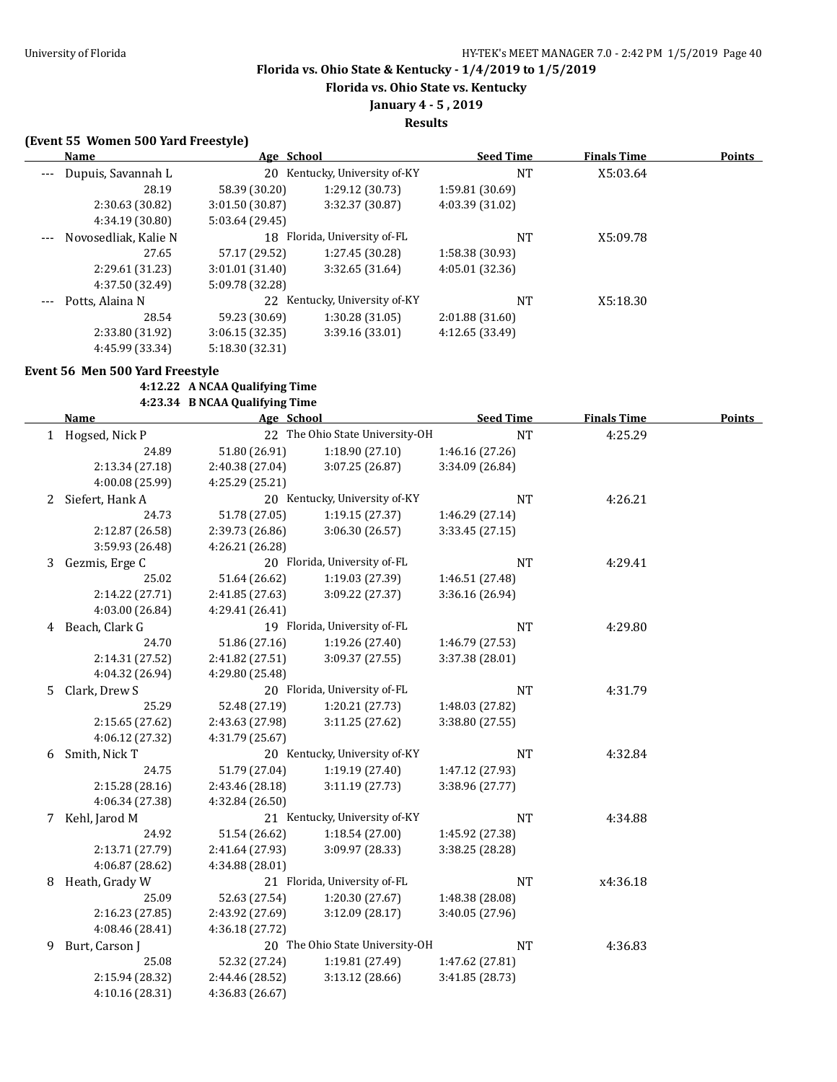**Florida vs. Ohio State vs. Kentucky**

## **January 4 - 5 , 2019**

**Results**

### **(Event 55 Women 500 Yard Freestyle)**

|       | <b>Name</b>          | Age School      |                            | <b>Seed Time</b> | <b>Finals Time</b> | <b>Points</b> |
|-------|----------------------|-----------------|----------------------------|------------------|--------------------|---------------|
| $---$ | Dupuis, Savannah L   | 20              | Kentucky, University of-KY | <b>NT</b>        | X5:03.64           |               |
|       | 28.19                | 58.39 (30.20)   | 1:29.12 (30.73)            | 1:59.81 (30.69)  |                    |               |
|       | 2:30.63 (30.82)      | 3:01.50 (30.87) | 3:32.37 (30.87)            | 4:03.39 (31.02)  |                    |               |
|       | 4:34.19 (30.80)      | 5:03.64 (29.45) |                            |                  |                    |               |
|       | Novosedliak, Kalie N | 18              | Florida, University of-FL  | <b>NT</b>        | X5:09.78           |               |
|       | 27.65                | 57.17 (29.52)   | 1:27.45 (30.28)            | 1:58.38 (30.93)  |                    |               |
|       | 2:29.61 (31.23)      | 3:01.01(31.40)  | 3:32.65(31.64)             | 4:05.01(32.36)   |                    |               |
|       | 4:37.50 (32.49)      | 5:09.78 (32.28) |                            |                  |                    |               |
| $---$ | Potts, Alaina N      | 22              | Kentucky, University of-KY | NT               | X5:18.30           |               |
|       | 28.54                | 59.23 (30.69)   | 1:30.28 (31.05)            | 2:01.88(31.60)   |                    |               |
|       | 2:33.80 (31.92)      | 3:06.15(32.35)  | 3:39.16 (33.01)            | 4:12.65 (33.49)  |                    |               |
|       | 4:45.99 (33.34)      | 5:18.30 (32.31) |                            |                  |                    |               |

#### **Event 56 Men 500 Yard Freestyle**

### **4:12.22 A NCAA Qualifying Time**

## **4:23.34 B NCAA Qualifying Time**

|    | Name             | Age School      |                                 | <b>Seed Time</b> | <b>Finals Time</b> | <b>Points</b> |
|----|------------------|-----------------|---------------------------------|------------------|--------------------|---------------|
|    | 1 Hogsed, Nick P |                 | 22 The Ohio State University-OH | <b>NT</b>        | 4:25.29            |               |
|    | 24.89            | 51.80 (26.91)   | 1:18.90(27.10)                  | 1:46.16 (27.26)  |                    |               |
|    | 2:13.34 (27.18)  | 2:40.38 (27.04) | 3:07.25 (26.87)                 | 3:34.09 (26.84)  |                    |               |
|    | 4:00.08 (25.99)  | 4:25.29 (25.21) |                                 |                  |                    |               |
| 2  | Siefert, Hank A  |                 | 20 Kentucky, University of-KY   | NT               | 4:26.21            |               |
|    | 24.73            | 51.78 (27.05)   | 1:19.15(27.37)                  | 1:46.29 (27.14)  |                    |               |
|    | 2:12.87 (26.58)  | 2:39.73 (26.86) | 3:06.30 (26.57)                 | 3:33.45 (27.15)  |                    |               |
|    | 3:59.93 (26.48)  | 4:26.21 (26.28) |                                 |                  |                    |               |
| 3  | Gezmis, Erge C   |                 | 20 Florida, University of-FL    | <b>NT</b>        | 4:29.41            |               |
|    | 25.02            | 51.64 (26.62)   | 1:19.03 (27.39)                 | 1:46.51 (27.48)  |                    |               |
|    | 2:14.22 (27.71)  | 2:41.85 (27.63) | 3:09.22 (27.37)                 | 3:36.16 (26.94)  |                    |               |
|    | 4:03.00 (26.84)  | 4:29.41 (26.41) |                                 |                  |                    |               |
|    | 4 Beach, Clark G |                 | 19 Florida, University of-FL    | <b>NT</b>        | 4:29.80            |               |
|    | 24.70            | 51.86 (27.16)   | 1:19.26 (27.40)                 | 1:46.79 (27.53)  |                    |               |
|    | 2:14.31 (27.52)  | 2:41.82 (27.51) | 3:09.37 (27.55)                 | 3:37.38 (28.01)  |                    |               |
|    | 4:04.32 (26.94)  | 4:29.80 (25.48) |                                 |                  |                    |               |
| 5. | Clark, Drew S    |                 | 20 Florida, University of-FL    | NT               | 4:31.79            |               |
|    | 25.29            | 52.48 (27.19)   | 1:20.21 (27.73)                 | 1:48.03 (27.82)  |                    |               |
|    | 2:15.65 (27.62)  | 2:43.63 (27.98) | 3:11.25 (27.62)                 | 3:38.80 (27.55)  |                    |               |
|    | 4:06.12 (27.32)  | 4:31.79 (25.67) |                                 |                  |                    |               |
| 6  | Smith, Nick T    |                 | 20 Kentucky, University of-KY   | <b>NT</b>        | 4:32.84            |               |
|    | 24.75            | 51.79 (27.04)   | 1:19.19 (27.40)                 | 1:47.12 (27.93)  |                    |               |
|    | 2:15.28 (28.16)  | 2:43.46 (28.18) | 3:11.19(27.73)                  | 3:38.96 (27.77)  |                    |               |
|    | 4:06.34 (27.38)  | 4:32.84 (26.50) |                                 |                  |                    |               |
|    | 7 Kehl, Jarod M  |                 | 21 Kentucky, University of-KY   | <b>NT</b>        | 4:34.88            |               |
|    | 24.92            | 51.54 (26.62)   | 1:18.54 (27.00)                 | 1:45.92 (27.38)  |                    |               |
|    | 2:13.71 (27.79)  | 2:41.64 (27.93) | 3:09.97 (28.33)                 | 3:38.25 (28.28)  |                    |               |
|    | 4:06.87 (28.62)  | 4:34.88 (28.01) |                                 |                  |                    |               |
| 8  | Heath, Grady W   |                 | 21 Florida, University of-FL    | <b>NT</b>        | x4:36.18           |               |
|    | 25.09            | 52.63 (27.54)   | 1:20.30 (27.67)                 | 1:48.38 (28.08)  |                    |               |
|    | 2:16.23 (27.85)  | 2:43.92 (27.69) | 3:12.09(28.17)                  | 3:40.05 (27.96)  |                    |               |
|    | 4:08.46 (28.41)  | 4:36.18 (27.72) |                                 |                  |                    |               |
| 9  | Burt, Carson J   |                 | 20 The Ohio State University-OH | <b>NT</b>        | 4:36.83            |               |
|    | 25.08            | 52.32 (27.24)   | 1:19.81 (27.49)                 | 1:47.62 (27.81)  |                    |               |
|    | 2:15.94 (28.32)  | 2:44.46 (28.52) | 3:13.12(28.66)                  | 3:41.85 (28.73)  |                    |               |
|    | 4:10.16 (28.31)  | 4:36.83 (26.67) |                                 |                  |                    |               |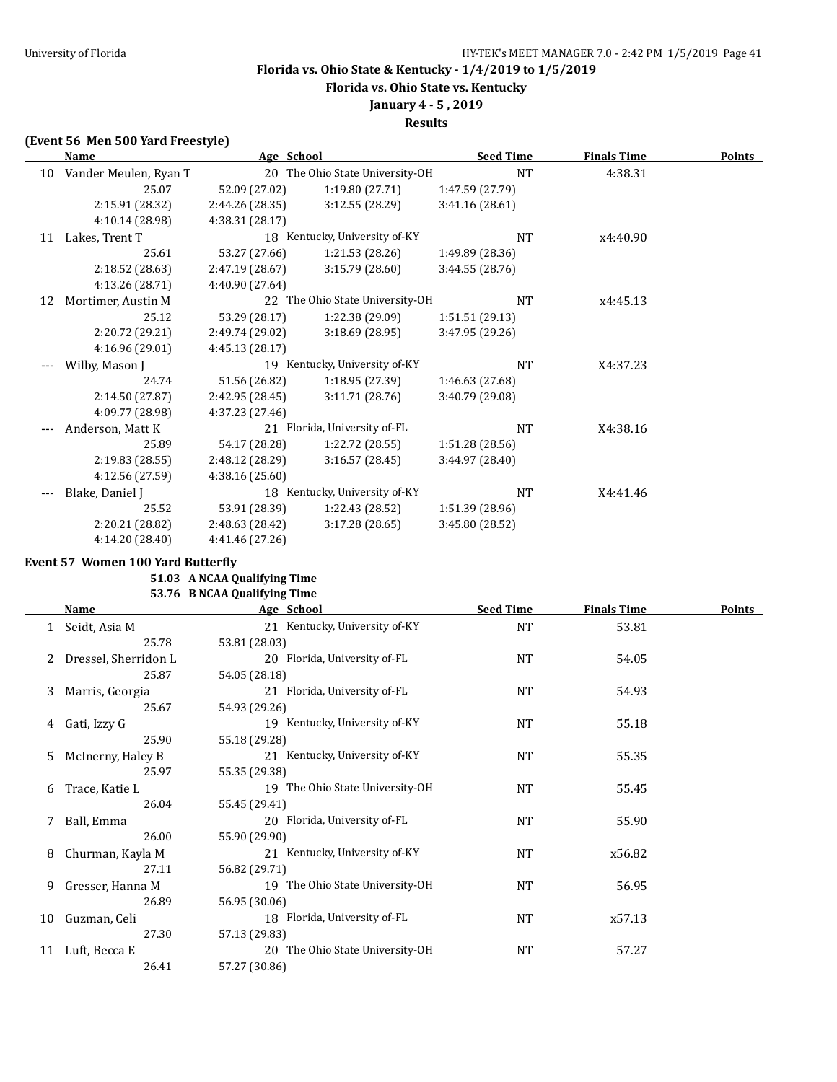**Florida vs. Ohio State vs. Kentucky**

## **January 4 - 5 , 2019**

**Results**

### **(Event 56 Men 500 Yard Freestyle)**

|    | Name                  |                 | Age School                      | <b>Seed Time</b> | <b>Finals Time</b> | <b>Points</b> |
|----|-----------------------|-----------------|---------------------------------|------------------|--------------------|---------------|
| 10 | Vander Meulen, Ryan T |                 | 20 The Ohio State University-OH | <b>NT</b>        | 4:38.31            |               |
|    | 25.07                 | 52.09 (27.02)   | 1:19.80 (27.71)                 | 1:47.59 (27.79)  |                    |               |
|    | 2:15.91 (28.32)       | 2:44.26 (28.35) | 3:12.55 (28.29)                 | 3:41.16 (28.61)  |                    |               |
|    | 4:10.14 (28.98)       | 4:38.31 (28.17) |                                 |                  |                    |               |
| 11 | Lakes, Trent T        |                 | 18 Kentucky, University of-KY   | <b>NT</b>        | x4:40.90           |               |
|    | 25.61                 | 53.27 (27.66)   | 1:21.53(28.26)                  | 1:49.89 (28.36)  |                    |               |
|    | 2:18.52 (28.63)       | 2:47.19 (28.67) | 3:15.79 (28.60)                 | 3:44.55 (28.76)  |                    |               |
|    | 4:13.26 (28.71)       | 4:40.90 (27.64) |                                 |                  |                    |               |
| 12 | Mortimer, Austin M    |                 | 22 The Ohio State University-OH | NT               | x4:45.13           |               |
|    | 25.12                 | 53.29 (28.17)   | 1:22.38 (29.09)                 | 1:51.51 (29.13)  |                    |               |
|    | 2:20.72 (29.21)       | 2:49.74 (29.02) | 3:18.69 (28.95)                 | 3:47.95 (29.26)  |                    |               |
|    | 4:16.96 (29.01)       | 4:45.13 (28.17) |                                 |                  |                    |               |
|    | Wilby, Mason J        |                 | 19 Kentucky, University of-KY   | NT               | X4:37.23           |               |
|    | 24.74                 | 51.56 (26.82)   | 1:18.95(27.39)                  | 1:46.63 (27.68)  |                    |               |
|    | 2:14.50 (27.87)       | 2:42.95 (28.45) | 3:11.71(28.76)                  | 3:40.79 (29.08)  |                    |               |
|    | 4:09.77 (28.98)       | 4:37.23 (27.46) |                                 |                  |                    |               |
|    | Anderson, Matt K      |                 | 21 Florida, University of-FL    | NT               | X4:38.16           |               |
|    | 25.89                 | 54.17 (28.28)   | 1:22.72(28.55)                  | 1:51.28 (28.56)  |                    |               |
|    | 2:19.83 (28.55)       | 2:48.12 (28.29) | 3:16.57(28.45)                  | 3:44.97 (28.40)  |                    |               |
|    | 4:12.56 (27.59)       | 4:38.16(25.60)  |                                 |                  |                    |               |
|    | Blake, Daniel J       |                 | 18 Kentucky, University of-KY   | NT               | X4:41.46           |               |
|    | 25.52                 | 53.91 (28.39)   | 1:22.43 (28.52)                 | 1:51.39 (28.96)  |                    |               |
|    | 2:20.21 (28.82)       | 2:48.63 (28.42) | 3:17.28 (28.65)                 | 3:45.80 (28.52)  |                    |               |
|    | 4:14.20 (28.40)       | 4:41.46 (27.26) |                                 |                  |                    |               |

#### **Event 57 Women 100 Yard Butterfly**

#### **51.03 A NCAA Qualifying Time 53.76 B NCAA Qualifying Time**

|    | <b>Name</b>          | Age School                      | <b>Seed Time</b> | <b>Finals Time</b> | <b>Points</b> |
|----|----------------------|---------------------------------|------------------|--------------------|---------------|
|    | 1 Seidt, Asia M      | 21 Kentucky, University of-KY   | NT               | 53.81              |               |
|    | 25.78                | 53.81 (28.03)                   |                  |                    |               |
|    | Dressel, Sherridon L | 20 Florida, University of-FL    | NT               | 54.05              |               |
|    | 25.87                | 54.05 (28.18)                   |                  |                    |               |
| 3  | Marris, Georgia      | 21 Florida, University of-FL    | NT               | 54.93              |               |
|    | 25.67                | 54.93 (29.26)                   |                  |                    |               |
| 4  | Gati, Izzy G         | 19 Kentucky, University of-KY   | <b>NT</b>        | 55.18              |               |
|    | 25.90                | 55.18 (29.28)                   |                  |                    |               |
| 5. | McInerny, Haley B    | 21 Kentucky, University of-KY   | NT               | 55.35              |               |
|    | 25.97                | 55.35 (29.38)                   |                  |                    |               |
| 6  | Trace, Katie L       | 19 The Ohio State University-OH | NT               | 55.45              |               |
|    | 26.04                | 55.45 (29.41)                   |                  |                    |               |
|    | 7 Ball, Emma         | 20 Florida, University of-FL    | <b>NT</b>        | 55.90              |               |
|    | 26.00                | 55.90 (29.90)                   |                  |                    |               |
| 8  | Churman, Kayla M     | 21 Kentucky, University of-KY   | <b>NT</b>        | x56.82             |               |
|    | 27.11                | 56.82 (29.71)                   |                  |                    |               |
| 9  | Gresser, Hanna M     | 19 The Ohio State University-OH | <b>NT</b>        | 56.95              |               |
|    | 26.89                | 56.95 (30.06)                   |                  |                    |               |
| 10 | Guzman, Celi         | 18 Florida, University of-FL    | NT               | x57.13             |               |
|    | 27.30                | 57.13 (29.83)                   |                  |                    |               |
| 11 | Luft, Becca E        | 20 The Ohio State University-OH | <b>NT</b>        | 57.27              |               |
|    | 26.41                | 57.27 (30.86)                   |                  |                    |               |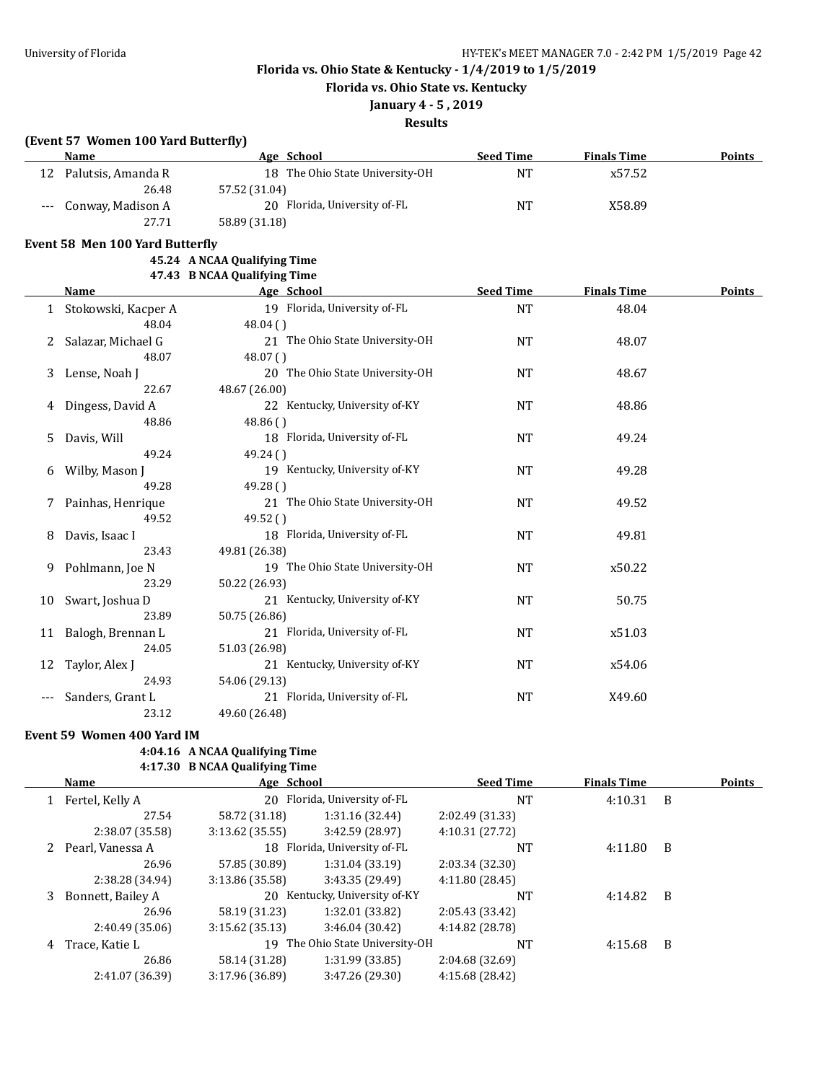**Florida vs. Ohio State vs. Kentucky**

# **January 4 - 5 , 2019**

## **Results**

### **(Event 57 Women 100 Yard Butterfly)**

|     | Name                                   | Age School                      | <b>Seed Time</b> | <b>Finals Time</b> | Points        |
|-----|----------------------------------------|---------------------------------|------------------|--------------------|---------------|
|     | 12 Palutsis, Amanda R                  | 18 The Ohio State University-OH | <b>NT</b>        | x57.52             |               |
|     | 26.48                                  | 57.52 (31.04)                   |                  |                    |               |
| --- | Conway, Madison A                      | 20 Florida, University of-FL    | <b>NT</b>        | X58.89             |               |
|     | 27.71                                  | 58.89 (31.18)                   |                  |                    |               |
|     | <b>Event 58 Men 100 Yard Butterfly</b> |                                 |                  |                    |               |
|     |                                        | 45.24 A NCAA Qualifying Time    |                  |                    |               |
|     |                                        | 47.43 B NCAA Qualifying Time    |                  |                    |               |
|     | Name                                   | <b>Example 2</b> Age School     | <b>Seed Time</b> | <b>Finals Time</b> | <b>Points</b> |
| 1   | Stokowski, Kacper A                    | 19 Florida, University of-FL    | <b>NT</b>        | 48.04              |               |
|     | 48.04                                  | 48.04()                         |                  |                    |               |
| 2   | Salazar, Michael G                     | 21 The Ohio State University-OH | <b>NT</b>        | 48.07              |               |
|     | 48.07                                  | 48.07()                         |                  |                    |               |
| 3   | Lense, Noah J                          | 20 The Ohio State University-OH | <b>NT</b>        | 48.67              |               |
|     | 22.67                                  | 48.67 (26.00)                   |                  |                    |               |
| 4   | Dingess, David A                       | 22 Kentucky, University of-KY   | <b>NT</b>        | 48.86              |               |
|     | 48.86                                  | 48.86()                         |                  |                    |               |
| 5   | Davis, Will                            | 18 Florida, University of-FL    | NT               | 49.24              |               |
|     | 49.24                                  | 49.24()                         |                  |                    |               |
| 6   | Wilby, Mason J                         | 19 Kentucky, University of-KY   | <b>NT</b>        | 49.28              |               |
|     | 49.28                                  | 49.28()                         |                  |                    |               |
| 7   | Painhas, Henrique                      | 21 The Ohio State University-OH | <b>NT</b>        | 49.52              |               |
|     | 49.52                                  | 49.52 ()                        |                  |                    |               |
| 8   | Davis, Isaac I                         | 18 Florida, University of-FL    | NT               | 49.81              |               |
|     | 23.43                                  | 49.81 (26.38)                   |                  |                    |               |
| 9   | Pohlmann, Joe N                        | 19 The Ohio State University-OH | <b>NT</b>        | x50.22             |               |
|     | 23.29                                  | 50.22 (26.93)                   |                  |                    |               |
| 10  | Swart, Joshua D                        | 21 Kentucky, University of-KY   | <b>NT</b>        | 50.75              |               |
|     | 23.89                                  | 50.75 (26.86)                   |                  |                    |               |
| 11  | Balogh, Brennan L                      | 21 Florida, University of-FL    | <b>NT</b>        | x51.03             |               |
|     | 24.05                                  | 51.03 (26.98)                   |                  |                    |               |
| 12  | Taylor, Alex J                         | 21 Kentucky, University of-KY   | <b>NT</b>        | x54.06             |               |
|     | 24.93                                  | 54.06 (29.13)                   |                  |                    |               |
| --- | Sanders, Grant L                       | 21 Florida, University of-FL    | NT               | X49.60             |               |
|     | 23.12                                  | 49.60 (26.48)                   |                  |                    |               |

#### **Event 59 Women 400 Yard IM**

## **4:04.16 A NCAA Qualifying Time**

# **4:17.30 B NCAA Qualifying Time**

|   | <b>Name</b>       | Age School      |                                 | <b>Seed Time</b> | <b>Finals Time</b> |                | <b>Points</b> |
|---|-------------------|-----------------|---------------------------------|------------------|--------------------|----------------|---------------|
|   | Fertel, Kelly A   |                 | 20 Florida, University of-FL    | NT               | 4:10.31            | - B            |               |
|   | 27.54             | 58.72 (31.18)   | 1:31.16(32.44)                  | 2:02.49 (31.33)  |                    |                |               |
|   | 2:38.07 (35.58)   | 3:13.62(35.55)  | 3:42.59(28.97)                  | 4:10.31 (27.72)  |                    |                |               |
|   | Pearl, Vanessa A  |                 | 18 Florida, University of-FL    | NT               | 4:11.80            | B              |               |
|   | 26.96             | 57.85 (30.89)   | 1:31.04(33.19)                  | 2:03.34(32.30)   |                    |                |               |
|   | 2:38.28 (34.94)   | 3:13.86(35.58)  | 3:43.35(29.49)                  | 4:11.80(28.45)   |                    |                |               |
| 3 | Bonnett, Bailey A |                 | 20 Kentucky, University of-KY   | NT               | 4:14.82            | $\overline{B}$ |               |
|   | 26.96             | 58.19 (31.23)   | 1:32.01 (33.82)                 | 2:05.43 (33.42)  |                    |                |               |
|   | 2:40.49 (35.06)   | 3:15.62(35.13)  | 3:46.04(30.42)                  | 4:14.82 (28.78)  |                    |                |               |
| 4 | Trace, Katie L    |                 | 19 The Ohio State University-OH | NT               | 4:15.68            | B              |               |
|   | 26.86             | 58.14 (31.28)   | 1:31.99(33.85)                  | 2:04.68 (32.69)  |                    |                |               |
|   | 2:41.07 (36.39)   | 3:17.96 (36.89) | 3:47.26 (29.30)                 | 4:15.68 (28.42)  |                    |                |               |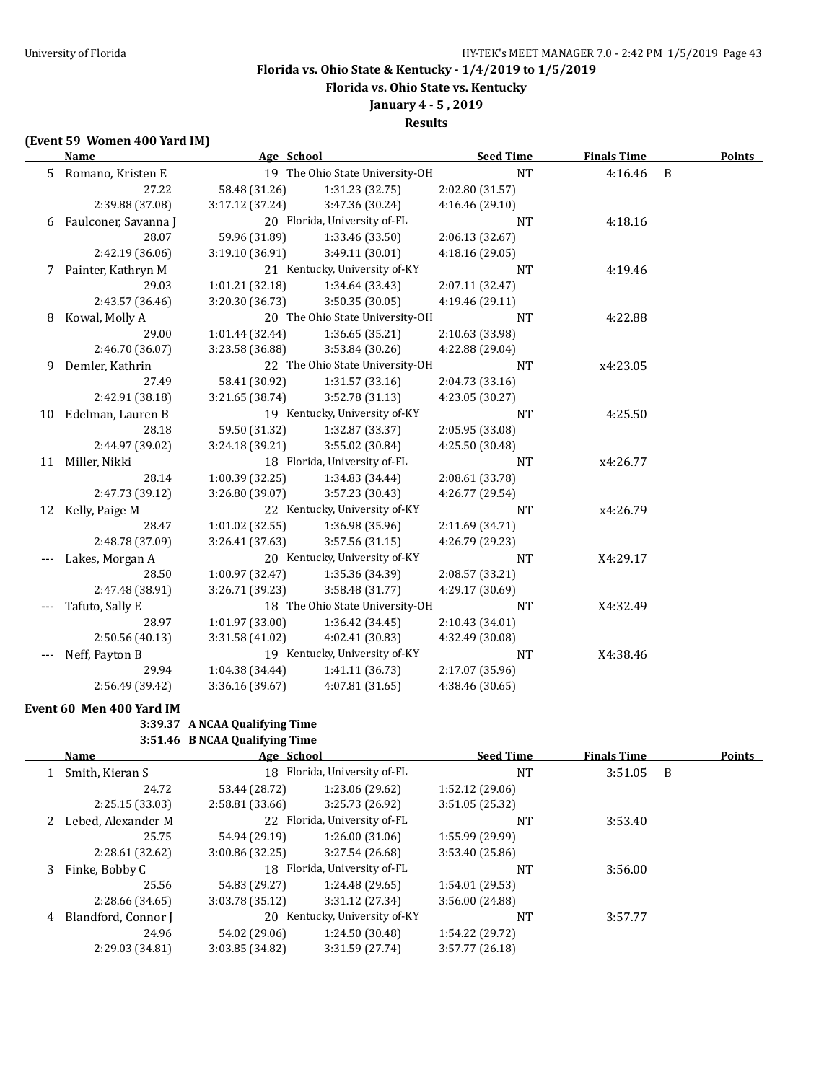**Florida vs. Ohio State vs. Kentucky**

# **January 4 - 5 , 2019**

## **Results**

### **(Event 59 Women 400 Yard IM)**

|    | <b>Name</b>            | Age School      |                                 | <b>Seed Time</b> | <b>Finals Time</b> |                | <b>Points</b> |
|----|------------------------|-----------------|---------------------------------|------------------|--------------------|----------------|---------------|
|    | 5 Romano, Kristen E    |                 | 19 The Ohio State University-OH | <b>NT</b>        | 4:16.46            | $\overline{B}$ |               |
|    | 27.22                  | 58.48 (31.26)   | 1:31.23 (32.75)                 | 2:02.80 (31.57)  |                    |                |               |
|    | 2:39.88 (37.08)        | 3:17.12 (37.24) | 3:47.36 (30.24)                 | 4:16.46 (29.10)  |                    |                |               |
|    | 6 Faulconer, Savanna J |                 | 20 Florida, University of-FL    | NT               | 4:18.16            |                |               |
|    | 28.07                  | 59.96 (31.89)   | 1:33.46 (33.50)                 | 2:06.13 (32.67)  |                    |                |               |
|    | 2:42.19 (36.06)        | 3:19.10 (36.91) | 3:49.11 (30.01)                 | 4:18.16 (29.05)  |                    |                |               |
| 7  | Painter, Kathryn M     |                 | 21 Kentucky, University of-KY   | NT               | 4:19.46            |                |               |
|    | 29.03                  | 1:01.21(32.18)  | 1:34.64 (33.43)                 | 2:07.11 (32.47)  |                    |                |               |
|    | 2:43.57 (36.46)        | 3:20.30 (36.73) | 3:50.35 (30.05)                 | 4:19.46 (29.11)  |                    |                |               |
| 8  | Kowal, Molly A         |                 | 20 The Ohio State University-OH | NT               | 4:22.88            |                |               |
|    | 29.00                  | 1:01.44 (32.44) | 1:36.65 (35.21)                 | 2:10.63 (33.98)  |                    |                |               |
|    | 2:46.70 (36.07)        | 3:23.58 (36.88) | 3:53.84 (30.26)                 | 4:22.88 (29.04)  |                    |                |               |
| 9  | Demler, Kathrin        |                 | 22 The Ohio State University-OH | NT               | x4:23.05           |                |               |
|    | 27.49                  | 58.41 (30.92)   | 1:31.57(33.16)                  | 2:04.73 (33.16)  |                    |                |               |
|    | 2:42.91 (38.18)        | 3:21.65 (38.74) | 3:52.78 (31.13)                 | 4:23.05 (30.27)  |                    |                |               |
| 10 | Edelman, Lauren B      |                 | 19 Kentucky, University of-KY   | <b>NT</b>        | 4:25.50            |                |               |
|    | 28.18                  | 59.50 (31.32)   | 1:32.87 (33.37)                 | 2:05.95 (33.08)  |                    |                |               |
|    | 2:44.97 (39.02)        | 3:24.18 (39.21) | 3:55.02 (30.84)                 | 4:25.50 (30.48)  |                    |                |               |
|    | 11 Miller, Nikki       |                 | 18 Florida, University of-FL    | <b>NT</b>        | x4:26.77           |                |               |
|    | 28.14                  | 1:00.39 (32.25) | 1:34.83 (34.44)                 | 2:08.61 (33.78)  |                    |                |               |
|    | 2:47.73 (39.12)        | 3:26.80 (39.07) | 3:57.23 (30.43)                 | 4:26.77 (29.54)  |                    |                |               |
|    | 12 Kelly, Paige M      |                 | 22 Kentucky, University of-KY   | <b>NT</b>        | x4:26.79           |                |               |
|    | 28.47                  | 1:01.02(32.55)  | 1:36.98 (35.96)                 | 2:11.69 (34.71)  |                    |                |               |
|    | 2:48.78 (37.09)        | 3:26.41 (37.63) | 3:57.56 (31.15)                 | 4:26.79 (29.23)  |                    |                |               |
|    | Lakes, Morgan A        |                 | 20 Kentucky, University of-KY   | NT               | X4:29.17           |                |               |
|    | 28.50                  | 1:00.97 (32.47) | 1:35.36 (34.39)                 | 2:08.57 (33.21)  |                    |                |               |
|    | 2:47.48 (38.91)        | 3:26.71 (39.23) | 3:58.48 (31.77)                 | 4:29.17 (30.69)  |                    |                |               |
|    | Tafuto, Sally E        |                 | 18 The Ohio State University-OH | NT               | X4:32.49           |                |               |
|    | 28.97                  | 1:01.97 (33.00) | 1:36.42(34.45)                  | 2:10.43 (34.01)  |                    |                |               |
|    | 2:50.56 (40.13)        | 3:31.58 (41.02) | 4:02.41 (30.83)                 | 4:32.49 (30.08)  |                    |                |               |
|    | Neff, Payton B         |                 | 19 Kentucky, University of-KY   | NT               | X4:38.46           |                |               |
|    | 29.94                  | 1:04.38 (34.44) | 1:41.11 (36.73)                 | 2:17.07 (35.96)  |                    |                |               |
|    | 2:56.49 (39.42)        | 3:36.16 (39.67) | 4:07.81(31.65)                  | 4:38.46 (30.65)  |                    |                |               |

#### **Event 60 Men 400 Yard IM**

# **3:39.37 A NCAA Qualifying Time**

### **3:51.46 B NCAA Qualifying Time**

|   | Name                | Age School      |                              | <b>Seed Time</b> | <b>Finals Time</b> |     | <b>Points</b> |
|---|---------------------|-----------------|------------------------------|------------------|--------------------|-----|---------------|
|   | Smith, Kieran S     |                 | 18 Florida, University of-FL | <b>NT</b>        | 3:51.05            | - B |               |
|   | 24.72               | 53.44 (28.72)   | 1:23.06 (29.62)              | 1:52.12(29.06)   |                    |     |               |
|   | 2:25.15(33.03)      | 2:58.81(33.66)  | 3:25.73 (26.92)              | 3:51.05(25.32)   |                    |     |               |
|   | Lebed, Alexander M  |                 | 22 Florida, University of-FL | <b>NT</b>        | 3:53.40            |     |               |
|   | 25.75               | 54.94 (29.19)   | 1:26.00(31.06)               | 1:55.99 (29.99)  |                    |     |               |
|   | 2:28.61 (32.62)     | 3:00.86(32.25)  | 3:27.54 (26.68)              | 3:53.40 (25.86)  |                    |     |               |
| 3 | Finke, Bobby C      |                 | 18 Florida, University of-FL | NT               | 3:56.00            |     |               |
|   | 25.56               | 54.83 (29.27)   | 1:24.48 (29.65)              | 1:54.01 (29.53)  |                    |     |               |
|   | 2:28.66 (34.65)     | 3:03.78 (35.12) | 3:31.12 (27.34)              | 3:56.00 (24.88)  |                    |     |               |
| 4 | Blandford, Connor J | 20              | Kentucky, University of-KY   | NT               | 3:57.77            |     |               |
|   | 24.96               | 54.02 (29.06)   | 1:24.50 (30.48)              | 1:54.22 (29.72)  |                    |     |               |
|   | 2:29.03 (34.81)     | 3:03.85 (34.82) | 3:31.59 (27.74)              | 3:57.77 (26.18)  |                    |     |               |
|   |                     |                 |                              |                  |                    |     |               |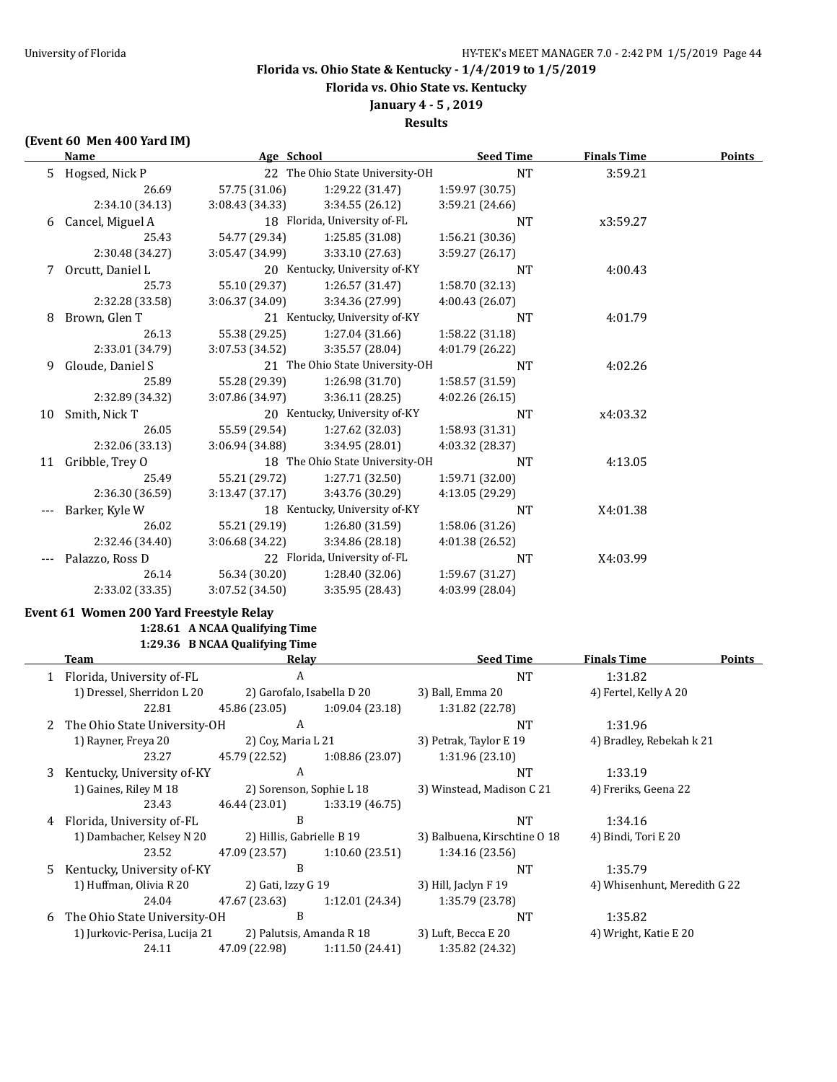**Florida vs. Ohio State vs. Kentucky**

# **January 4 - 5 , 2019**

## **Results**

### **(Event 60 Men 400 Yard IM)**

|    | Name             | Age School      |                                 | <b>Seed Time</b> | <b>Finals Time</b> | <b>Points</b> |
|----|------------------|-----------------|---------------------------------|------------------|--------------------|---------------|
|    | 5 Hogsed, Nick P |                 | 22 The Ohio State University-OH | <b>NT</b>        | 3:59.21            |               |
|    | 26.69            | 57.75 (31.06)   | 1:29.22 (31.47)                 | 1:59.97 (30.75)  |                    |               |
|    | 2:34.10 (34.13)  | 3:08.43(34.33)  | 3:34.55 (26.12)                 | 3:59.21 (24.66)  |                    |               |
| 6  | Cancel, Miguel A |                 | 18 Florida, University of-FL    | NT               | x3:59.27           |               |
|    | 25.43            | 54.77 (29.34)   | 1:25.85 (31.08)                 | 1:56.21 (30.36)  |                    |               |
|    | 2:30.48 (34.27)  | 3:05.47(34.99)  | 3:33.10(27.63)                  | 3:59.27 (26.17)  |                    |               |
| 7. | Orcutt, Daniel L |                 | 20 Kentucky, University of-KY   | <b>NT</b>        | 4:00.43            |               |
|    | 25.73            | 55.10 (29.37)   | 1:26.57(31.47)                  | 1:58.70 (32.13)  |                    |               |
|    | 2:32.28 (33.58)  | 3:06.37(34.09)  | 3:34.36 (27.99)                 | 4:00.43 (26.07)  |                    |               |
| 8  | Brown, Glen T    |                 | 21 Kentucky, University of-KY   | <b>NT</b>        | 4:01.79            |               |
|    | 26.13            | 55.38 (29.25)   | 1:27.04(31.66)                  | 1:58.22 (31.18)  |                    |               |
|    | 2:33.01 (34.79)  | 3:07.53(34.52)  | 3:35.57 (28.04)                 | 4:01.79 (26.22)  |                    |               |
| 9  | Gloude, Daniel S |                 | 21 The Ohio State University-OH | NT               | 4:02.26            |               |
|    | 25.89            | 55.28 (29.39)   | 1:26.98 (31.70)                 | 1:58.57 (31.59)  |                    |               |
|    | 2:32.89 (34.32)  | 3:07.86 (34.97) | 3:36.11(28.25)                  | 4:02.26(26.15)   |                    |               |
| 10 | Smith, Nick T    |                 | 20 Kentucky, University of-KY   | NT               | x4:03.32           |               |
|    | 26.05            | 55.59 (29.54)   | 1:27.62 (32.03)                 | 1:58.93 (31.31)  |                    |               |
|    | 2:32.06 (33.13)  | 3:06.94 (34.88) | 3:34.95 (28.01)                 | 4:03.32 (28.37)  |                    |               |
| 11 | Gribble, Trey O  |                 | 18 The Ohio State University-OH | <b>NT</b>        | 4:13.05            |               |
|    | 25.49            | 55.21 (29.72)   | 1:27.71 (32.50)                 | 1:59.71 (32.00)  |                    |               |
|    | 2:36.30 (36.59)  | 3:13.47(37.17)  | 3:43.76 (30.29)                 | 4:13.05 (29.29)  |                    |               |
|    | Barker, Kyle W   |                 | 18 Kentucky, University of-KY   | <b>NT</b>        | X4:01.38           |               |
|    | 26.02            | 55.21 (29.19)   | 1:26.80(31.59)                  | 1:58.06 (31.26)  |                    |               |
|    | 2:32.46 (34.40)  | 3:06.68(34.22)  | 3:34.86 (28.18)                 | 4:01.38 (26.52)  |                    |               |
|    | Palazzo, Ross D  |                 | 22 Florida, University of-FL    | <b>NT</b>        | X4:03.99           |               |
|    | 26.14            | 56.34 (30.20)   | 1:28.40(32.06)                  | 1:59.67 (31.27)  |                    |               |
|    | 2:33.02 (33.35)  | 3:07.52 (34.50) | 3:35.95 (28.43)                 | 4:03.99 (28.04)  |                    |               |

## **Event 61 Women 200 Yard Freestyle Relay 1:28.61 A NCAA Qualifying Time**

# **1:29.36 B NCAA Qualifying Time**

|    | Team                          | Relay                     |                            | <b>Seed Time</b>             | <b>Finals Time</b>           | <b>Points</b> |
|----|-------------------------------|---------------------------|----------------------------|------------------------------|------------------------------|---------------|
|    | 1 Florida, University of-FL   | A                         |                            | <b>NT</b>                    | 1:31.82                      |               |
|    | 1) Dressel, Sherridon L 20    |                           | 2) Garofalo, Isabella D 20 | 3) Ball, Emma 20             | 4) Fertel, Kelly A 20        |               |
|    | 22.81                         | 45.86 (23.05)             | 1:09.04 (23.18)            | 1:31.82 (22.78)              |                              |               |
|    | The Ohio State University-OH  | A                         |                            | <b>NT</b>                    | 1:31.96                      |               |
|    | 1) Rayner, Freya 20           | 2) Coy, Maria L 21        |                            | 3) Petrak, Taylor E 19       | 4) Bradley, Rebekah k 21     |               |
|    | 23.27                         | 45.79 (22.52)             | 1:08.86(23.07)             | 1:31.96 (23.10)              |                              |               |
| 3  | Kentucky, University of-KY    | A                         |                            | <b>NT</b>                    | 1:33.19                      |               |
|    | 1) Gaines, Riley M 18         |                           | 2) Sorenson, Sophie L 18   | 3) Winstead, Madison C 21    | 4) Freriks, Geena 22         |               |
|    | 23.43                         | 46.44 (23.01)             | 1:33.19 (46.75)            |                              |                              |               |
| 4  | Florida, University of-FL     | B                         |                            | <b>NT</b>                    | 1:34.16                      |               |
|    | 1) Dambacher, Kelsey N 20     | 2) Hillis, Gabrielle B 19 |                            | 3) Balbuena, Kirschtine 0 18 | 4) Bindi, Tori E 20          |               |
|    | 23.52                         | 47.09 (23.57)             | 1:10.60 (23.51)            | 1:34.16(23.56)               |                              |               |
| 5. | Kentucky, University of-KY    | B                         |                            | <b>NT</b>                    | 1:35.79                      |               |
|    | 1) Huffman, Olivia R 20       | 2) Gati, Izzy G 19        |                            | 3) Hill, Jaclyn $F$ 19       | 4) Whisenhunt, Meredith G 22 |               |
|    | 24.04                         | 47.67 (23.63)             | 1:12.01(24.34)             | 1:35.79 (23.78)              |                              |               |
| 6  | The Ohio State University-OH  | B                         |                            | <b>NT</b>                    | 1:35.82                      |               |
|    | 1) Jurkovic-Perisa, Lucija 21 |                           | 2) Palutsis, Amanda R 18   | 3) Luft, Becca E 20          | 4) Wright, Katie E 20        |               |
|    | 24.11                         | 47.09 (22.98)             | 1:11.50(24.41)             | 1:35.82 (24.32)              |                              |               |